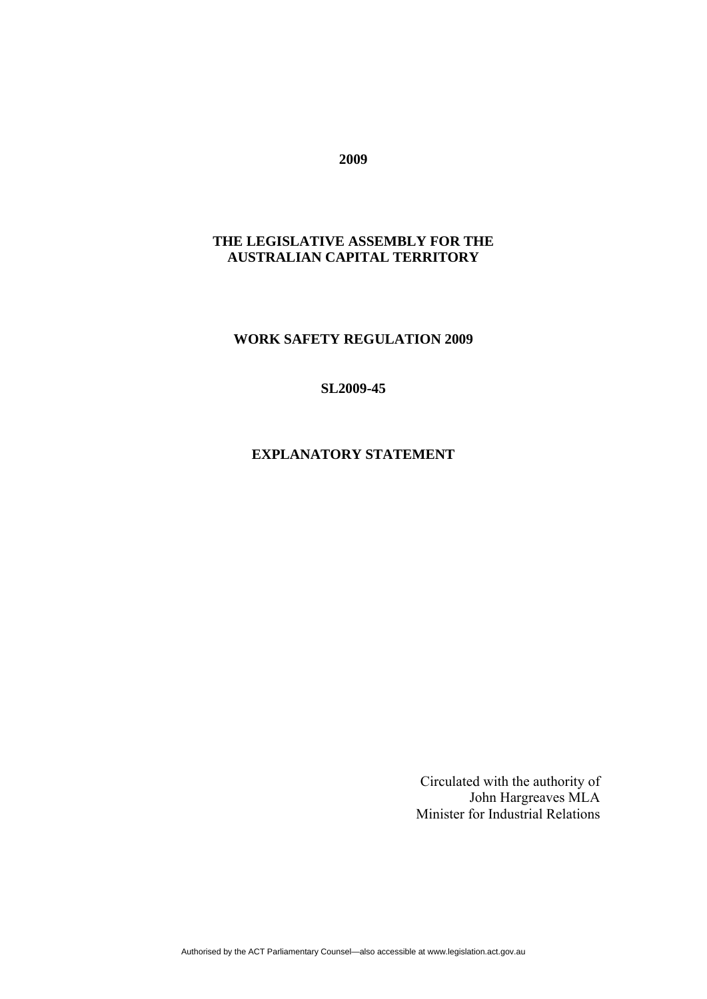## **2009**

# **THE LEGISLATIVE ASSEMBLY FOR THE AUSTRALIAN CAPITAL TERRITORY**

## **WORK SAFETY REGULATION 2009**

#### **SL2009-45**

## **EXPLANATORY STATEMENT**

Circulated with the authority of John Hargreaves MLA Minister for Industrial Relations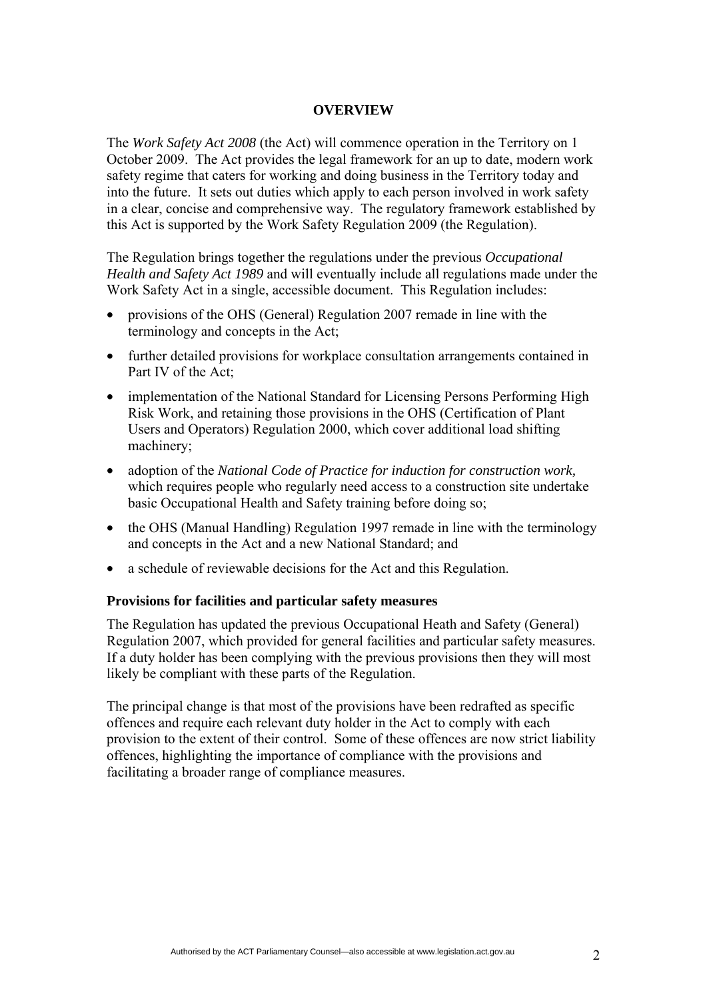#### **OVERVIEW**

The *Work Safety Act 2008* (the Act) will commence operation in the Territory on 1 October 2009. The Act provides the legal framework for an up to date, modern work safety regime that caters for working and doing business in the Territory today and into the future. It sets out duties which apply to each person involved in work safety in a clear, concise and comprehensive way. The regulatory framework established by this Act is supported by the Work Safety Regulation 2009 (the Regulation).

The Regulation brings together the regulations under the previous *Occupational Health and Safety Act 1989* and will eventually include all regulations made under the Work Safety Act in a single, accessible document. This Regulation includes:

- provisions of the OHS (General) Regulation 2007 remade in line with the terminology and concepts in the Act;
- further detailed provisions for workplace consultation arrangements contained in Part IV of the Act:
- implementation of the National Standard for Licensing Persons Performing High Risk Work, and retaining those provisions in the OHS (Certification of Plant Users and Operators) Regulation 2000, which cover additional load shifting machinery;
- adoption of the *National Code of Practice for induction for construction work,*  which requires people who regularly need access to a construction site undertake basic Occupational Health and Safety training before doing so;
- the OHS (Manual Handling) Regulation 1997 remade in line with the terminology and concepts in the Act and a new National Standard; and
- a schedule of reviewable decisions for the Act and this Regulation.

#### **Provisions for facilities and particular safety measures**

The Regulation has updated the previous Occupational Heath and Safety (General) Regulation 2007, which provided for general facilities and particular safety measures. If a duty holder has been complying with the previous provisions then they will most likely be compliant with these parts of the Regulation.

The principal change is that most of the provisions have been redrafted as specific offences and require each relevant duty holder in the Act to comply with each provision to the extent of their control. Some of these offences are now strict liability offences, highlighting the importance of compliance with the provisions and facilitating a broader range of compliance measures.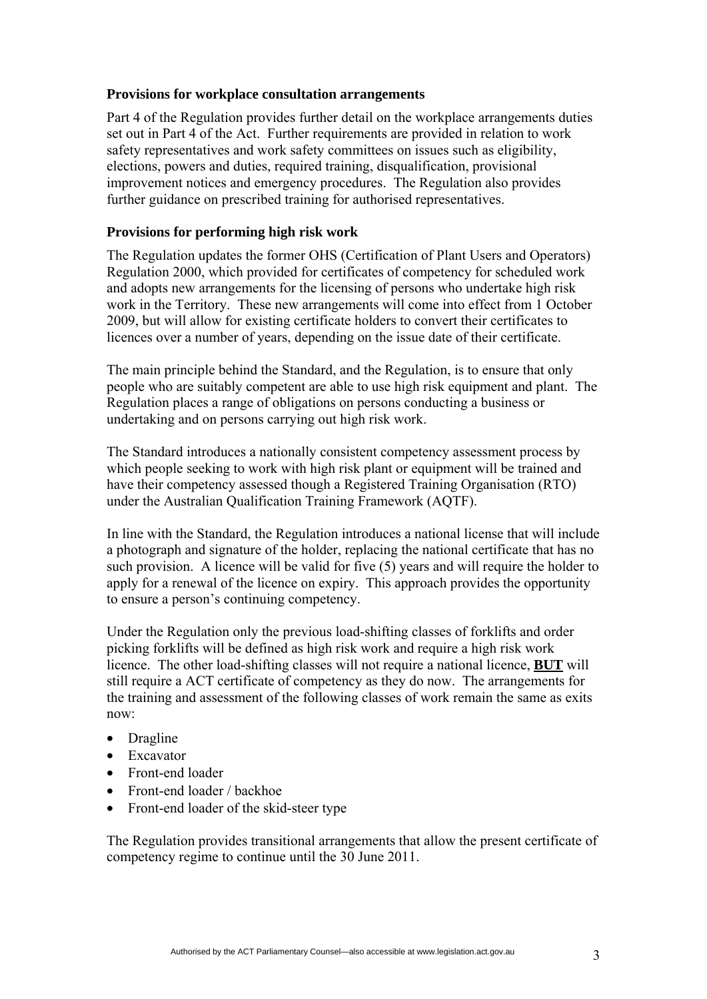#### **Provisions for workplace consultation arrangements**

Part 4 of the Regulation provides further detail on the workplace arrangements duties set out in Part 4 of the Act. Further requirements are provided in relation to work safety representatives and work safety committees on issues such as eligibility, elections, powers and duties, required training, disqualification, provisional improvement notices and emergency procedures. The Regulation also provides further guidance on prescribed training for authorised representatives.

## **Provisions for performing high risk work**

The Regulation updates the former OHS (Certification of Plant Users and Operators) Regulation 2000, which provided for certificates of competency for scheduled work and adopts new arrangements for the licensing of persons who undertake high risk work in the Territory. These new arrangements will come into effect from 1 October 2009, but will allow for existing certificate holders to convert their certificates to licences over a number of years, depending on the issue date of their certificate.

The main principle behind the Standard, and the Regulation, is to ensure that only people who are suitably competent are able to use high risk equipment and plant. The Regulation places a range of obligations on persons conducting a business or undertaking and on persons carrying out high risk work.

The Standard introduces a nationally consistent competency assessment process by which people seeking to work with high risk plant or equipment will be trained and have their competency assessed though a Registered Training Organisation (RTO) under the Australian Qualification Training Framework (AQTF).

In line with the Standard, the Regulation introduces a national license that will include a photograph and signature of the holder, replacing the national certificate that has no such provision. A licence will be valid for five (5) years and will require the holder to apply for a renewal of the licence on expiry. This approach provides the opportunity to ensure a person's continuing competency.

Under the Regulation only the previous load-shifting classes of forklifts and order picking forklifts will be defined as high risk work and require a high risk work licence. The other load-shifting classes will not require a national licence, **BUT** will still require a ACT certificate of competency as they do now. The arrangements for the training and assessment of the following classes of work remain the same as exits now:

- Dragline
- Excavator
- Front-end loader
- Front-end loader / backhoe
- Front-end loader of the skid-steer type

The Regulation provides transitional arrangements that allow the present certificate of competency regime to continue until the 30 June 2011.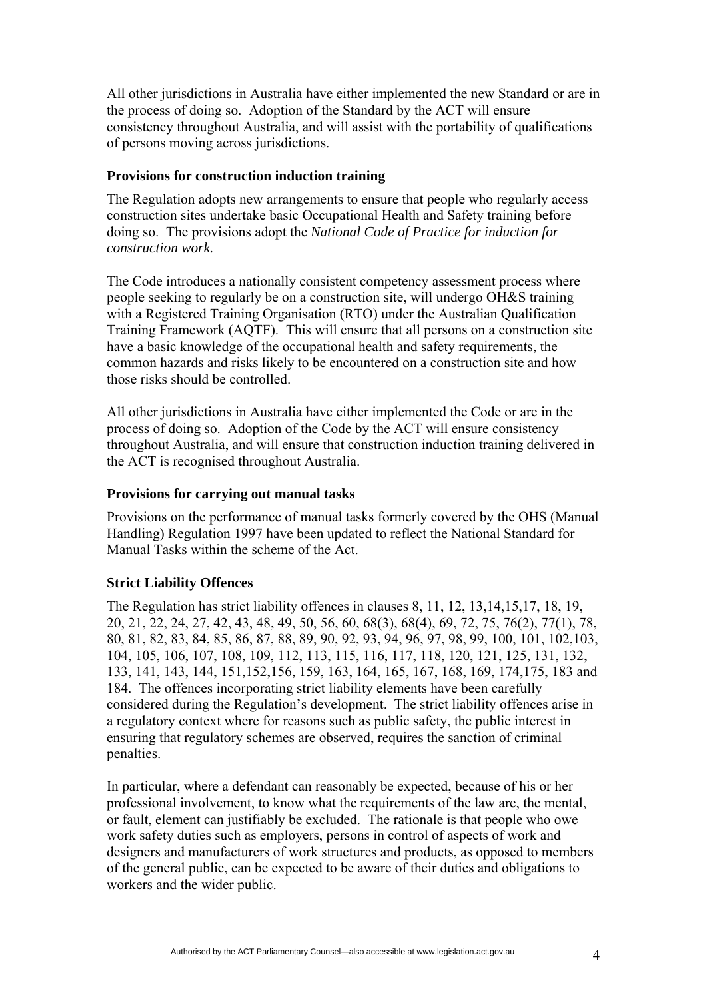All other jurisdictions in Australia have either implemented the new Standard or are in the process of doing so. Adoption of the Standard by the ACT will ensure consistency throughout Australia, and will assist with the portability of qualifications of persons moving across jurisdictions.

#### **Provisions for construction induction training**

The Regulation adopts new arrangements to ensure that people who regularly access construction sites undertake basic Occupational Health and Safety training before doing so. The provisions adopt the *National Code of Practice for induction for construction work.* 

The Code introduces a nationally consistent competency assessment process where people seeking to regularly be on a construction site, will undergo OH&S training with a Registered Training Organisation (RTO) under the Australian Qualification Training Framework (AQTF). This will ensure that all persons on a construction site have a basic knowledge of the occupational health and safety requirements, the common hazards and risks likely to be encountered on a construction site and how those risks should be controlled.

All other jurisdictions in Australia have either implemented the Code or are in the process of doing so. Adoption of the Code by the ACT will ensure consistency throughout Australia, and will ensure that construction induction training delivered in the ACT is recognised throughout Australia.

#### **Provisions for carrying out manual tasks**

Provisions on the performance of manual tasks formerly covered by the OHS (Manual Handling) Regulation 1997 have been updated to reflect the National Standard for Manual Tasks within the scheme of the Act.

## **Strict Liability Offences**

The Regulation has strict liability offences in clauses 8, 11, 12, 13,14,15,17, 18, 19, 20, 21, 22, 24, 27, 42, 43, 48, 49, 50, 56, 60, 68(3), 68(4), 69, 72, 75, 76(2), 77(1), 78, 80, 81, 82, 83, 84, 85, 86, 87, 88, 89, 90, 92, 93, 94, 96, 97, 98, 99, 100, 101, 102,103, 104, 105, 106, 107, 108, 109, 112, 113, 115, 116, 117, 118, 120, 121, 125, 131, 132, 133, 141, 143, 144, 151,152,156, 159, 163, 164, 165, 167, 168, 169, 174,175, 183 and 184. The offences incorporating strict liability elements have been carefully considered during the Regulation's development. The strict liability offences arise in a regulatory context where for reasons such as public safety, the public interest in ensuring that regulatory schemes are observed, requires the sanction of criminal penalties.

In particular, where a defendant can reasonably be expected, because of his or her professional involvement, to know what the requirements of the law are, the mental, or fault, element can justifiably be excluded. The rationale is that people who owe work safety duties such as employers, persons in control of aspects of work and designers and manufacturers of work structures and products, as opposed to members of the general public, can be expected to be aware of their duties and obligations to workers and the wider public.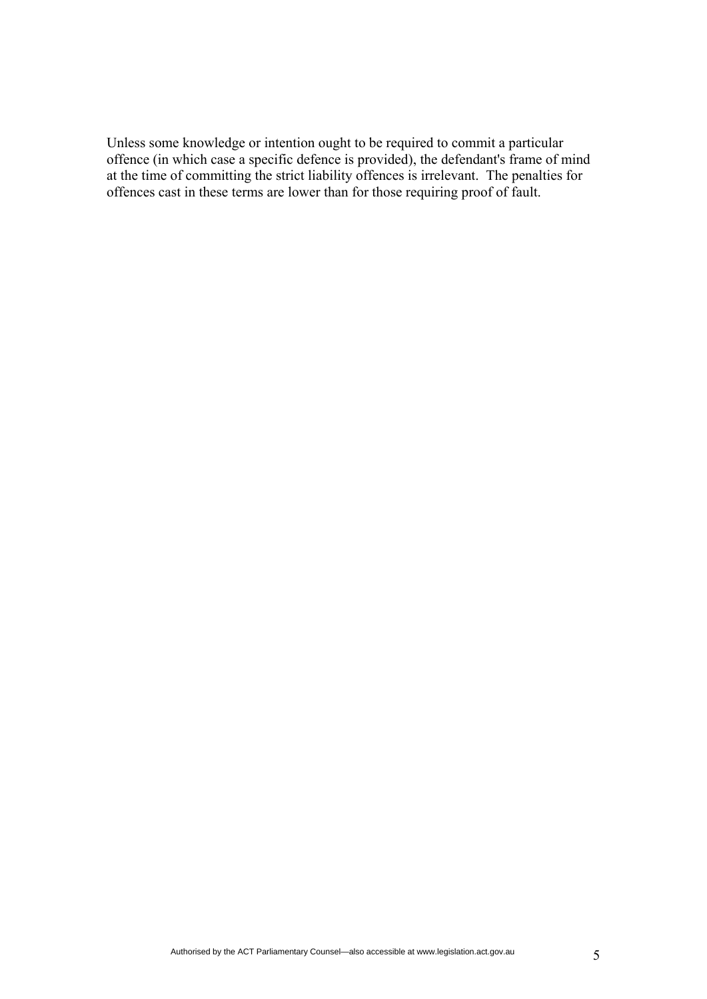Unless some knowledge or intention ought to be required to commit a particular offence (in which case a specific defence is provided), the defendant's frame of mind at the time of committing the strict liability offences is irrelevant. The penalties for offences cast in these terms are lower than for those requiring proof of fault.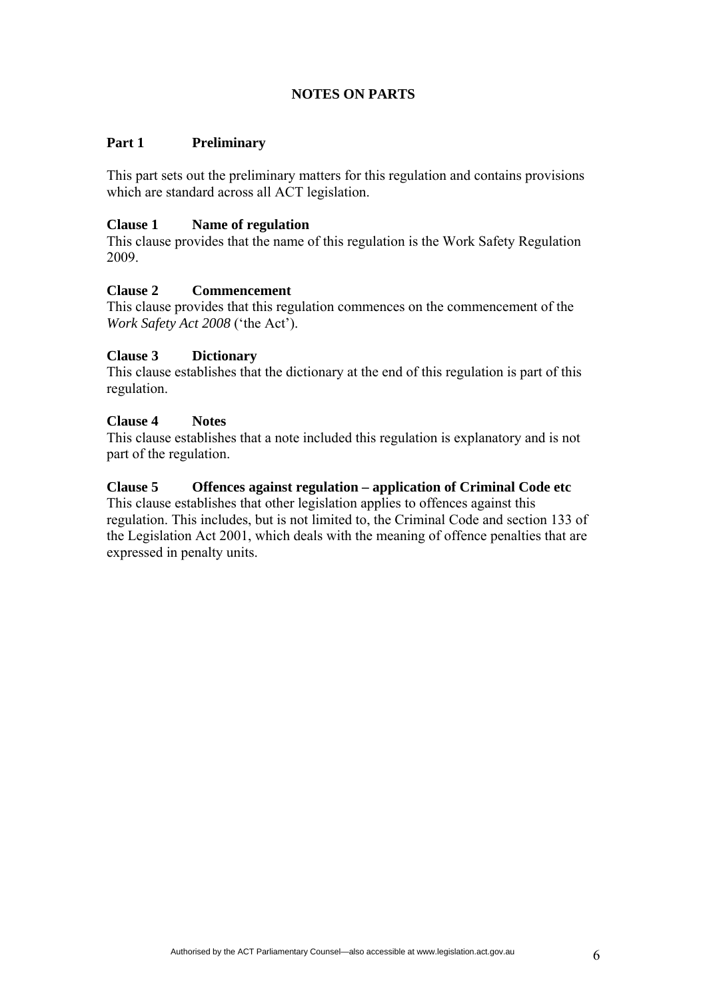# **NOTES ON PARTS**

## **Part 1 Preliminary**

This part sets out the preliminary matters for this regulation and contains provisions which are standard across all ACT legislation.

#### **Clause 1 Name of regulation**

This clause provides that the name of this regulation is the Work Safety Regulation 2009.

#### **Clause 2 Commencement**

This clause provides that this regulation commences on the commencement of the *Work Safety Act 2008* ('the Act').

#### **Clause 3 Dictionary**

This clause establishes that the dictionary at the end of this regulation is part of this regulation.

#### **Clause 4 Notes**

This clause establishes that a note included this regulation is explanatory and is not part of the regulation.

#### **Clause 5 Offences against regulation – application of Criminal Code etc**

This clause establishes that other legislation applies to offences against this regulation. This includes, but is not limited to, the Criminal Code and section 133 of the Legislation Act 2001, which deals with the meaning of offence penalties that are expressed in penalty units.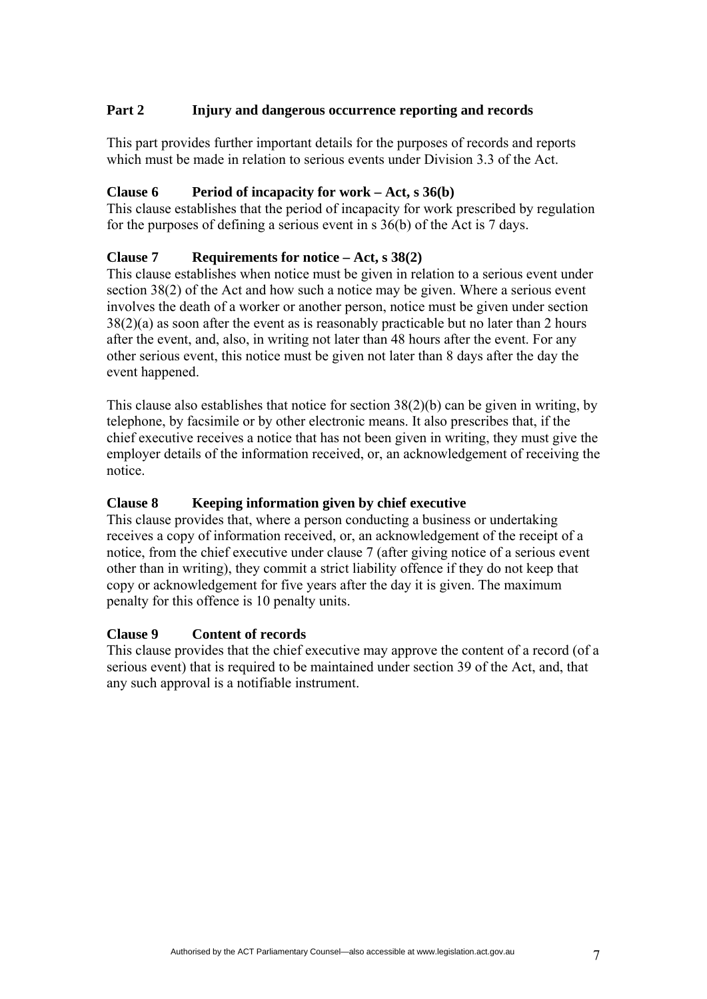## **Part 2 Injury and dangerous occurrence reporting and records**

This part provides further important details for the purposes of records and reports which must be made in relation to serious events under Division 3.3 of the Act.

#### **Clause 6 Period of incapacity for work – Act, s 36(b)**

This clause establishes that the period of incapacity for work prescribed by regulation for the purposes of defining a serious event in s 36(b) of the Act is 7 days.

#### **Clause 7 Requirements for notice – Act, s 38(2)**

This clause establishes when notice must be given in relation to a serious event under section 38(2) of the Act and how such a notice may be given. Where a serious event involves the death of a worker or another person, notice must be given under section 38(2)(a) as soon after the event as is reasonably practicable but no later than 2 hours after the event, and, also, in writing not later than 48 hours after the event. For any other serious event, this notice must be given not later than 8 days after the day the event happened.

This clause also establishes that notice for section 38(2)(b) can be given in writing, by telephone, by facsimile or by other electronic means. It also prescribes that, if the chief executive receives a notice that has not been given in writing, they must give the employer details of the information received, or, an acknowledgement of receiving the notice.

#### **Clause 8 Keeping information given by chief executive**

This clause provides that, where a person conducting a business or undertaking receives a copy of information received, or, an acknowledgement of the receipt of a notice, from the chief executive under clause 7 (after giving notice of a serious event other than in writing), they commit a strict liability offence if they do not keep that copy or acknowledgement for five years after the day it is given. The maximum penalty for this offence is 10 penalty units.

#### **Clause 9 Content of records**

This clause provides that the chief executive may approve the content of a record (of a serious event) that is required to be maintained under section 39 of the Act, and, that any such approval is a notifiable instrument.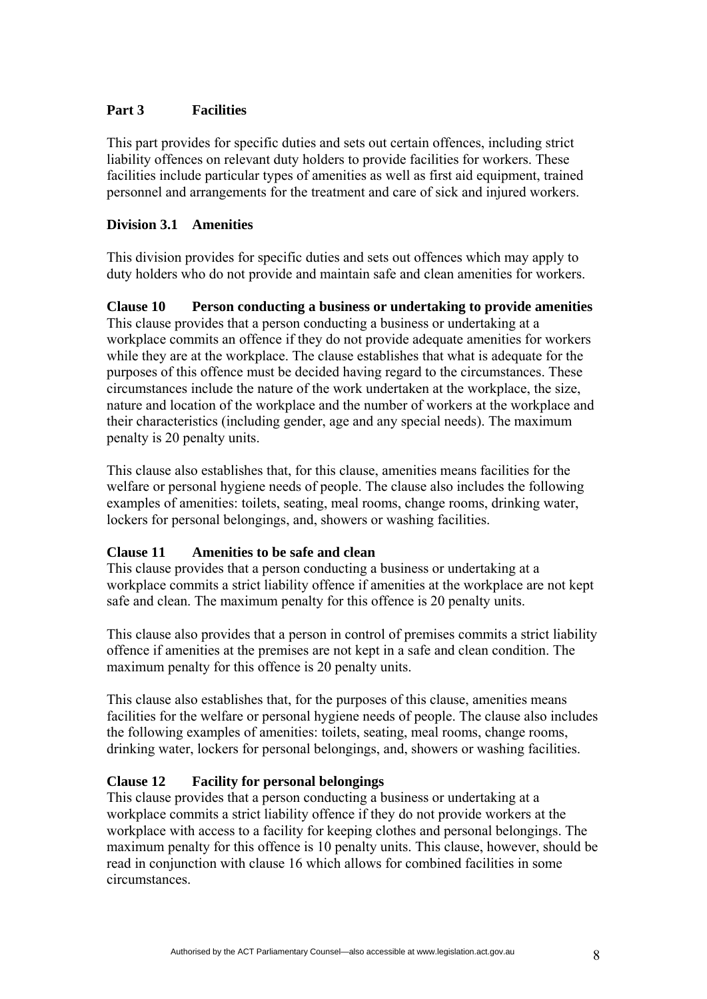## **Part 3 Facilities**

This part provides for specific duties and sets out certain offences, including strict liability offences on relevant duty holders to provide facilities for workers. These facilities include particular types of amenities as well as first aid equipment, trained personnel and arrangements for the treatment and care of sick and injured workers.

#### **Division 3.1 Amenities**

This division provides for specific duties and sets out offences which may apply to duty holders who do not provide and maintain safe and clean amenities for workers.

**Clause 10 Person conducting a business or undertaking to provide amenities**  This clause provides that a person conducting a business or undertaking at a workplace commits an offence if they do not provide adequate amenities for workers while they are at the workplace. The clause establishes that what is adequate for the purposes of this offence must be decided having regard to the circumstances. These circumstances include the nature of the work undertaken at the workplace, the size, nature and location of the workplace and the number of workers at the workplace and their characteristics (including gender, age and any special needs). The maximum penalty is 20 penalty units.

This clause also establishes that, for this clause, amenities means facilities for the welfare or personal hygiene needs of people. The clause also includes the following examples of amenities: toilets, seating, meal rooms, change rooms, drinking water, lockers for personal belongings, and, showers or washing facilities.

#### **Clause 11 Amenities to be safe and clean**

This clause provides that a person conducting a business or undertaking at a workplace commits a strict liability offence if amenities at the workplace are not kept safe and clean. The maximum penalty for this offence is 20 penalty units.

This clause also provides that a person in control of premises commits a strict liability offence if amenities at the premises are not kept in a safe and clean condition. The maximum penalty for this offence is 20 penalty units.

This clause also establishes that, for the purposes of this clause, amenities means facilities for the welfare or personal hygiene needs of people. The clause also includes the following examples of amenities: toilets, seating, meal rooms, change rooms, drinking water, lockers for personal belongings, and, showers or washing facilities.

## **Clause 12 Facility for personal belongings**

This clause provides that a person conducting a business or undertaking at a workplace commits a strict liability offence if they do not provide workers at the workplace with access to a facility for keeping clothes and personal belongings. The maximum penalty for this offence is 10 penalty units. This clause, however, should be read in conjunction with clause 16 which allows for combined facilities in some circumstances.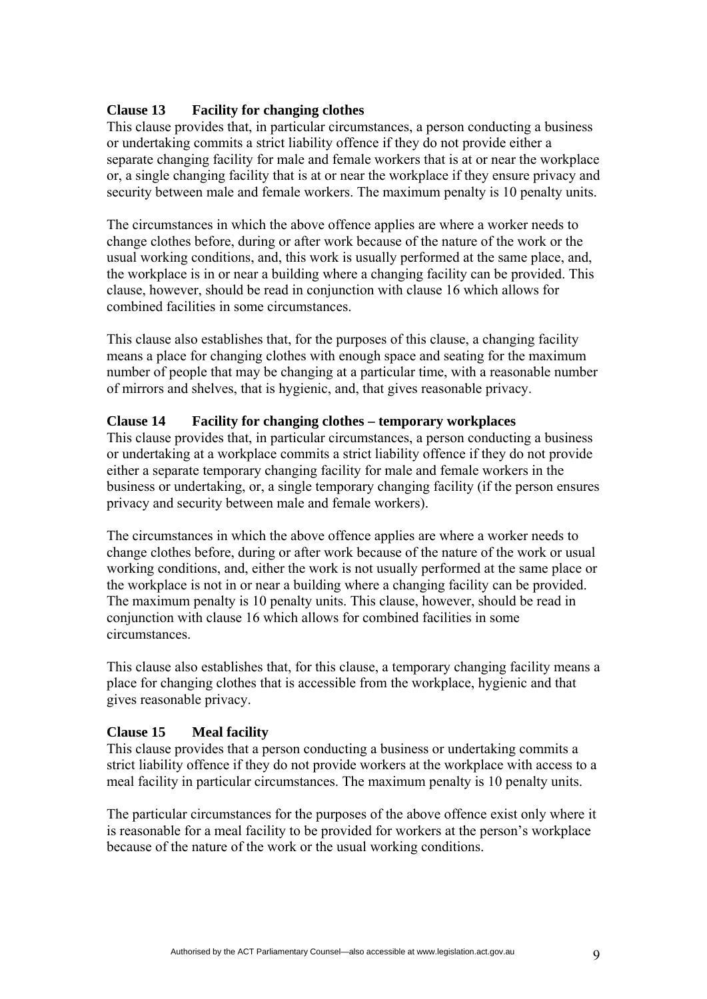#### **Clause 13 Facility for changing clothes**

This clause provides that, in particular circumstances, a person conducting a business or undertaking commits a strict liability offence if they do not provide either a separate changing facility for male and female workers that is at or near the workplace or, a single changing facility that is at or near the workplace if they ensure privacy and security between male and female workers. The maximum penalty is 10 penalty units.

The circumstances in which the above offence applies are where a worker needs to change clothes before, during or after work because of the nature of the work or the usual working conditions, and, this work is usually performed at the same place, and, the workplace is in or near a building where a changing facility can be provided. This clause, however, should be read in conjunction with clause 16 which allows for combined facilities in some circumstances.

This clause also establishes that, for the purposes of this clause, a changing facility means a place for changing clothes with enough space and seating for the maximum number of people that may be changing at a particular time, with a reasonable number of mirrors and shelves, that is hygienic, and, that gives reasonable privacy.

#### **Clause 14 Facility for changing clothes – temporary workplaces**

This clause provides that, in particular circumstances, a person conducting a business or undertaking at a workplace commits a strict liability offence if they do not provide either a separate temporary changing facility for male and female workers in the business or undertaking, or, a single temporary changing facility (if the person ensures privacy and security between male and female workers).

The circumstances in which the above offence applies are where a worker needs to change clothes before, during or after work because of the nature of the work or usual working conditions, and, either the work is not usually performed at the same place or the workplace is not in or near a building where a changing facility can be provided. The maximum penalty is 10 penalty units. This clause, however, should be read in conjunction with clause 16 which allows for combined facilities in some circumstances.

This clause also establishes that, for this clause, a temporary changing facility means a place for changing clothes that is accessible from the workplace, hygienic and that gives reasonable privacy.

## **Clause 15 Meal facility**

This clause provides that a person conducting a business or undertaking commits a strict liability offence if they do not provide workers at the workplace with access to a meal facility in particular circumstances. The maximum penalty is 10 penalty units.

The particular circumstances for the purposes of the above offence exist only where it is reasonable for a meal facility to be provided for workers at the person's workplace because of the nature of the work or the usual working conditions.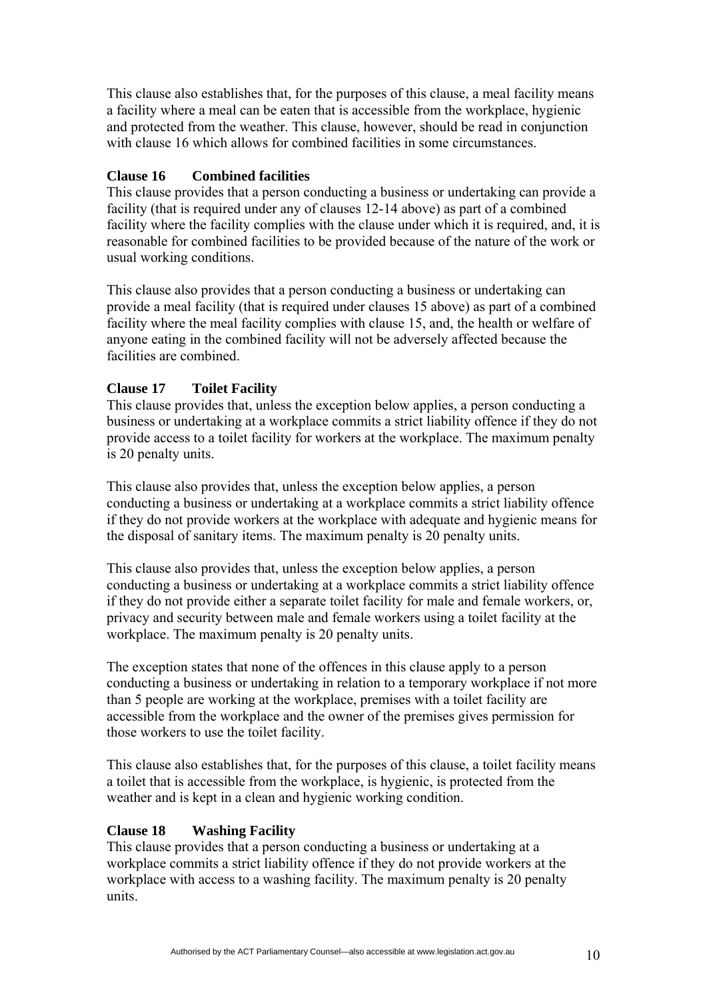This clause also establishes that, for the purposes of this clause, a meal facility means a facility where a meal can be eaten that is accessible from the workplace, hygienic and protected from the weather. This clause, however, should be read in conjunction with clause 16 which allows for combined facilities in some circumstances.

## **Clause 16 Combined facilities**

This clause provides that a person conducting a business or undertaking can provide a facility (that is required under any of clauses 12-14 above) as part of a combined facility where the facility complies with the clause under which it is required, and, it is reasonable for combined facilities to be provided because of the nature of the work or usual working conditions.

This clause also provides that a person conducting a business or undertaking can provide a meal facility (that is required under clauses 15 above) as part of a combined facility where the meal facility complies with clause 15, and, the health or welfare of anyone eating in the combined facility will not be adversely affected because the facilities are combined.

#### **Clause 17 Toilet Facility**

This clause provides that, unless the exception below applies, a person conducting a business or undertaking at a workplace commits a strict liability offence if they do not provide access to a toilet facility for workers at the workplace. The maximum penalty is 20 penalty units.

This clause also provides that, unless the exception below applies, a person conducting a business or undertaking at a workplace commits a strict liability offence if they do not provide workers at the workplace with adequate and hygienic means for the disposal of sanitary items. The maximum penalty is 20 penalty units.

This clause also provides that, unless the exception below applies, a person conducting a business or undertaking at a workplace commits a strict liability offence if they do not provide either a separate toilet facility for male and female workers, or, privacy and security between male and female workers using a toilet facility at the workplace. The maximum penalty is 20 penalty units.

The exception states that none of the offences in this clause apply to a person conducting a business or undertaking in relation to a temporary workplace if not more than 5 people are working at the workplace, premises with a toilet facility are accessible from the workplace and the owner of the premises gives permission for those workers to use the toilet facility.

This clause also establishes that, for the purposes of this clause, a toilet facility means a toilet that is accessible from the workplace, is hygienic, is protected from the weather and is kept in a clean and hygienic working condition.

#### **Clause 18 Washing Facility**

This clause provides that a person conducting a business or undertaking at a workplace commits a strict liability offence if they do not provide workers at the workplace with access to a washing facility. The maximum penalty is 20 penalty units.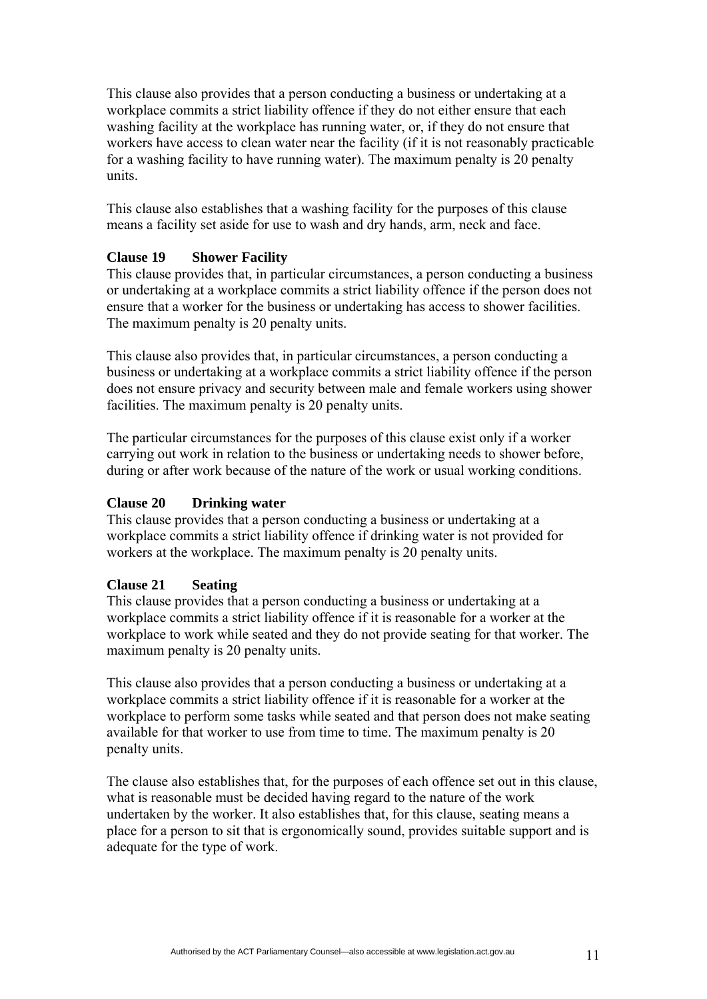This clause also provides that a person conducting a business or undertaking at a workplace commits a strict liability offence if they do not either ensure that each washing facility at the workplace has running water, or, if they do not ensure that workers have access to clean water near the facility (if it is not reasonably practicable for a washing facility to have running water). The maximum penalty is 20 penalty units.

This clause also establishes that a washing facility for the purposes of this clause means a facility set aside for use to wash and dry hands, arm, neck and face.

## **Clause 19 Shower Facility**

This clause provides that, in particular circumstances, a person conducting a business or undertaking at a workplace commits a strict liability offence if the person does not ensure that a worker for the business or undertaking has access to shower facilities. The maximum penalty is 20 penalty units.

This clause also provides that, in particular circumstances, a person conducting a business or undertaking at a workplace commits a strict liability offence if the person does not ensure privacy and security between male and female workers using shower facilities. The maximum penalty is 20 penalty units.

The particular circumstances for the purposes of this clause exist only if a worker carrying out work in relation to the business or undertaking needs to shower before, during or after work because of the nature of the work or usual working conditions.

# **Clause 20 Drinking water**

This clause provides that a person conducting a business or undertaking at a workplace commits a strict liability offence if drinking water is not provided for workers at the workplace. The maximum penalty is 20 penalty units.

## **Clause 21 Seating**

This clause provides that a person conducting a business or undertaking at a workplace commits a strict liability offence if it is reasonable for a worker at the workplace to work while seated and they do not provide seating for that worker. The maximum penalty is 20 penalty units.

This clause also provides that a person conducting a business or undertaking at a workplace commits a strict liability offence if it is reasonable for a worker at the workplace to perform some tasks while seated and that person does not make seating available for that worker to use from time to time. The maximum penalty is 20 penalty units.

The clause also establishes that, for the purposes of each offence set out in this clause, what is reasonable must be decided having regard to the nature of the work undertaken by the worker. It also establishes that, for this clause, seating means a place for a person to sit that is ergonomically sound, provides suitable support and is adequate for the type of work.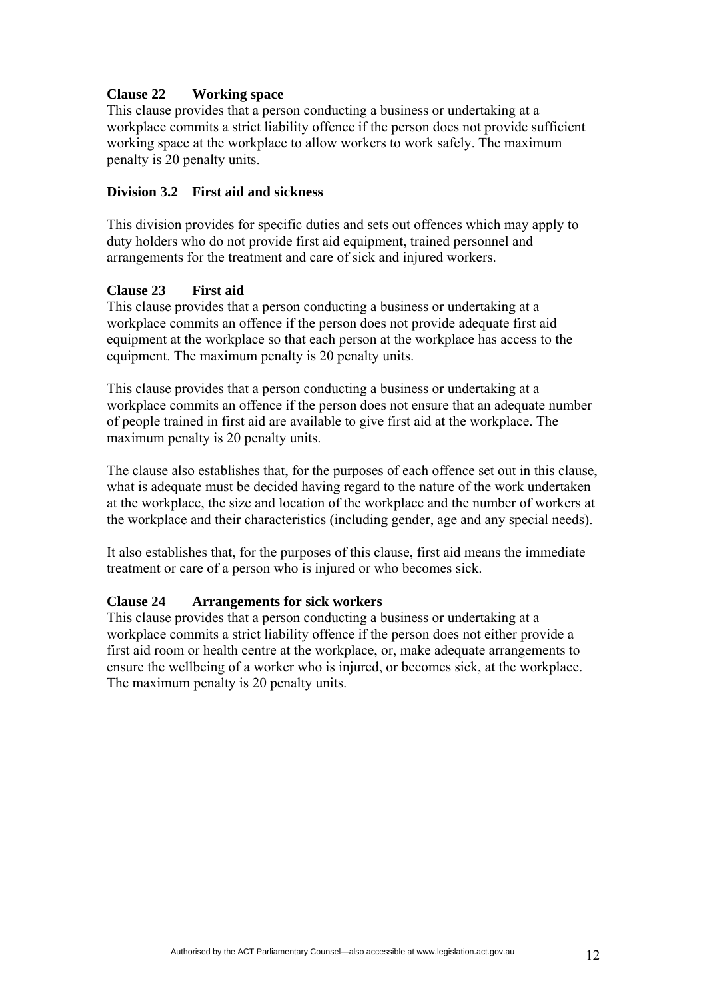## **Clause 22 Working space**

This clause provides that a person conducting a business or undertaking at a workplace commits a strict liability offence if the person does not provide sufficient working space at the workplace to allow workers to work safely. The maximum penalty is 20 penalty units.

#### **Division 3.2 First aid and sickness**

This division provides for specific duties and sets out offences which may apply to duty holders who do not provide first aid equipment, trained personnel and arrangements for the treatment and care of sick and injured workers.

#### **Clause 23 First aid**

This clause provides that a person conducting a business or undertaking at a workplace commits an offence if the person does not provide adequate first aid equipment at the workplace so that each person at the workplace has access to the equipment. The maximum penalty is 20 penalty units.

This clause provides that a person conducting a business or undertaking at a workplace commits an offence if the person does not ensure that an adequate number of people trained in first aid are available to give first aid at the workplace. The maximum penalty is 20 penalty units.

The clause also establishes that, for the purposes of each offence set out in this clause, what is adequate must be decided having regard to the nature of the work undertaken at the workplace, the size and location of the workplace and the number of workers at the workplace and their characteristics (including gender, age and any special needs).

It also establishes that, for the purposes of this clause, first aid means the immediate treatment or care of a person who is injured or who becomes sick.

#### **Clause 24 Arrangements for sick workers**

This clause provides that a person conducting a business or undertaking at a workplace commits a strict liability offence if the person does not either provide a first aid room or health centre at the workplace, or, make adequate arrangements to ensure the wellbeing of a worker who is injured, or becomes sick, at the workplace. The maximum penalty is 20 penalty units.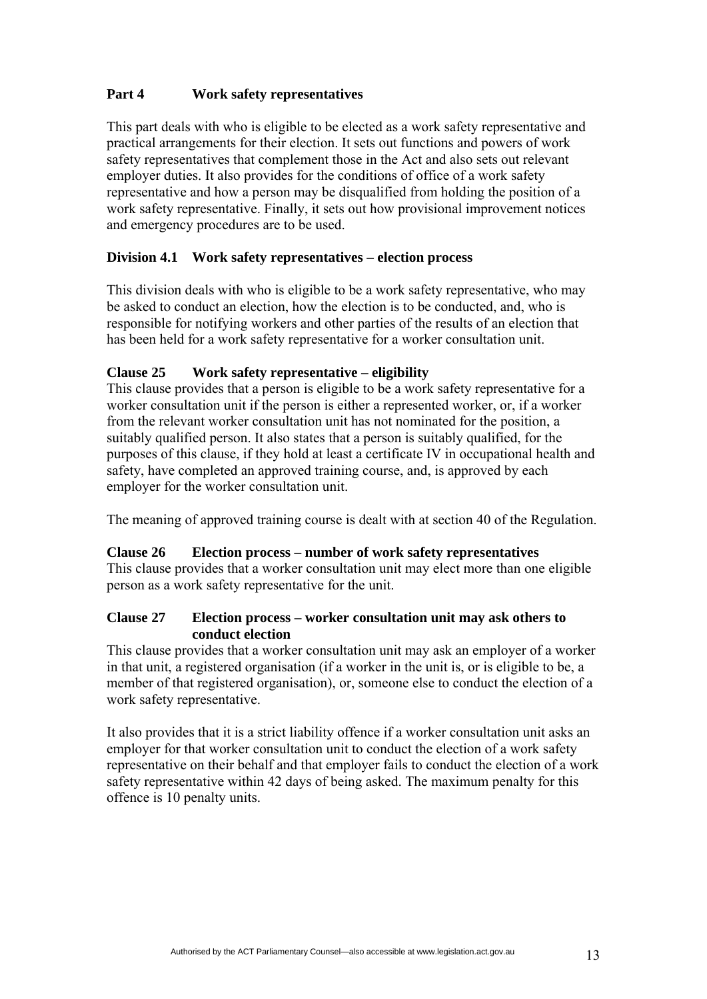# **Part 4 Work safety representatives**

This part deals with who is eligible to be elected as a work safety representative and practical arrangements for their election. It sets out functions and powers of work safety representatives that complement those in the Act and also sets out relevant employer duties. It also provides for the conditions of office of a work safety representative and how a person may be disqualified from holding the position of a work safety representative. Finally, it sets out how provisional improvement notices and emergency procedures are to be used.

## **Division 4.1 Work safety representatives – election process**

This division deals with who is eligible to be a work safety representative, who may be asked to conduct an election, how the election is to be conducted, and, who is responsible for notifying workers and other parties of the results of an election that has been held for a work safety representative for a worker consultation unit.

#### **Clause 25 Work safety representative – eligibility**

This clause provides that a person is eligible to be a work safety representative for a worker consultation unit if the person is either a represented worker, or, if a worker from the relevant worker consultation unit has not nominated for the position, a suitably qualified person. It also states that a person is suitably qualified, for the purposes of this clause, if they hold at least a certificate IV in occupational health and safety, have completed an approved training course, and, is approved by each employer for the worker consultation unit.

The meaning of approved training course is dealt with at section 40 of the Regulation.

#### **Clause 26 Election process – number of work safety representatives**

This clause provides that a worker consultation unit may elect more than one eligible person as a work safety representative for the unit.

#### **Clause 27 Election process – worker consultation unit may ask others to conduct election**

This clause provides that a worker consultation unit may ask an employer of a worker in that unit, a registered organisation (if a worker in the unit is, or is eligible to be, a member of that registered organisation), or, someone else to conduct the election of a work safety representative.

It also provides that it is a strict liability offence if a worker consultation unit asks an employer for that worker consultation unit to conduct the election of a work safety representative on their behalf and that employer fails to conduct the election of a work safety representative within 42 days of being asked. The maximum penalty for this offence is 10 penalty units.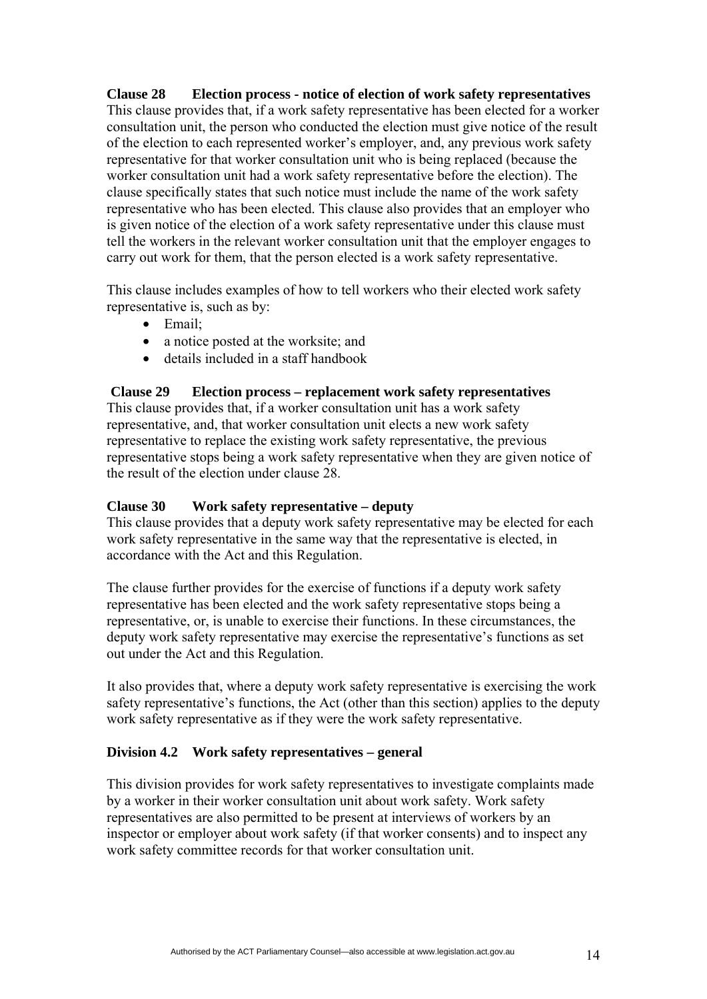**Clause 28 Election process - notice of election of work safety representatives**  This clause provides that, if a work safety representative has been elected for a worker consultation unit, the person who conducted the election must give notice of the result of the election to each represented worker's employer, and, any previous work safety representative for that worker consultation unit who is being replaced (because the worker consultation unit had a work safety representative before the election). The clause specifically states that such notice must include the name of the work safety representative who has been elected. This clause also provides that an employer who is given notice of the election of a work safety representative under this clause must tell the workers in the relevant worker consultation unit that the employer engages to carry out work for them, that the person elected is a work safety representative.

This clause includes examples of how to tell workers who their elected work safety representative is, such as by:

- Email;
- a notice posted at the worksite; and
- details included in a staff handbook

#### **Clause 29 Election process – replacement work safety representatives**

This clause provides that, if a worker consultation unit has a work safety representative, and, that worker consultation unit elects a new work safety representative to replace the existing work safety representative, the previous representative stops being a work safety representative when they are given notice of the result of the election under clause 28.

## **Clause 30 Work safety representative – deputy**

This clause provides that a deputy work safety representative may be elected for each work safety representative in the same way that the representative is elected, in accordance with the Act and this Regulation.

The clause further provides for the exercise of functions if a deputy work safety representative has been elected and the work safety representative stops being a representative, or, is unable to exercise their functions. In these circumstances, the deputy work safety representative may exercise the representative's functions as set out under the Act and this Regulation.

It also provides that, where a deputy work safety representative is exercising the work safety representative's functions, the Act (other than this section) applies to the deputy work safety representative as if they were the work safety representative.

## **Division 4.2 Work safety representatives – general**

This division provides for work safety representatives to investigate complaints made by a worker in their worker consultation unit about work safety. Work safety representatives are also permitted to be present at interviews of workers by an inspector or employer about work safety (if that worker consents) and to inspect any work safety committee records for that worker consultation unit.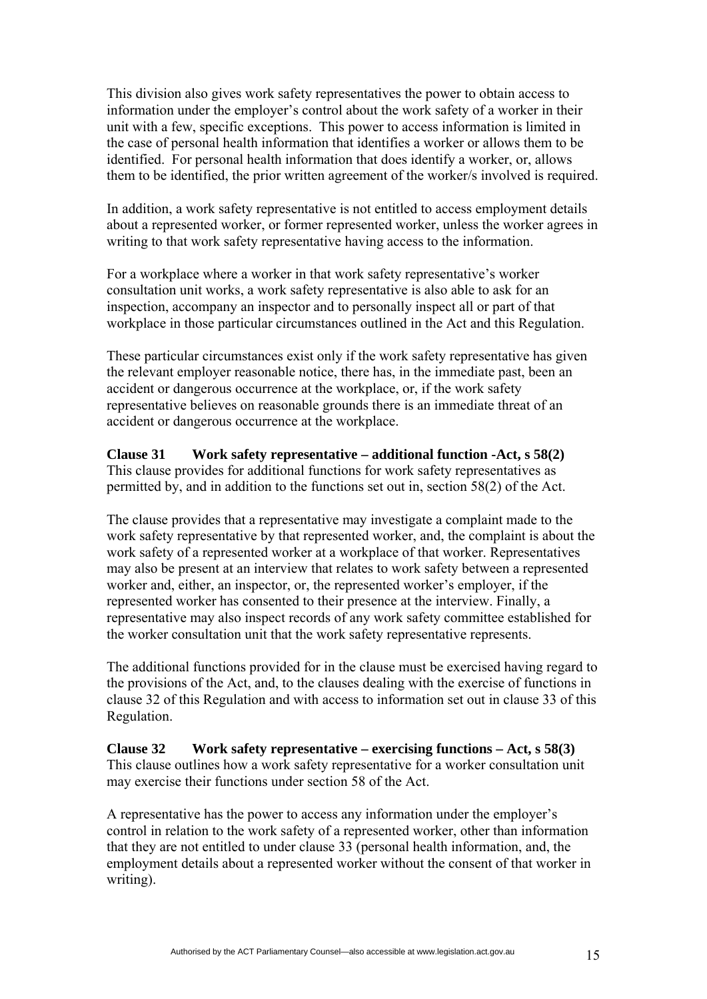This division also gives work safety representatives the power to obtain access to information under the employer's control about the work safety of a worker in their unit with a few, specific exceptions. This power to access information is limited in the case of personal health information that identifies a worker or allows them to be identified. For personal health information that does identify a worker, or, allows them to be identified, the prior written agreement of the worker/s involved is required.

In addition, a work safety representative is not entitled to access employment details about a represented worker, or former represented worker, unless the worker agrees in writing to that work safety representative having access to the information.

For a workplace where a worker in that work safety representative's worker consultation unit works, a work safety representative is also able to ask for an inspection, accompany an inspector and to personally inspect all or part of that workplace in those particular circumstances outlined in the Act and this Regulation.

These particular circumstances exist only if the work safety representative has given the relevant employer reasonable notice, there has, in the immediate past, been an accident or dangerous occurrence at the workplace, or, if the work safety representative believes on reasonable grounds there is an immediate threat of an accident or dangerous occurrence at the workplace.

# **Clause 31 Work safety representative – additional function -Act, s 58(2)**

This clause provides for additional functions for work safety representatives as permitted by, and in addition to the functions set out in, section 58(2) of the Act.

The clause provides that a representative may investigate a complaint made to the work safety representative by that represented worker, and, the complaint is about the work safety of a represented worker at a workplace of that worker. Representatives may also be present at an interview that relates to work safety between a represented worker and, either, an inspector, or, the represented worker's employer, if the represented worker has consented to their presence at the interview. Finally, a representative may also inspect records of any work safety committee established for the worker consultation unit that the work safety representative represents.

The additional functions provided for in the clause must be exercised having regard to the provisions of the Act, and, to the clauses dealing with the exercise of functions in clause 32 of this Regulation and with access to information set out in clause 33 of this Regulation.

**Clause 32 Work safety representative – exercising functions – Act, s 58(3)**  This clause outlines how a work safety representative for a worker consultation unit may exercise their functions under section 58 of the Act.

A representative has the power to access any information under the employer's control in relation to the work safety of a represented worker, other than information that they are not entitled to under clause 33 (personal health information, and, the employment details about a represented worker without the consent of that worker in writing).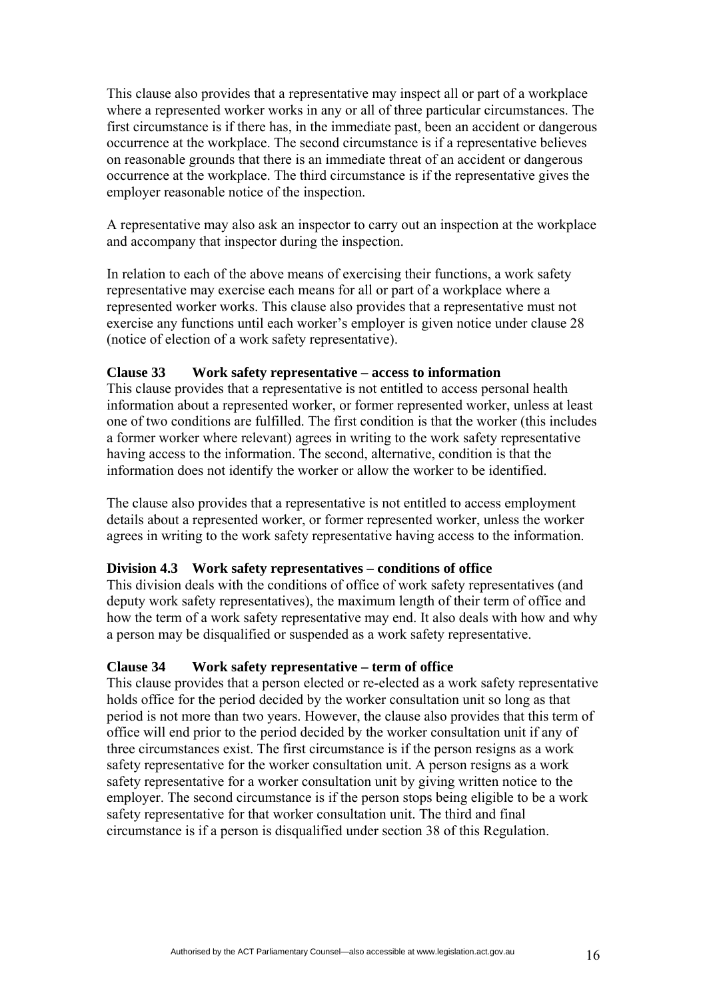This clause also provides that a representative may inspect all or part of a workplace where a represented worker works in any or all of three particular circumstances. The first circumstance is if there has, in the immediate past, been an accident or dangerous occurrence at the workplace. The second circumstance is if a representative believes on reasonable grounds that there is an immediate threat of an accident or dangerous occurrence at the workplace. The third circumstance is if the representative gives the employer reasonable notice of the inspection.

A representative may also ask an inspector to carry out an inspection at the workplace and accompany that inspector during the inspection.

In relation to each of the above means of exercising their functions, a work safety representative may exercise each means for all or part of a workplace where a represented worker works. This clause also provides that a representative must not exercise any functions until each worker's employer is given notice under clause 28 (notice of election of a work safety representative).

#### **Clause 33 Work safety representative – access to information**

This clause provides that a representative is not entitled to access personal health information about a represented worker, or former represented worker, unless at least one of two conditions are fulfilled. The first condition is that the worker (this includes a former worker where relevant) agrees in writing to the work safety representative having access to the information. The second, alternative, condition is that the information does not identify the worker or allow the worker to be identified.

The clause also provides that a representative is not entitled to access employment details about a represented worker, or former represented worker, unless the worker agrees in writing to the work safety representative having access to the information.

#### **Division 4.3 Work safety representatives – conditions of office**

This division deals with the conditions of office of work safety representatives (and deputy work safety representatives), the maximum length of their term of office and how the term of a work safety representative may end. It also deals with how and why a person may be disqualified or suspended as a work safety representative.

#### **Clause 34 Work safety representative – term of office**

This clause provides that a person elected or re-elected as a work safety representative holds office for the period decided by the worker consultation unit so long as that period is not more than two years. However, the clause also provides that this term of office will end prior to the period decided by the worker consultation unit if any of three circumstances exist. The first circumstance is if the person resigns as a work safety representative for the worker consultation unit. A person resigns as a work safety representative for a worker consultation unit by giving written notice to the employer. The second circumstance is if the person stops being eligible to be a work safety representative for that worker consultation unit. The third and final circumstance is if a person is disqualified under section 38 of this Regulation.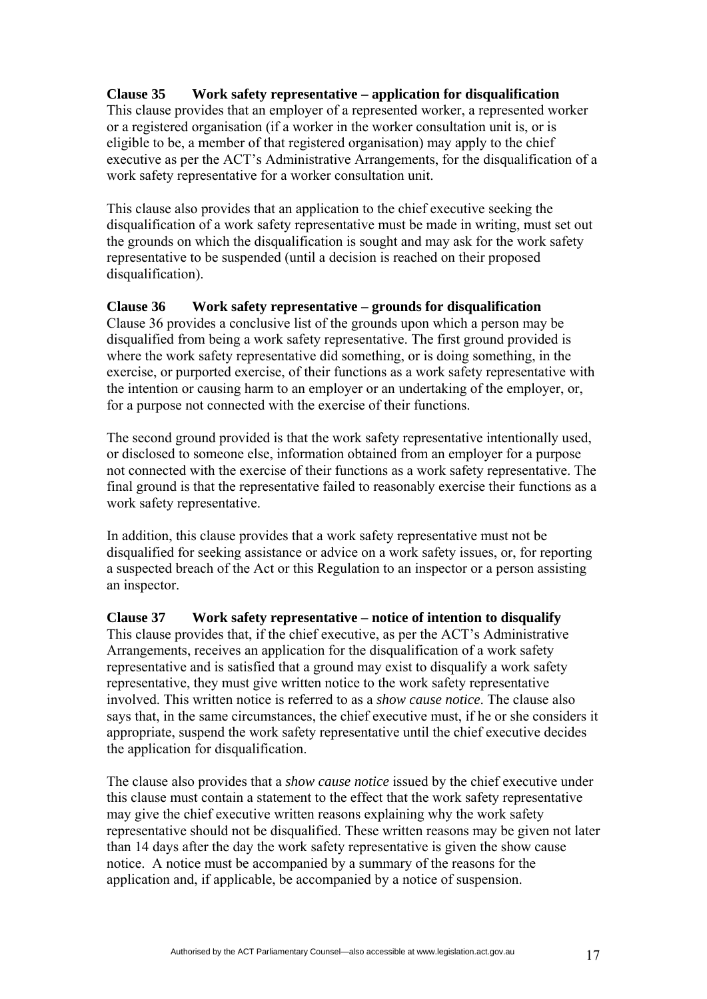# **Clause 35 Work safety representative – application for disqualification**

This clause provides that an employer of a represented worker, a represented worker or a registered organisation (if a worker in the worker consultation unit is, or is eligible to be, a member of that registered organisation) may apply to the chief executive as per the ACT's Administrative Arrangements, for the disqualification of a work safety representative for a worker consultation unit.

This clause also provides that an application to the chief executive seeking the disqualification of a work safety representative must be made in writing, must set out the grounds on which the disqualification is sought and may ask for the work safety representative to be suspended (until a decision is reached on their proposed disqualification).

## **Clause 36 Work safety representative – grounds for disqualification**

Clause 36 provides a conclusive list of the grounds upon which a person may be disqualified from being a work safety representative. The first ground provided is where the work safety representative did something, or is doing something, in the exercise, or purported exercise, of their functions as a work safety representative with the intention or causing harm to an employer or an undertaking of the employer, or, for a purpose not connected with the exercise of their functions.

The second ground provided is that the work safety representative intentionally used, or disclosed to someone else, information obtained from an employer for a purpose not connected with the exercise of their functions as a work safety representative. The final ground is that the representative failed to reasonably exercise their functions as a work safety representative.

In addition, this clause provides that a work safety representative must not be disqualified for seeking assistance or advice on a work safety issues, or, for reporting a suspected breach of the Act or this Regulation to an inspector or a person assisting an inspector.

# **Clause 37 Work safety representative – notice of intention to disqualify**

This clause provides that, if the chief executive, as per the ACT's Administrative Arrangements, receives an application for the disqualification of a work safety representative and is satisfied that a ground may exist to disqualify a work safety representative, they must give written notice to the work safety representative involved. This written notice is referred to as a *show cause notice*. The clause also says that, in the same circumstances, the chief executive must, if he or she considers it appropriate, suspend the work safety representative until the chief executive decides the application for disqualification.

The clause also provides that a *show cause notice* issued by the chief executive under this clause must contain a statement to the effect that the work safety representative may give the chief executive written reasons explaining why the work safety representative should not be disqualified. These written reasons may be given not later than 14 days after the day the work safety representative is given the show cause notice. A notice must be accompanied by a summary of the reasons for the application and, if applicable, be accompanied by a notice of suspension.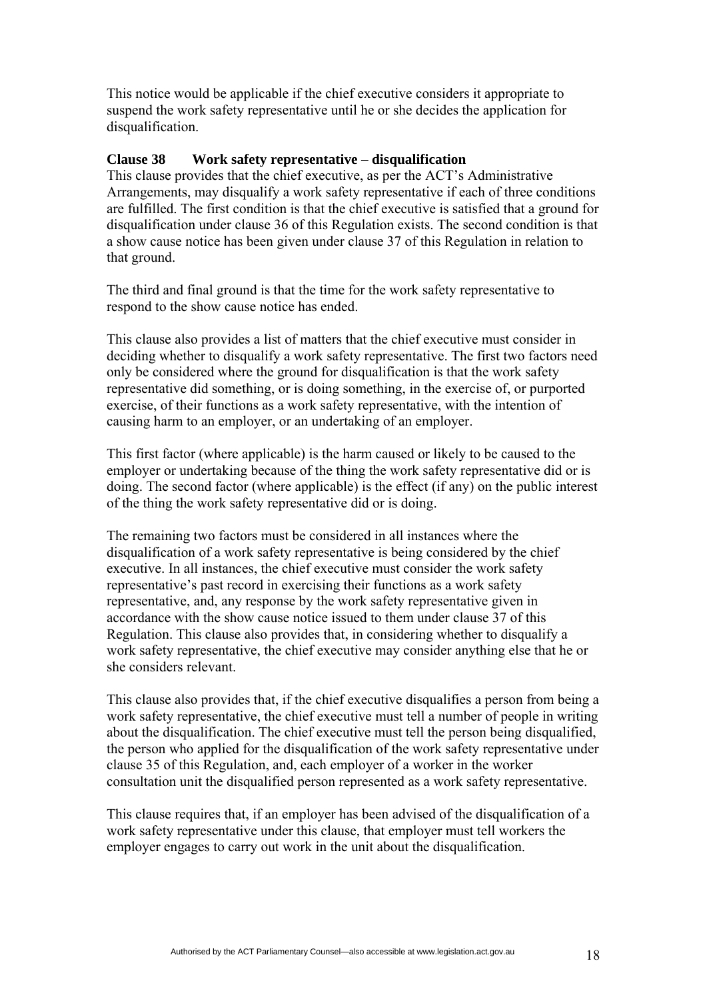This notice would be applicable if the chief executive considers it appropriate to suspend the work safety representative until he or she decides the application for disqualification.

#### **Clause 38 Work safety representative – disqualification**

This clause provides that the chief executive, as per the ACT's Administrative Arrangements, may disqualify a work safety representative if each of three conditions are fulfilled. The first condition is that the chief executive is satisfied that a ground for disqualification under clause 36 of this Regulation exists. The second condition is that a show cause notice has been given under clause 37 of this Regulation in relation to that ground.

The third and final ground is that the time for the work safety representative to respond to the show cause notice has ended.

This clause also provides a list of matters that the chief executive must consider in deciding whether to disqualify a work safety representative. The first two factors need only be considered where the ground for disqualification is that the work safety representative did something, or is doing something, in the exercise of, or purported exercise, of their functions as a work safety representative, with the intention of causing harm to an employer, or an undertaking of an employer.

This first factor (where applicable) is the harm caused or likely to be caused to the employer or undertaking because of the thing the work safety representative did or is doing. The second factor (where applicable) is the effect (if any) on the public interest of the thing the work safety representative did or is doing.

The remaining two factors must be considered in all instances where the disqualification of a work safety representative is being considered by the chief executive. In all instances, the chief executive must consider the work safety representative's past record in exercising their functions as a work safety representative, and, any response by the work safety representative given in accordance with the show cause notice issued to them under clause 37 of this Regulation. This clause also provides that, in considering whether to disqualify a work safety representative, the chief executive may consider anything else that he or she considers relevant.

This clause also provides that, if the chief executive disqualifies a person from being a work safety representative, the chief executive must tell a number of people in writing about the disqualification. The chief executive must tell the person being disqualified, the person who applied for the disqualification of the work safety representative under clause 35 of this Regulation, and, each employer of a worker in the worker consultation unit the disqualified person represented as a work safety representative.

This clause requires that, if an employer has been advised of the disqualification of a work safety representative under this clause, that employer must tell workers the employer engages to carry out work in the unit about the disqualification.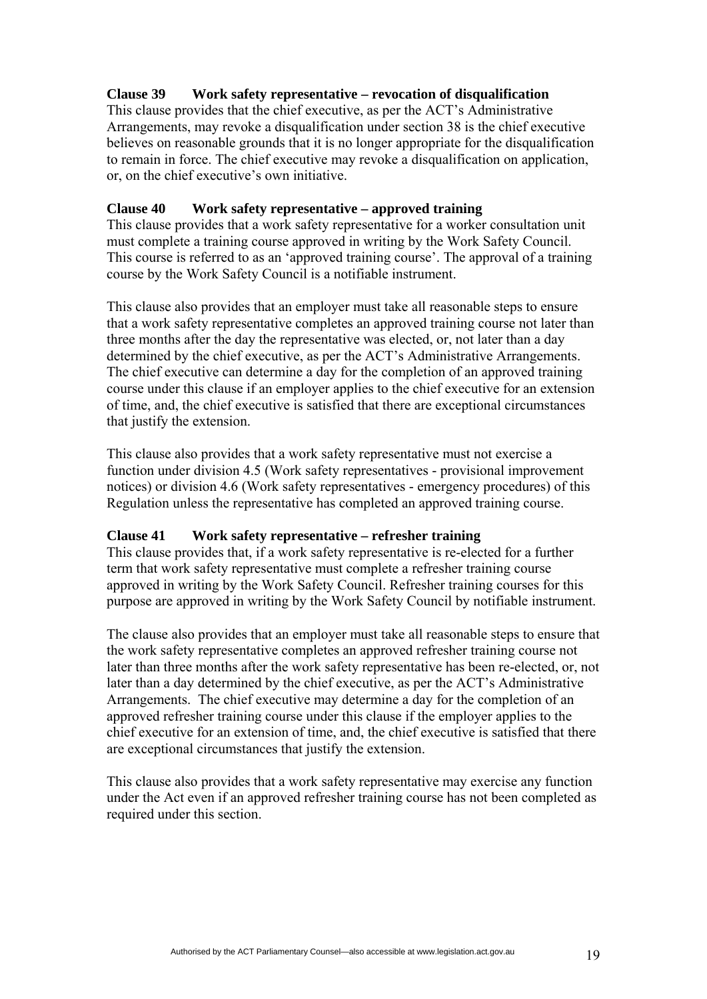## **Clause 39 Work safety representative – revocation of disqualification**

This clause provides that the chief executive, as per the ACT's Administrative Arrangements, may revoke a disqualification under section 38 is the chief executive believes on reasonable grounds that it is no longer appropriate for the disqualification to remain in force. The chief executive may revoke a disqualification on application, or, on the chief executive's own initiative.

## **Clause 40 Work safety representative – approved training**

This clause provides that a work safety representative for a worker consultation unit must complete a training course approved in writing by the Work Safety Council. This course is referred to as an 'approved training course'. The approval of a training course by the Work Safety Council is a notifiable instrument.

This clause also provides that an employer must take all reasonable steps to ensure that a work safety representative completes an approved training course not later than three months after the day the representative was elected, or, not later than a day determined by the chief executive, as per the ACT's Administrative Arrangements. The chief executive can determine a day for the completion of an approved training course under this clause if an employer applies to the chief executive for an extension of time, and, the chief executive is satisfied that there are exceptional circumstances that justify the extension.

This clause also provides that a work safety representative must not exercise a function under division 4.5 (Work safety representatives - provisional improvement notices) or division 4.6 (Work safety representatives - emergency procedures) of this Regulation unless the representative has completed an approved training course.

#### **Clause 41 Work safety representative – refresher training**

This clause provides that, if a work safety representative is re-elected for a further term that work safety representative must complete a refresher training course approved in writing by the Work Safety Council. Refresher training courses for this purpose are approved in writing by the Work Safety Council by notifiable instrument.

The clause also provides that an employer must take all reasonable steps to ensure that the work safety representative completes an approved refresher training course not later than three months after the work safety representative has been re-elected, or, not later than a day determined by the chief executive, as per the ACT's Administrative Arrangements. The chief executive may determine a day for the completion of an approved refresher training course under this clause if the employer applies to the chief executive for an extension of time, and, the chief executive is satisfied that there are exceptional circumstances that justify the extension.

This clause also provides that a work safety representative may exercise any function under the Act even if an approved refresher training course has not been completed as required under this section.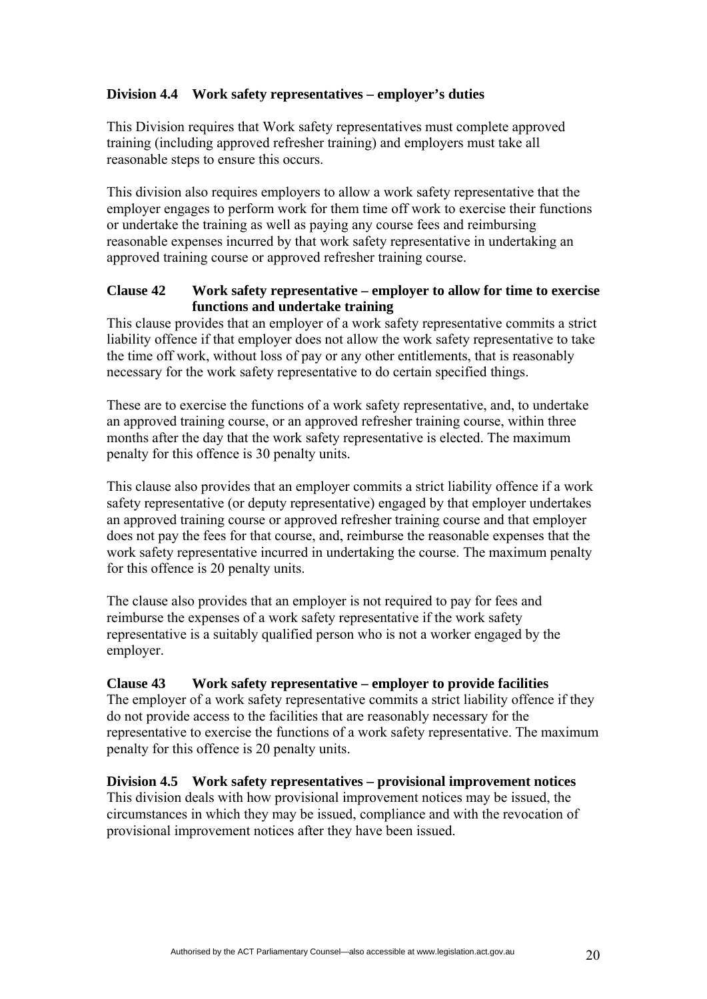## **Division 4.4 Work safety representatives – employer's duties**

This Division requires that Work safety representatives must complete approved training (including approved refresher training) and employers must take all reasonable steps to ensure this occurs.

This division also requires employers to allow a work safety representative that the employer engages to perform work for them time off work to exercise their functions or undertake the training as well as paying any course fees and reimbursing reasonable expenses incurred by that work safety representative in undertaking an approved training course or approved refresher training course.

## **Clause 42 Work safety representative – employer to allow for time to exercise functions and undertake training**

This clause provides that an employer of a work safety representative commits a strict liability offence if that employer does not allow the work safety representative to take the time off work, without loss of pay or any other entitlements, that is reasonably necessary for the work safety representative to do certain specified things.

These are to exercise the functions of a work safety representative, and, to undertake an approved training course, or an approved refresher training course, within three months after the day that the work safety representative is elected. The maximum penalty for this offence is 30 penalty units.

This clause also provides that an employer commits a strict liability offence if a work safety representative (or deputy representative) engaged by that employer undertakes an approved training course or approved refresher training course and that employer does not pay the fees for that course, and, reimburse the reasonable expenses that the work safety representative incurred in undertaking the course. The maximum penalty for this offence is 20 penalty units.

The clause also provides that an employer is not required to pay for fees and reimburse the expenses of a work safety representative if the work safety representative is a suitably qualified person who is not a worker engaged by the employer.

## **Clause 43 Work safety representative – employer to provide facilities**

The employer of a work safety representative commits a strict liability offence if they do not provide access to the facilities that are reasonably necessary for the representative to exercise the functions of a work safety representative. The maximum penalty for this offence is 20 penalty units.

## **Division 4.5 Work safety representatives – provisional improvement notices**

This division deals with how provisional improvement notices may be issued, the circumstances in which they may be issued, compliance and with the revocation of provisional improvement notices after they have been issued.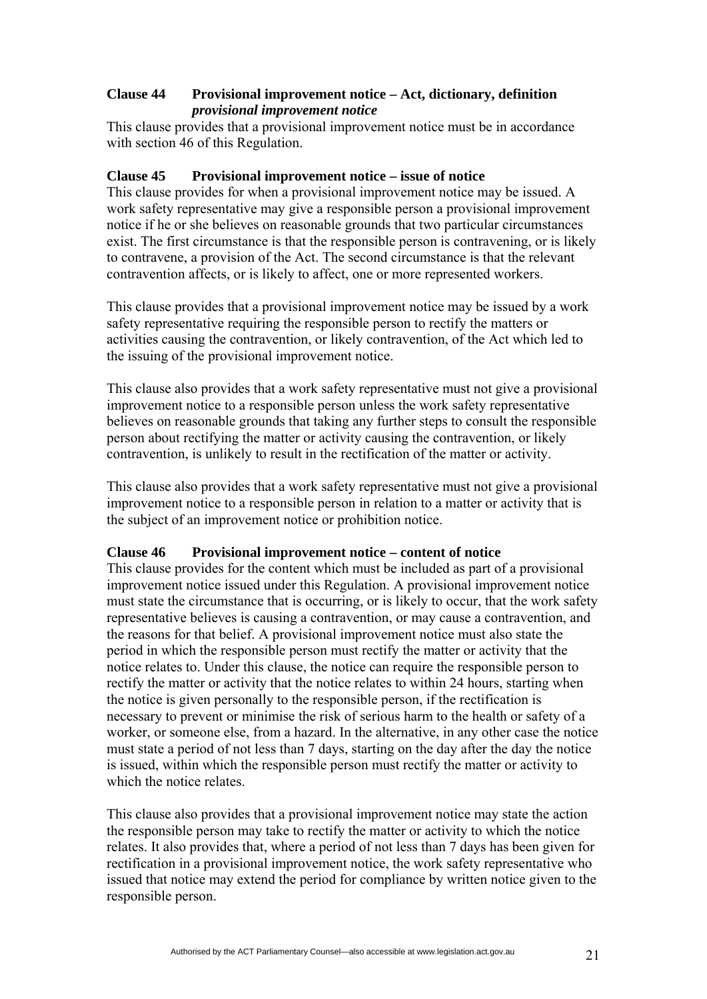## **Clause 44 Provisional improvement notice – Act, dictionary, definition**  *provisional improvement notice*

This clause provides that a provisional improvement notice must be in accordance with section 46 of this Regulation.

## **Clause 45 Provisional improvement notice – issue of notice**

This clause provides for when a provisional improvement notice may be issued. A work safety representative may give a responsible person a provisional improvement notice if he or she believes on reasonable grounds that two particular circumstances exist. The first circumstance is that the responsible person is contravening, or is likely to contravene, a provision of the Act. The second circumstance is that the relevant contravention affects, or is likely to affect, one or more represented workers.

This clause provides that a provisional improvement notice may be issued by a work safety representative requiring the responsible person to rectify the matters or activities causing the contravention, or likely contravention, of the Act which led to the issuing of the provisional improvement notice.

This clause also provides that a work safety representative must not give a provisional improvement notice to a responsible person unless the work safety representative believes on reasonable grounds that taking any further steps to consult the responsible person about rectifying the matter or activity causing the contravention, or likely contravention, is unlikely to result in the rectification of the matter or activity.

This clause also provides that a work safety representative must not give a provisional improvement notice to a responsible person in relation to a matter or activity that is the subject of an improvement notice or prohibition notice.

#### **Clause 46 Provisional improvement notice – content of notice**

This clause provides for the content which must be included as part of a provisional improvement notice issued under this Regulation. A provisional improvement notice must state the circumstance that is occurring, or is likely to occur, that the work safety representative believes is causing a contravention, or may cause a contravention, and the reasons for that belief. A provisional improvement notice must also state the period in which the responsible person must rectify the matter or activity that the notice relates to. Under this clause, the notice can require the responsible person to rectify the matter or activity that the notice relates to within 24 hours, starting when the notice is given personally to the responsible person, if the rectification is necessary to prevent or minimise the risk of serious harm to the health or safety of a worker, or someone else, from a hazard. In the alternative, in any other case the notice must state a period of not less than 7 days, starting on the day after the day the notice is issued, within which the responsible person must rectify the matter or activity to which the notice relates.

This clause also provides that a provisional improvement notice may state the action the responsible person may take to rectify the matter or activity to which the notice relates. It also provides that, where a period of not less than 7 days has been given for rectification in a provisional improvement notice, the work safety representative who issued that notice may extend the period for compliance by written notice given to the responsible person.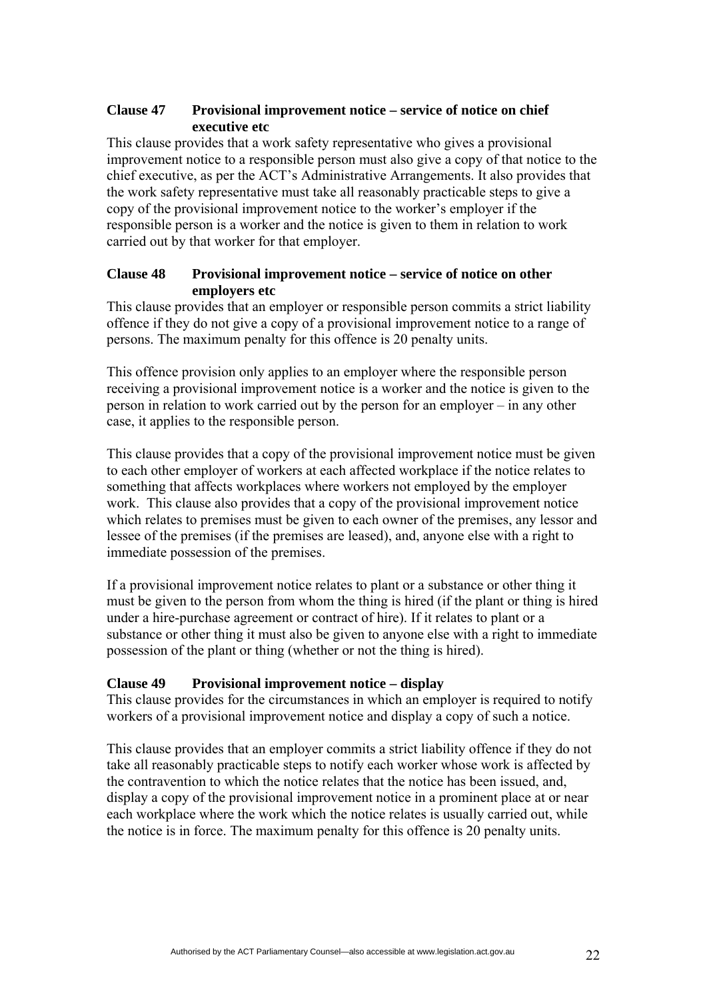## **Clause 47 Provisional improvement notice – service of notice on chief executive etc**

This clause provides that a work safety representative who gives a provisional improvement notice to a responsible person must also give a copy of that notice to the chief executive, as per the ACT's Administrative Arrangements. It also provides that the work safety representative must take all reasonably practicable steps to give a copy of the provisional improvement notice to the worker's employer if the responsible person is a worker and the notice is given to them in relation to work carried out by that worker for that employer.

## **Clause 48 Provisional improvement notice – service of notice on other employers etc**

This clause provides that an employer or responsible person commits a strict liability offence if they do not give a copy of a provisional improvement notice to a range of persons. The maximum penalty for this offence is 20 penalty units.

This offence provision only applies to an employer where the responsible person receiving a provisional improvement notice is a worker and the notice is given to the person in relation to work carried out by the person for an employer – in any other case, it applies to the responsible person.

This clause provides that a copy of the provisional improvement notice must be given to each other employer of workers at each affected workplace if the notice relates to something that affects workplaces where workers not employed by the employer work. This clause also provides that a copy of the provisional improvement notice which relates to premises must be given to each owner of the premises, any lessor and lessee of the premises (if the premises are leased), and, anyone else with a right to immediate possession of the premises.

If a provisional improvement notice relates to plant or a substance or other thing it must be given to the person from whom the thing is hired (if the plant or thing is hired under a hire-purchase agreement or contract of hire). If it relates to plant or a substance or other thing it must also be given to anyone else with a right to immediate possession of the plant or thing (whether or not the thing is hired).

## **Clause 49 Provisional improvement notice – display**

This clause provides for the circumstances in which an employer is required to notify workers of a provisional improvement notice and display a copy of such a notice.

This clause provides that an employer commits a strict liability offence if they do not take all reasonably practicable steps to notify each worker whose work is affected by the contravention to which the notice relates that the notice has been issued, and, display a copy of the provisional improvement notice in a prominent place at or near each workplace where the work which the notice relates is usually carried out, while the notice is in force. The maximum penalty for this offence is 20 penalty units.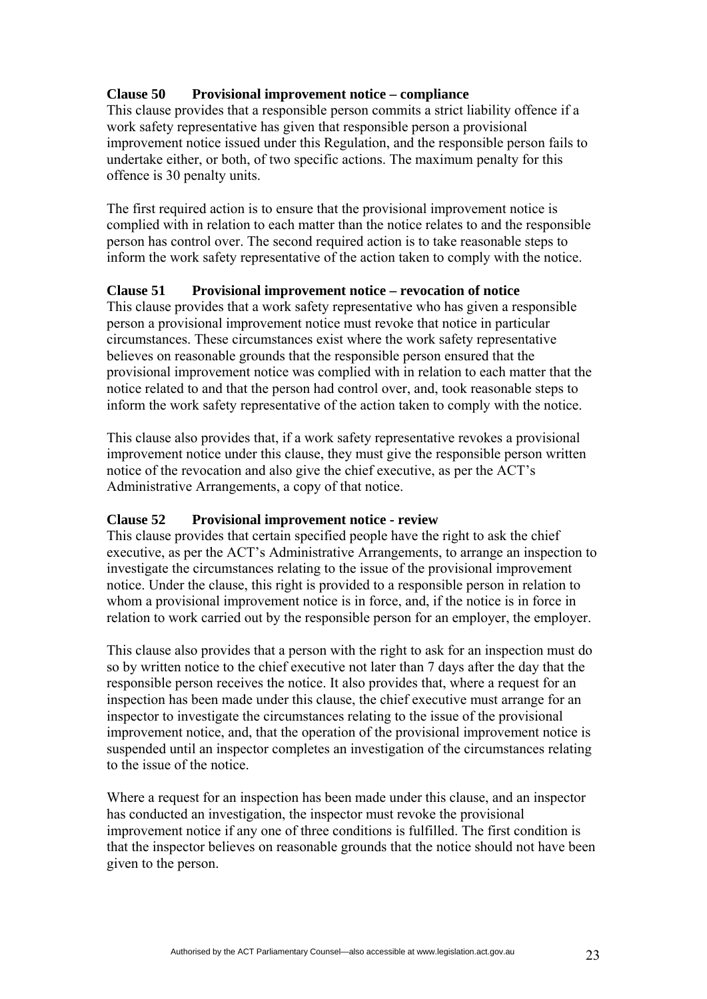# **Clause 50 Provisional improvement notice – compliance**

This clause provides that a responsible person commits a strict liability offence if a work safety representative has given that responsible person a provisional improvement notice issued under this Regulation, and the responsible person fails to undertake either, or both, of two specific actions. The maximum penalty for this offence is 30 penalty units.

The first required action is to ensure that the provisional improvement notice is complied with in relation to each matter than the notice relates to and the responsible person has control over. The second required action is to take reasonable steps to inform the work safety representative of the action taken to comply with the notice.

## **Clause 51 Provisional improvement notice – revocation of notice**

This clause provides that a work safety representative who has given a responsible person a provisional improvement notice must revoke that notice in particular circumstances. These circumstances exist where the work safety representative believes on reasonable grounds that the responsible person ensured that the provisional improvement notice was complied with in relation to each matter that the notice related to and that the person had control over, and, took reasonable steps to inform the work safety representative of the action taken to comply with the notice.

This clause also provides that, if a work safety representative revokes a provisional improvement notice under this clause, they must give the responsible person written notice of the revocation and also give the chief executive, as per the ACT's Administrative Arrangements, a copy of that notice.

## **Clause 52 Provisional improvement notice - review**

This clause provides that certain specified people have the right to ask the chief executive, as per the ACT's Administrative Arrangements, to arrange an inspection to investigate the circumstances relating to the issue of the provisional improvement notice. Under the clause, this right is provided to a responsible person in relation to whom a provisional improvement notice is in force, and, if the notice is in force in relation to work carried out by the responsible person for an employer, the employer.

This clause also provides that a person with the right to ask for an inspection must do so by written notice to the chief executive not later than 7 days after the day that the responsible person receives the notice. It also provides that, where a request for an inspection has been made under this clause, the chief executive must arrange for an inspector to investigate the circumstances relating to the issue of the provisional improvement notice, and, that the operation of the provisional improvement notice is suspended until an inspector completes an investigation of the circumstances relating to the issue of the notice.

Where a request for an inspection has been made under this clause, and an inspector has conducted an investigation, the inspector must revoke the provisional improvement notice if any one of three conditions is fulfilled. The first condition is that the inspector believes on reasonable grounds that the notice should not have been given to the person.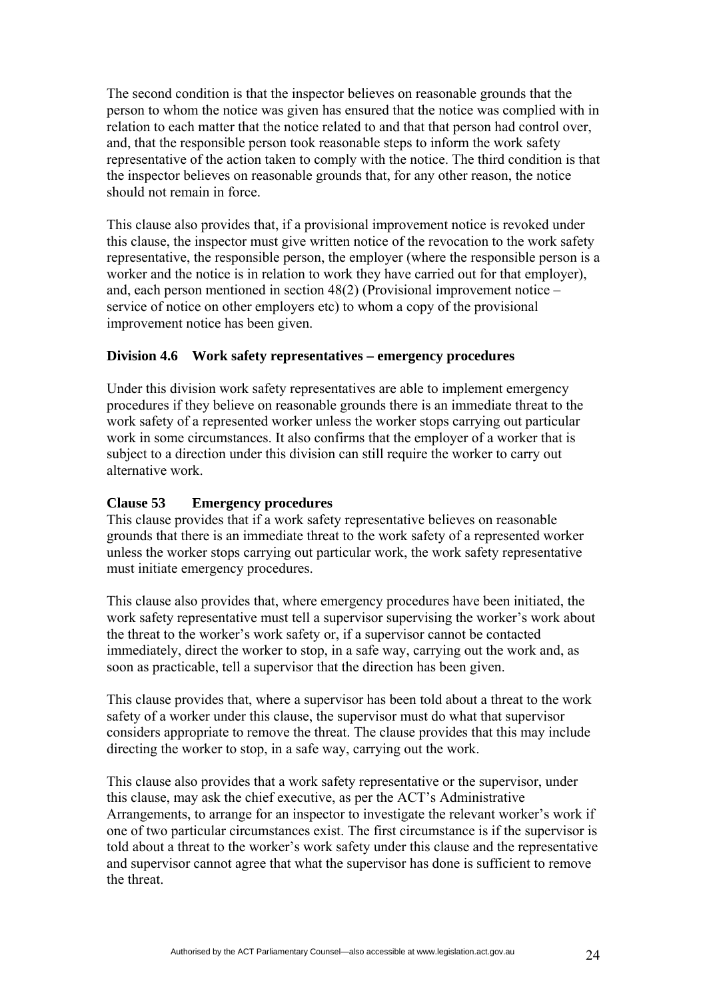The second condition is that the inspector believes on reasonable grounds that the person to whom the notice was given has ensured that the notice was complied with in relation to each matter that the notice related to and that that person had control over, and, that the responsible person took reasonable steps to inform the work safety representative of the action taken to comply with the notice. The third condition is that the inspector believes on reasonable grounds that, for any other reason, the notice should not remain in force.

This clause also provides that, if a provisional improvement notice is revoked under this clause, the inspector must give written notice of the revocation to the work safety representative, the responsible person, the employer (where the responsible person is a worker and the notice is in relation to work they have carried out for that employer), and, each person mentioned in section 48(2) (Provisional improvement notice – service of notice on other employers etc) to whom a copy of the provisional improvement notice has been given.

## **Division 4.6 Work safety representatives – emergency procedures**

Under this division work safety representatives are able to implement emergency procedures if they believe on reasonable grounds there is an immediate threat to the work safety of a represented worker unless the worker stops carrying out particular work in some circumstances. It also confirms that the employer of a worker that is subject to a direction under this division can still require the worker to carry out alternative work.

## **Clause 53 Emergency procedures**

This clause provides that if a work safety representative believes on reasonable grounds that there is an immediate threat to the work safety of a represented worker unless the worker stops carrying out particular work, the work safety representative must initiate emergency procedures.

This clause also provides that, where emergency procedures have been initiated, the work safety representative must tell a supervisor supervising the worker's work about the threat to the worker's work safety or, if a supervisor cannot be contacted immediately, direct the worker to stop, in a safe way, carrying out the work and, as soon as practicable, tell a supervisor that the direction has been given.

This clause provides that, where a supervisor has been told about a threat to the work safety of a worker under this clause, the supervisor must do what that supervisor considers appropriate to remove the threat. The clause provides that this may include directing the worker to stop, in a safe way, carrying out the work.

This clause also provides that a work safety representative or the supervisor, under this clause, may ask the chief executive, as per the ACT's Administrative Arrangements, to arrange for an inspector to investigate the relevant worker's work if one of two particular circumstances exist. The first circumstance is if the supervisor is told about a threat to the worker's work safety under this clause and the representative and supervisor cannot agree that what the supervisor has done is sufficient to remove the threat.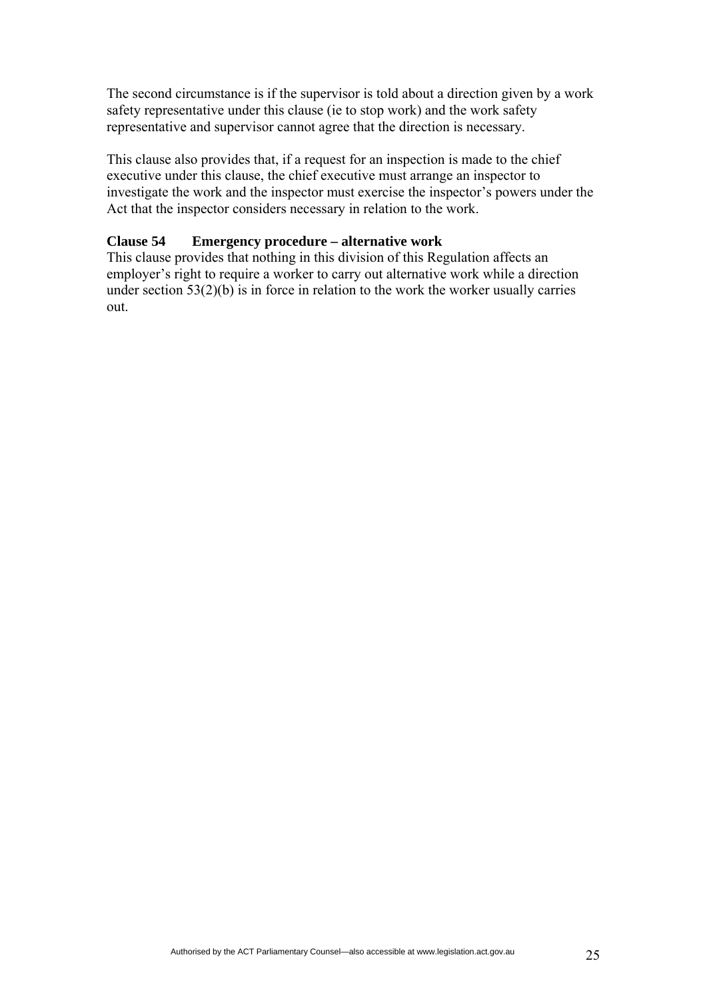The second circumstance is if the supervisor is told about a direction given by a work safety representative under this clause (ie to stop work) and the work safety representative and supervisor cannot agree that the direction is necessary.

This clause also provides that, if a request for an inspection is made to the chief executive under this clause, the chief executive must arrange an inspector to investigate the work and the inspector must exercise the inspector's powers under the Act that the inspector considers necessary in relation to the work.

#### **Clause 54 Emergency procedure – alternative work**

This clause provides that nothing in this division of this Regulation affects an employer's right to require a worker to carry out alternative work while a direction under section  $53(2)(b)$  is in force in relation to the work the worker usually carries out.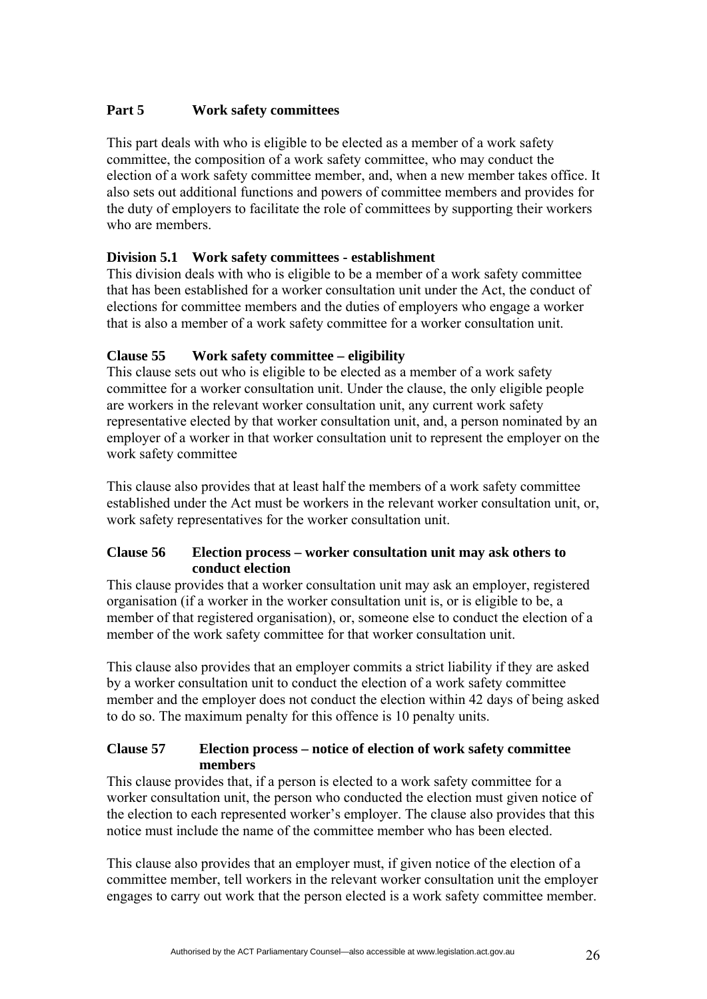# **Part 5 Work safety committees**

This part deals with who is eligible to be elected as a member of a work safety committee, the composition of a work safety committee, who may conduct the election of a work safety committee member, and, when a new member takes office. It also sets out additional functions and powers of committee members and provides for the duty of employers to facilitate the role of committees by supporting their workers who are members.

# **Division 5.1 Work safety committees - establishment**

This division deals with who is eligible to be a member of a work safety committee that has been established for a worker consultation unit under the Act, the conduct of elections for committee members and the duties of employers who engage a worker that is also a member of a work safety committee for a worker consultation unit.

# **Clause 55 Work safety committee – eligibility**

This clause sets out who is eligible to be elected as a member of a work safety committee for a worker consultation unit. Under the clause, the only eligible people are workers in the relevant worker consultation unit, any current work safety representative elected by that worker consultation unit, and, a person nominated by an employer of a worker in that worker consultation unit to represent the employer on the work safety committee

This clause also provides that at least half the members of a work safety committee established under the Act must be workers in the relevant worker consultation unit, or, work safety representatives for the worker consultation unit.

## **Clause 56 Election process – worker consultation unit may ask others to conduct election**

This clause provides that a worker consultation unit may ask an employer, registered organisation (if a worker in the worker consultation unit is, or is eligible to be, a member of that registered organisation), or, someone else to conduct the election of a member of the work safety committee for that worker consultation unit.

This clause also provides that an employer commits a strict liability if they are asked by a worker consultation unit to conduct the election of a work safety committee member and the employer does not conduct the election within 42 days of being asked to do so. The maximum penalty for this offence is 10 penalty units.

## **Clause 57 Election process – notice of election of work safety committee members**

This clause provides that, if a person is elected to a work safety committee for a worker consultation unit, the person who conducted the election must given notice of the election to each represented worker's employer. The clause also provides that this notice must include the name of the committee member who has been elected.

This clause also provides that an employer must, if given notice of the election of a committee member, tell workers in the relevant worker consultation unit the employer engages to carry out work that the person elected is a work safety committee member.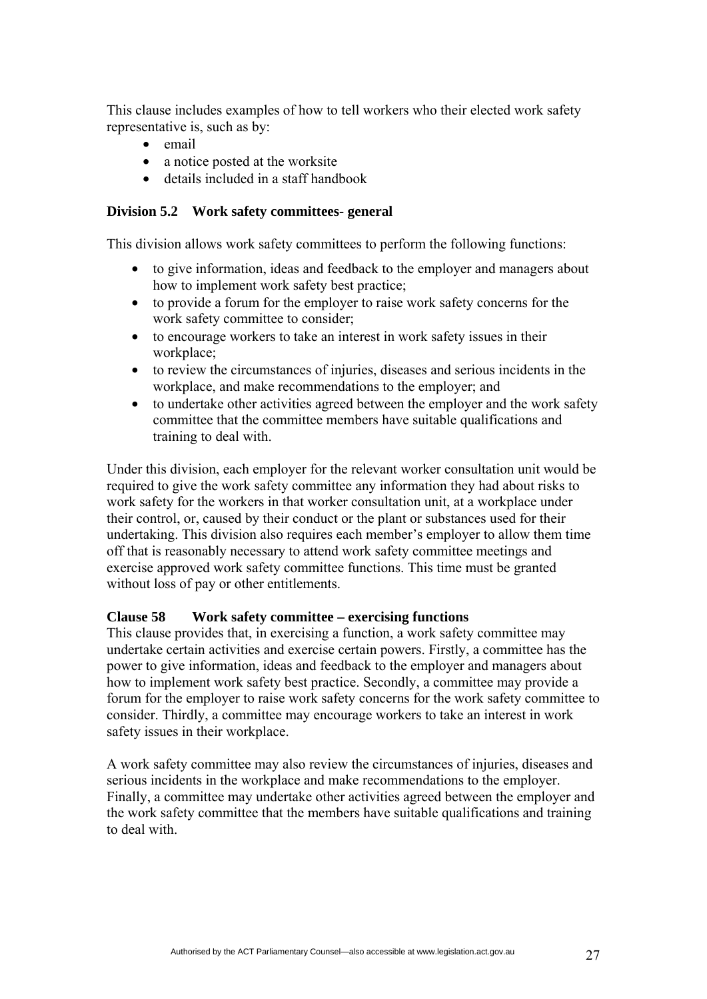This clause includes examples of how to tell workers who their elected work safety representative is, such as by:

- email
- a notice posted at the worksite
- details included in a staff handbook

#### **Division 5.2 Work safety committees- general**

This division allows work safety committees to perform the following functions:

- to give information, ideas and feedback to the employer and managers about how to implement work safety best practice;
- to provide a forum for the employer to raise work safety concerns for the work safety committee to consider:
- to encourage workers to take an interest in work safety issues in their workplace;
- to review the circumstances of injuries, diseases and serious incidents in the workplace, and make recommendations to the employer; and
- to undertake other activities agreed between the employer and the work safety committee that the committee members have suitable qualifications and training to deal with.

Under this division, each employer for the relevant worker consultation unit would be required to give the work safety committee any information they had about risks to work safety for the workers in that worker consultation unit, at a workplace under their control, or, caused by their conduct or the plant or substances used for their undertaking. This division also requires each member's employer to allow them time off that is reasonably necessary to attend work safety committee meetings and exercise approved work safety committee functions. This time must be granted without loss of pay or other entitlements.

#### **Clause 58 Work safety committee – exercising functions**

This clause provides that, in exercising a function, a work safety committee may undertake certain activities and exercise certain powers. Firstly, a committee has the power to give information, ideas and feedback to the employer and managers about how to implement work safety best practice. Secondly, a committee may provide a forum for the employer to raise work safety concerns for the work safety committee to consider. Thirdly, a committee may encourage workers to take an interest in work safety issues in their workplace.

A work safety committee may also review the circumstances of injuries, diseases and serious incidents in the workplace and make recommendations to the employer. Finally, a committee may undertake other activities agreed between the employer and the work safety committee that the members have suitable qualifications and training to deal with.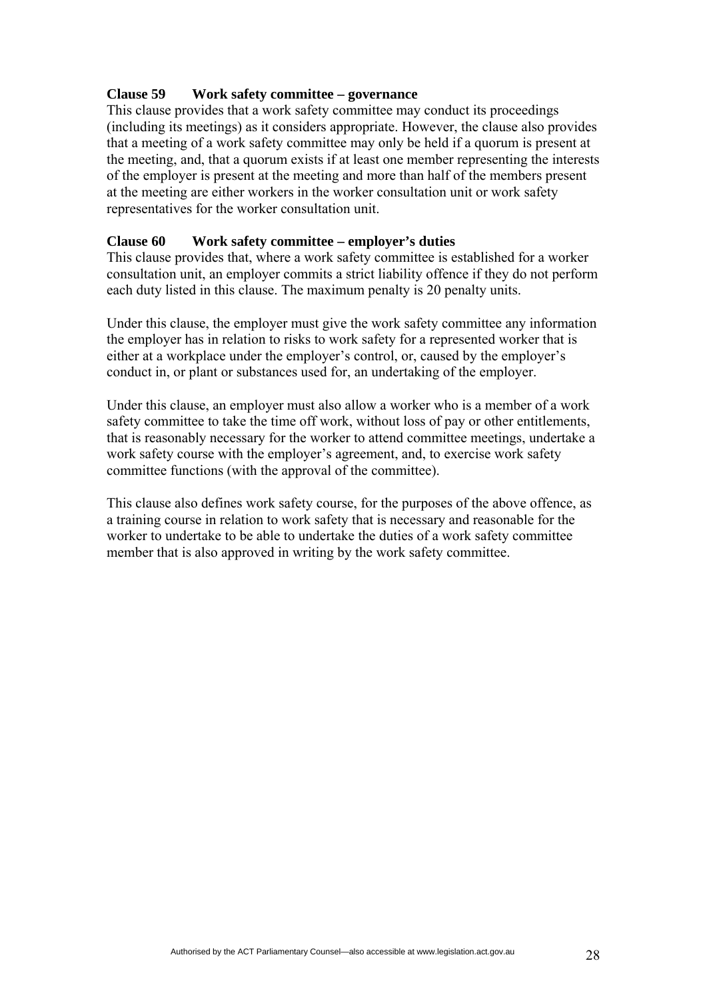#### **Clause 59 Work safety committee – governance**

This clause provides that a work safety committee may conduct its proceedings (including its meetings) as it considers appropriate. However, the clause also provides that a meeting of a work safety committee may only be held if a quorum is present at the meeting, and, that a quorum exists if at least one member representing the interests of the employer is present at the meeting and more than half of the members present at the meeting are either workers in the worker consultation unit or work safety representatives for the worker consultation unit.

#### **Clause 60 Work safety committee – employer's duties**

This clause provides that, where a work safety committee is established for a worker consultation unit, an employer commits a strict liability offence if they do not perform each duty listed in this clause. The maximum penalty is 20 penalty units.

Under this clause, the employer must give the work safety committee any information the employer has in relation to risks to work safety for a represented worker that is either at a workplace under the employer's control, or, caused by the employer's conduct in, or plant or substances used for, an undertaking of the employer.

Under this clause, an employer must also allow a worker who is a member of a work safety committee to take the time off work, without loss of pay or other entitlements, that is reasonably necessary for the worker to attend committee meetings, undertake a work safety course with the employer's agreement, and, to exercise work safety committee functions (with the approval of the committee).

This clause also defines work safety course, for the purposes of the above offence, as a training course in relation to work safety that is necessary and reasonable for the worker to undertake to be able to undertake the duties of a work safety committee member that is also approved in writing by the work safety committee.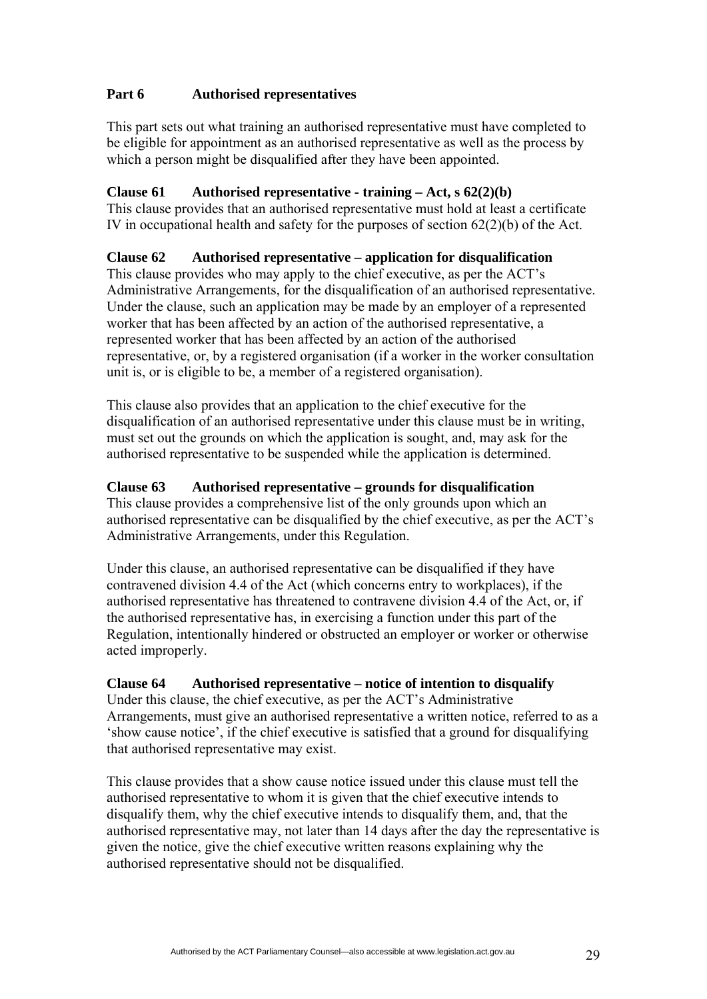# **Part 6 Authorised representatives**

This part sets out what training an authorised representative must have completed to be eligible for appointment as an authorised representative as well as the process by which a person might be disqualified after they have been appointed.

## **Clause 61 Authorised representative - training – Act, s 62(2)(b)**

This clause provides that an authorised representative must hold at least a certificate IV in occupational health and safety for the purposes of section 62(2)(b) of the Act.

## **Clause 62 Authorised representative – application for disqualification**

This clause provides who may apply to the chief executive, as per the ACT's Administrative Arrangements, for the disqualification of an authorised representative. Under the clause, such an application may be made by an employer of a represented worker that has been affected by an action of the authorised representative, a represented worker that has been affected by an action of the authorised representative, or, by a registered organisation (if a worker in the worker consultation unit is, or is eligible to be, a member of a registered organisation).

This clause also provides that an application to the chief executive for the disqualification of an authorised representative under this clause must be in writing, must set out the grounds on which the application is sought, and, may ask for the authorised representative to be suspended while the application is determined.

#### **Clause 63 Authorised representative – grounds for disqualification**

This clause provides a comprehensive list of the only grounds upon which an authorised representative can be disqualified by the chief executive, as per the ACT's Administrative Arrangements, under this Regulation.

Under this clause, an authorised representative can be disqualified if they have contravened division 4.4 of the Act (which concerns entry to workplaces), if the authorised representative has threatened to contravene division 4.4 of the Act, or, if the authorised representative has, in exercising a function under this part of the Regulation, intentionally hindered or obstructed an employer or worker or otherwise acted improperly.

#### **Clause 64 Authorised representative – notice of intention to disqualify**

Under this clause, the chief executive, as per the ACT's Administrative Arrangements, must give an authorised representative a written notice, referred to as a 'show cause notice', if the chief executive is satisfied that a ground for disqualifying that authorised representative may exist.

This clause provides that a show cause notice issued under this clause must tell the authorised representative to whom it is given that the chief executive intends to disqualify them, why the chief executive intends to disqualify them, and, that the authorised representative may, not later than 14 days after the day the representative is given the notice, give the chief executive written reasons explaining why the authorised representative should not be disqualified.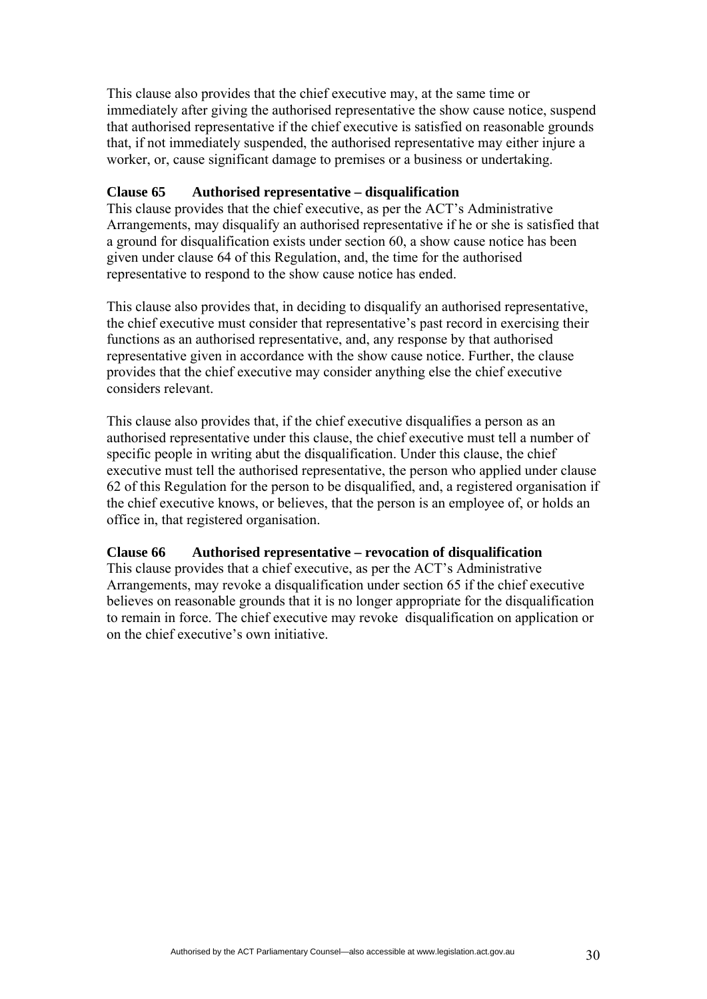This clause also provides that the chief executive may, at the same time or immediately after giving the authorised representative the show cause notice, suspend that authorised representative if the chief executive is satisfied on reasonable grounds that, if not immediately suspended, the authorised representative may either injure a worker, or, cause significant damage to premises or a business or undertaking.

#### **Clause 65 Authorised representative – disqualification**

This clause provides that the chief executive, as per the ACT's Administrative Arrangements, may disqualify an authorised representative if he or she is satisfied that a ground for disqualification exists under section 60, a show cause notice has been given under clause 64 of this Regulation, and, the time for the authorised representative to respond to the show cause notice has ended.

This clause also provides that, in deciding to disqualify an authorised representative, the chief executive must consider that representative's past record in exercising their functions as an authorised representative, and, any response by that authorised representative given in accordance with the show cause notice. Further, the clause provides that the chief executive may consider anything else the chief executive considers relevant.

This clause also provides that, if the chief executive disqualifies a person as an authorised representative under this clause, the chief executive must tell a number of specific people in writing abut the disqualification. Under this clause, the chief executive must tell the authorised representative, the person who applied under clause 62 of this Regulation for the person to be disqualified, and, a registered organisation if the chief executive knows, or believes, that the person is an employee of, or holds an office in, that registered organisation.

#### **Clause 66 Authorised representative – revocation of disqualification**

This clause provides that a chief executive, as per the ACT's Administrative Arrangements, may revoke a disqualification under section 65 if the chief executive believes on reasonable grounds that it is no longer appropriate for the disqualification to remain in force. The chief executive may revoke disqualification on application or on the chief executive's own initiative.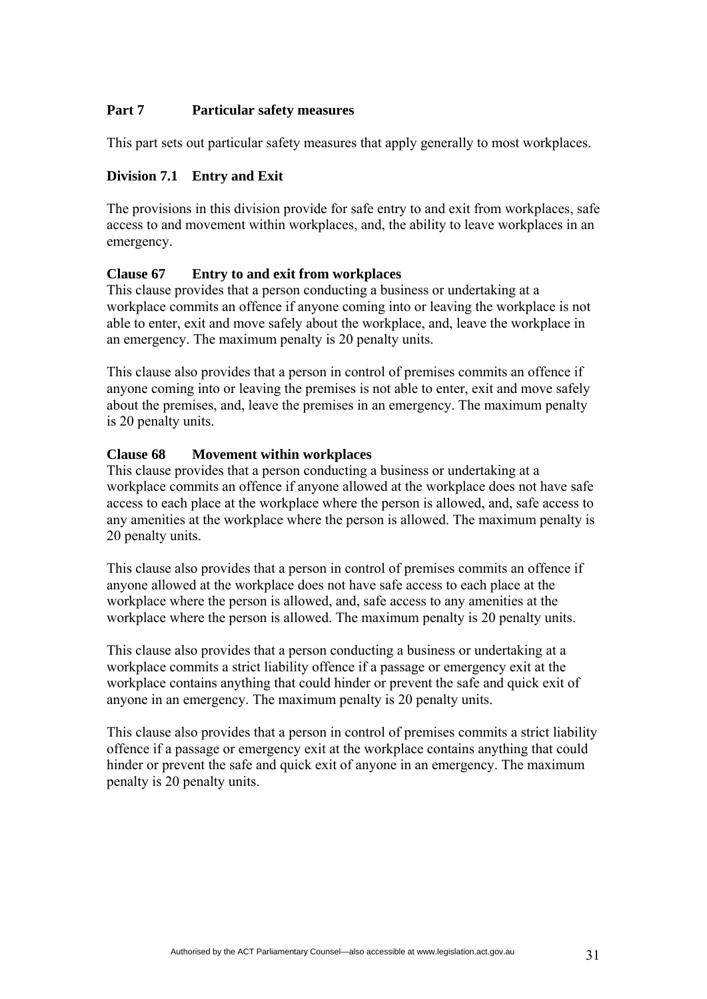#### **Part 7 Particular safety measures**

This part sets out particular safety measures that apply generally to most workplaces.

#### **Division 7.1 Entry and Exit**

The provisions in this division provide for safe entry to and exit from workplaces, safe access to and movement within workplaces, and, the ability to leave workplaces in an emergency.

#### **Clause 67 Entry to and exit from workplaces**

This clause provides that a person conducting a business or undertaking at a workplace commits an offence if anyone coming into or leaving the workplace is not able to enter, exit and move safely about the workplace, and, leave the workplace in an emergency. The maximum penalty is 20 penalty units.

This clause also provides that a person in control of premises commits an offence if anyone coming into or leaving the premises is not able to enter, exit and move safely about the premises, and, leave the premises in an emergency. The maximum penalty is 20 penalty units.

#### **Clause 68 Movement within workplaces**

This clause provides that a person conducting a business or undertaking at a workplace commits an offence if anyone allowed at the workplace does not have safe access to each place at the workplace where the person is allowed, and, safe access to any amenities at the workplace where the person is allowed. The maximum penalty is 20 penalty units.

This clause also provides that a person in control of premises commits an offence if anyone allowed at the workplace does not have safe access to each place at the workplace where the person is allowed, and, safe access to any amenities at the workplace where the person is allowed. The maximum penalty is 20 penalty units.

This clause also provides that a person conducting a business or undertaking at a workplace commits a strict liability offence if a passage or emergency exit at the workplace contains anything that could hinder or prevent the safe and quick exit of anyone in an emergency. The maximum penalty is 20 penalty units.

This clause also provides that a person in control of premises commits a strict liability offence if a passage or emergency exit at the workplace contains anything that could hinder or prevent the safe and quick exit of anyone in an emergency. The maximum penalty is 20 penalty units.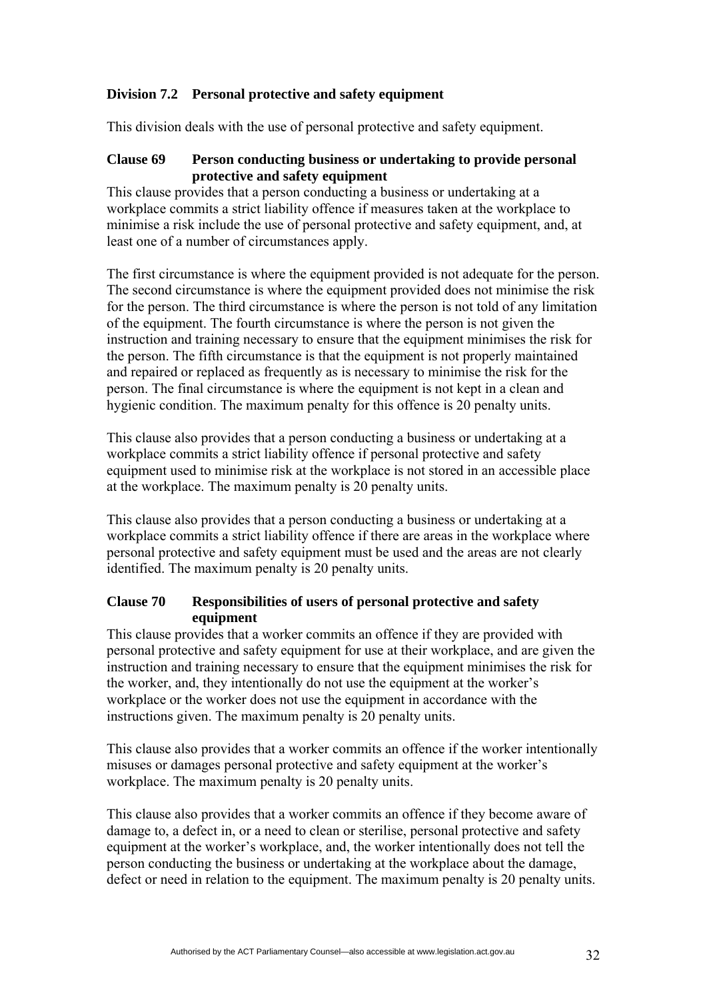# **Division 7.2 Personal protective and safety equipment**

This division deals with the use of personal protective and safety equipment.

#### **Clause 69 Person conducting business or undertaking to provide personal protective and safety equipment**

This clause provides that a person conducting a business or undertaking at a workplace commits a strict liability offence if measures taken at the workplace to minimise a risk include the use of personal protective and safety equipment, and, at least one of a number of circumstances apply.

The first circumstance is where the equipment provided is not adequate for the person. The second circumstance is where the equipment provided does not minimise the risk for the person. The third circumstance is where the person is not told of any limitation of the equipment. The fourth circumstance is where the person is not given the instruction and training necessary to ensure that the equipment minimises the risk for the person. The fifth circumstance is that the equipment is not properly maintained and repaired or replaced as frequently as is necessary to minimise the risk for the person. The final circumstance is where the equipment is not kept in a clean and hygienic condition. The maximum penalty for this offence is 20 penalty units.

This clause also provides that a person conducting a business or undertaking at a workplace commits a strict liability offence if personal protective and safety equipment used to minimise risk at the workplace is not stored in an accessible place at the workplace. The maximum penalty is 20 penalty units.

This clause also provides that a person conducting a business or undertaking at a workplace commits a strict liability offence if there are areas in the workplace where personal protective and safety equipment must be used and the areas are not clearly identified. The maximum penalty is 20 penalty units.

## **Clause 70 Responsibilities of users of personal protective and safety equipment**

This clause provides that a worker commits an offence if they are provided with personal protective and safety equipment for use at their workplace, and are given the instruction and training necessary to ensure that the equipment minimises the risk for the worker, and, they intentionally do not use the equipment at the worker's workplace or the worker does not use the equipment in accordance with the instructions given. The maximum penalty is 20 penalty units.

This clause also provides that a worker commits an offence if the worker intentionally misuses or damages personal protective and safety equipment at the worker's workplace. The maximum penalty is 20 penalty units.

This clause also provides that a worker commits an offence if they become aware of damage to, a defect in, or a need to clean or sterilise, personal protective and safety equipment at the worker's workplace, and, the worker intentionally does not tell the person conducting the business or undertaking at the workplace about the damage, defect or need in relation to the equipment. The maximum penalty is 20 penalty units.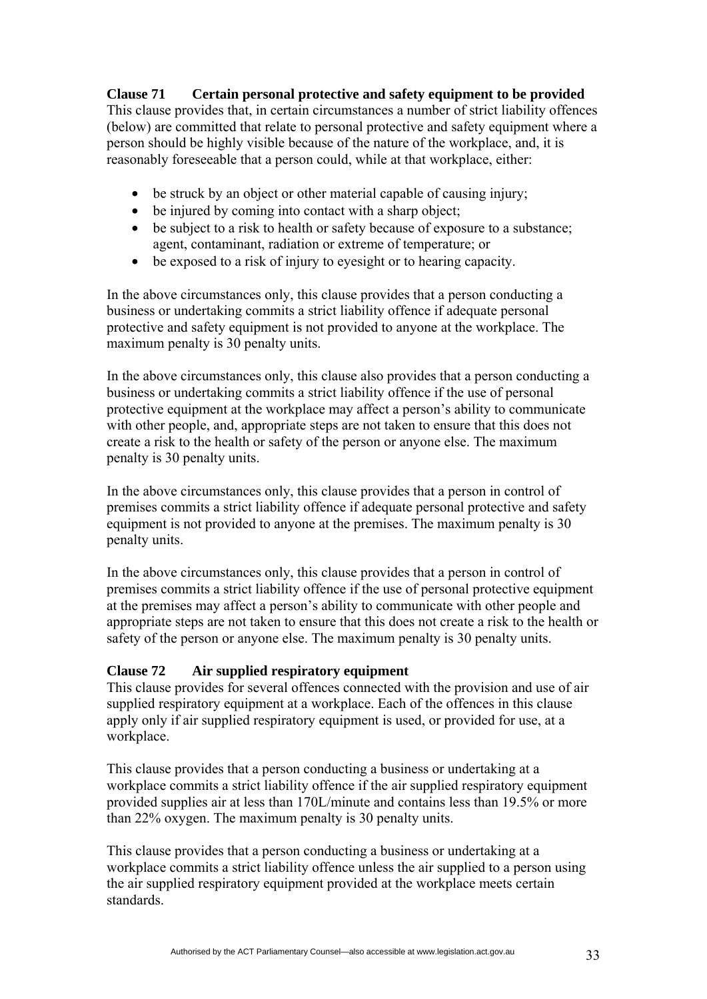# **Clause 71 Certain personal protective and safety equipment to be provided**

This clause provides that, in certain circumstances a number of strict liability offences (below) are committed that relate to personal protective and safety equipment where a person should be highly visible because of the nature of the workplace, and, it is reasonably foreseeable that a person could, while at that workplace, either:

- be struck by an object or other material capable of causing injury;
- be injured by coming into contact with a sharp object;
- be subject to a risk to health or safety because of exposure to a substance; agent, contaminant, radiation or extreme of temperature; or
- be exposed to a risk of injury to eyesight or to hearing capacity.

In the above circumstances only, this clause provides that a person conducting a business or undertaking commits a strict liability offence if adequate personal protective and safety equipment is not provided to anyone at the workplace. The maximum penalty is 30 penalty units.

In the above circumstances only, this clause also provides that a person conducting a business or undertaking commits a strict liability offence if the use of personal protective equipment at the workplace may affect a person's ability to communicate with other people, and, appropriate steps are not taken to ensure that this does not create a risk to the health or safety of the person or anyone else. The maximum penalty is 30 penalty units.

In the above circumstances only, this clause provides that a person in control of premises commits a strict liability offence if adequate personal protective and safety equipment is not provided to anyone at the premises. The maximum penalty is 30 penalty units.

In the above circumstances only, this clause provides that a person in control of premises commits a strict liability offence if the use of personal protective equipment at the premises may affect a person's ability to communicate with other people and appropriate steps are not taken to ensure that this does not create a risk to the health or safety of the person or anyone else. The maximum penalty is 30 penalty units.

# **Clause 72 Air supplied respiratory equipment**

This clause provides for several offences connected with the provision and use of air supplied respiratory equipment at a workplace. Each of the offences in this clause apply only if air supplied respiratory equipment is used, or provided for use, at a workplace.

This clause provides that a person conducting a business or undertaking at a workplace commits a strict liability offence if the air supplied respiratory equipment provided supplies air at less than 170L/minute and contains less than 19.5% or more than 22% oxygen. The maximum penalty is 30 penalty units.

This clause provides that a person conducting a business or undertaking at a workplace commits a strict liability offence unless the air supplied to a person using the air supplied respiratory equipment provided at the workplace meets certain standards.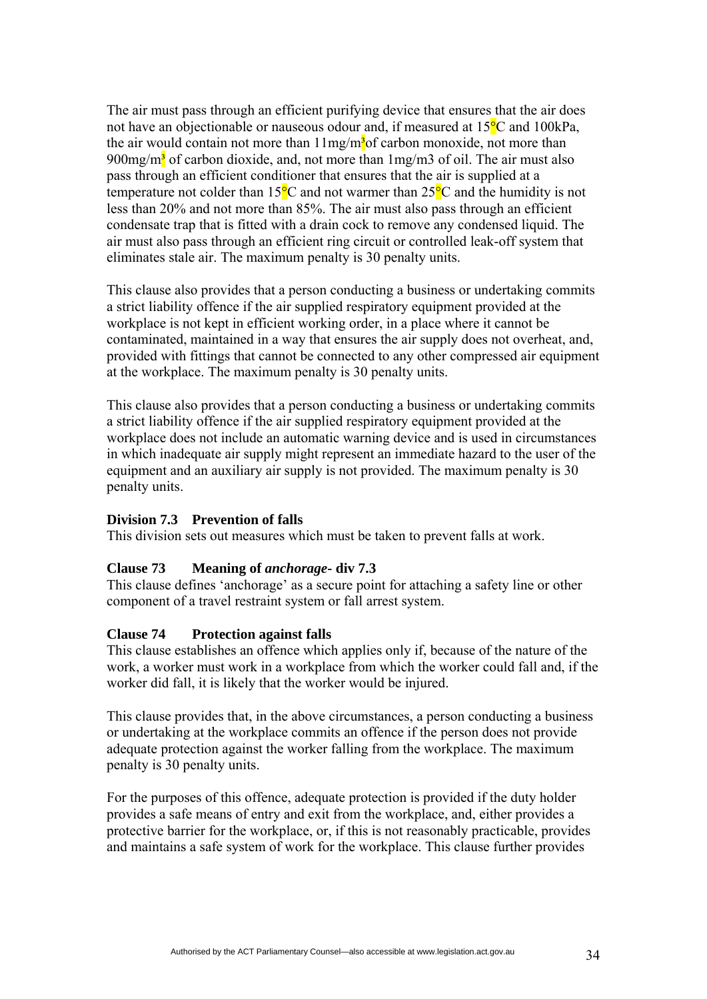The air must pass through an efficient purifying device that ensures that the air does not have an objectionable or nauseous odour and, if measured at  $15^{\circ}$ C and  $100$ kPa, the air would contain not more than  $11mg/m<sup>3</sup>$  carbon monoxide, not more than  $900$ mg/m<sup>3</sup> of carbon dioxide, and, not more than  $1$ mg/m3 of oil. The air must also pass through an efficient conditioner that ensures that the air is supplied at a temperature not colder than  $15^{\circ}$ C and not warmer than  $25^{\circ}$ C and the humidity is not less than 20% and not more than 85%. The air must also pass through an efficient condensate trap that is fitted with a drain cock to remove any condensed liquid. The air must also pass through an efficient ring circuit or controlled leak-off system that eliminates stale air. The maximum penalty is 30 penalty units.

This clause also provides that a person conducting a business or undertaking commits a strict liability offence if the air supplied respiratory equipment provided at the workplace is not kept in efficient working order, in a place where it cannot be contaminated, maintained in a way that ensures the air supply does not overheat, and, provided with fittings that cannot be connected to any other compressed air equipment at the workplace. The maximum penalty is 30 penalty units.

This clause also provides that a person conducting a business or undertaking commits a strict liability offence if the air supplied respiratory equipment provided at the workplace does not include an automatic warning device and is used in circumstances in which inadequate air supply might represent an immediate hazard to the user of the equipment and an auxiliary air supply is not provided. The maximum penalty is 30 penalty units.

## **Division 7.3 Prevention of falls**

This division sets out measures which must be taken to prevent falls at work.

#### **Clause 73 Meaning of** *anchorage***- div 7.3**

This clause defines 'anchorage' as a secure point for attaching a safety line or other component of a travel restraint system or fall arrest system.

#### **Clause 74 Protection against falls**

This clause establishes an offence which applies only if, because of the nature of the work, a worker must work in a workplace from which the worker could fall and, if the worker did fall, it is likely that the worker would be injured.

This clause provides that, in the above circumstances, a person conducting a business or undertaking at the workplace commits an offence if the person does not provide adequate protection against the worker falling from the workplace. The maximum penalty is 30 penalty units.

For the purposes of this offence, adequate protection is provided if the duty holder provides a safe means of entry and exit from the workplace, and, either provides a protective barrier for the workplace, or, if this is not reasonably practicable, provides and maintains a safe system of work for the workplace. This clause further provides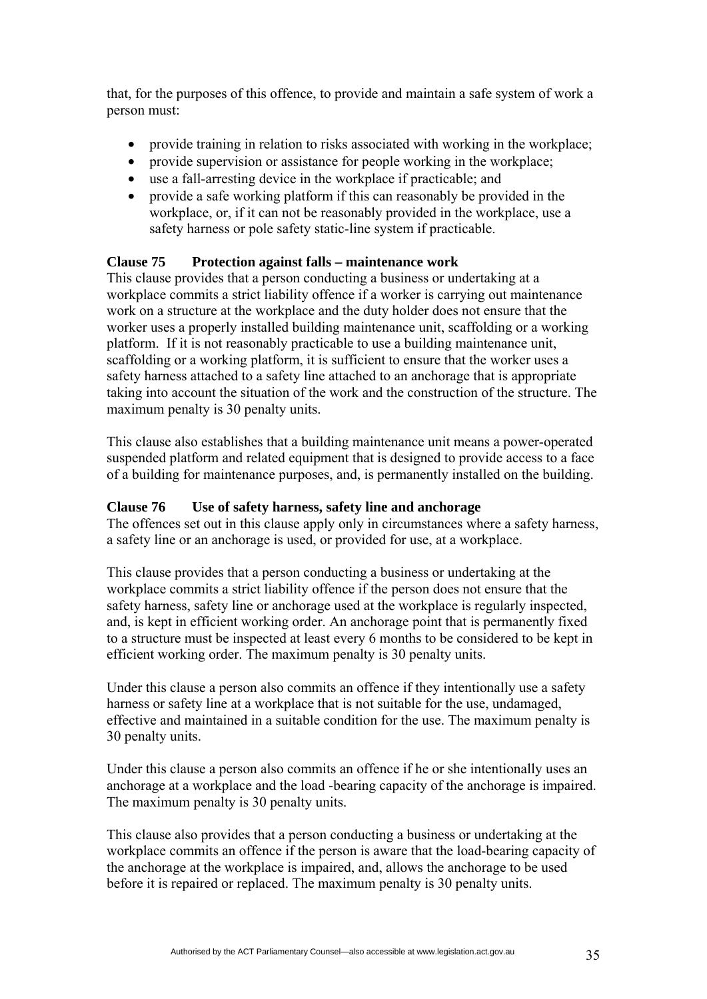that, for the purposes of this offence, to provide and maintain a safe system of work a person must:

- provide training in relation to risks associated with working in the workplace;
- provide supervision or assistance for people working in the workplace;
- use a fall-arresting device in the workplace if practicable; and
- provide a safe working platform if this can reasonably be provided in the workplace, or, if it can not be reasonably provided in the workplace, use a safety harness or pole safety static-line system if practicable.

# **Clause 75 Protection against falls – maintenance work**

This clause provides that a person conducting a business or undertaking at a workplace commits a strict liability offence if a worker is carrying out maintenance work on a structure at the workplace and the duty holder does not ensure that the worker uses a properly installed building maintenance unit, scaffolding or a working platform. If it is not reasonably practicable to use a building maintenance unit, scaffolding or a working platform, it is sufficient to ensure that the worker uses a safety harness attached to a safety line attached to an anchorage that is appropriate taking into account the situation of the work and the construction of the structure. The maximum penalty is 30 penalty units.

This clause also establishes that a building maintenance unit means a power-operated suspended platform and related equipment that is designed to provide access to a face of a building for maintenance purposes, and, is permanently installed on the building.

# **Clause 76 Use of safety harness, safety line and anchorage**

The offences set out in this clause apply only in circumstances where a safety harness, a safety line or an anchorage is used, or provided for use, at a workplace.

This clause provides that a person conducting a business or undertaking at the workplace commits a strict liability offence if the person does not ensure that the safety harness, safety line or anchorage used at the workplace is regularly inspected, and, is kept in efficient working order. An anchorage point that is permanently fixed to a structure must be inspected at least every 6 months to be considered to be kept in efficient working order. The maximum penalty is 30 penalty units.

Under this clause a person also commits an offence if they intentionally use a safety harness or safety line at a workplace that is not suitable for the use, undamaged, effective and maintained in a suitable condition for the use. The maximum penalty is 30 penalty units.

Under this clause a person also commits an offence if he or she intentionally uses an anchorage at a workplace and the load -bearing capacity of the anchorage is impaired. The maximum penalty is 30 penalty units.

This clause also provides that a person conducting a business or undertaking at the workplace commits an offence if the person is aware that the load-bearing capacity of the anchorage at the workplace is impaired, and, allows the anchorage to be used before it is repaired or replaced. The maximum penalty is 30 penalty units.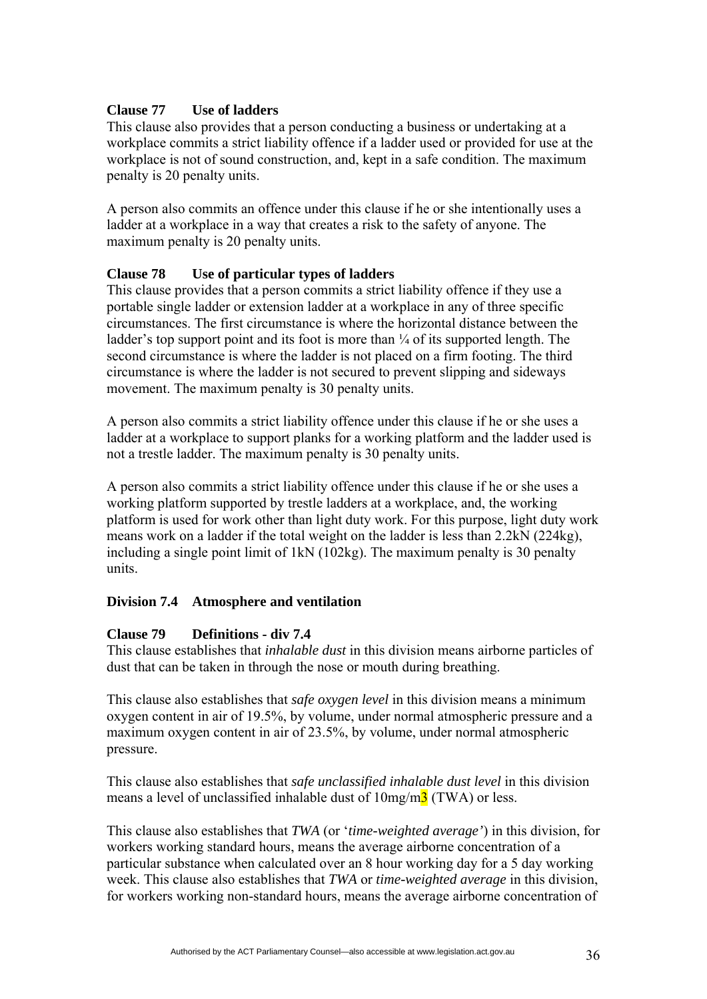## **Clause 77 Use of ladders**

This clause also provides that a person conducting a business or undertaking at a workplace commits a strict liability offence if a ladder used or provided for use at the workplace is not of sound construction, and, kept in a safe condition. The maximum penalty is 20 penalty units.

A person also commits an offence under this clause if he or she intentionally uses a ladder at a workplace in a way that creates a risk to the safety of anyone. The maximum penalty is 20 penalty units.

#### **Clause 78 Use of particular types of ladders**

This clause provides that a person commits a strict liability offence if they use a portable single ladder or extension ladder at a workplace in any of three specific circumstances. The first circumstance is where the horizontal distance between the ladder's top support point and its foot is more than  $\frac{1}{4}$  of its supported length. The second circumstance is where the ladder is not placed on a firm footing. The third circumstance is where the ladder is not secured to prevent slipping and sideways movement. The maximum penalty is 30 penalty units.

A person also commits a strict liability offence under this clause if he or she uses a ladder at a workplace to support planks for a working platform and the ladder used is not a trestle ladder. The maximum penalty is 30 penalty units.

A person also commits a strict liability offence under this clause if he or she uses a working platform supported by trestle ladders at a workplace, and, the working platform is used for work other than light duty work. For this purpose, light duty work means work on a ladder if the total weight on the ladder is less than 2.2kN (224kg), including a single point limit of 1kN (102kg). The maximum penalty is 30 penalty units.

## **Division 7.4 Atmosphere and ventilation**

#### **Clause 79 Definitions - div 7.4**

This clause establishes that *inhalable dust* in this division means airborne particles of dust that can be taken in through the nose or mouth during breathing.

This clause also establishes that *safe oxygen level* in this division means a minimum oxygen content in air of 19.5%, by volume, under normal atmospheric pressure and a maximum oxygen content in air of 23.5%, by volume, under normal atmospheric pressure.

This clause also establishes that *safe unclassified inhalable dust level* in this division means a level of unclassified inhalable dust of  $10mg/m<sup>3</sup>$  (TWA) or less.

This clause also establishes that *TWA* (or '*time-weighted average'*) in this division, for workers working standard hours, means the average airborne concentration of a particular substance when calculated over an 8 hour working day for a 5 day working week. This clause also establishes that *TWA* or *time-weighted average* in this division, for workers working non-standard hours, means the average airborne concentration of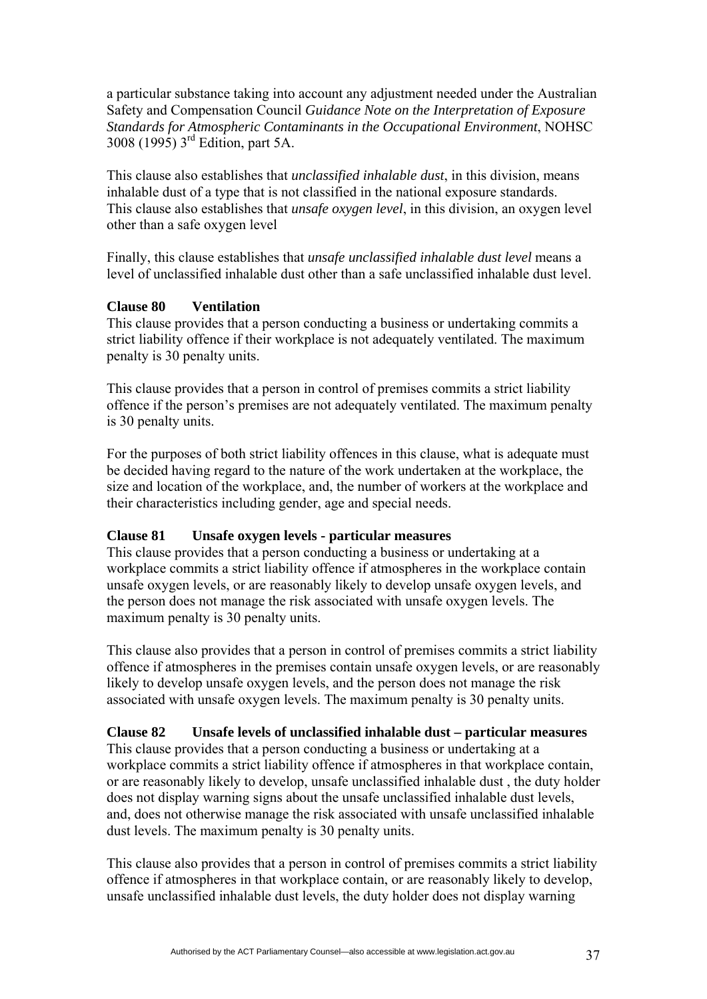a particular substance taking into account any adjustment needed under the Australian Safety and Compensation Council *Guidance Note on the Interpretation of Exposure Standards for Atmospheric Contaminants in the Occupational Environment*, NOHSC 3008 (1995) 3rd Edition, part 5A.

This clause also establishes that *unclassified inhalable dust*, in this division, means inhalable dust of a type that is not classified in the national exposure standards. This clause also establishes that *unsafe oxygen level*, in this division, an oxygen level other than a safe oxygen level

Finally, this clause establishes that *unsafe unclassified inhalable dust level* means a level of unclassified inhalable dust other than a safe unclassified inhalable dust level.

### **Clause 80 Ventilation**

This clause provides that a person conducting a business or undertaking commits a strict liability offence if their workplace is not adequately ventilated. The maximum penalty is 30 penalty units.

This clause provides that a person in control of premises commits a strict liability offence if the person's premises are not adequately ventilated. The maximum penalty is 30 penalty units.

For the purposes of both strict liability offences in this clause, what is adequate must be decided having regard to the nature of the work undertaken at the workplace, the size and location of the workplace, and, the number of workers at the workplace and their characteristics including gender, age and special needs.

## **Clause 81 Unsafe oxygen levels - particular measures**

This clause provides that a person conducting a business or undertaking at a workplace commits a strict liability offence if atmospheres in the workplace contain unsafe oxygen levels, or are reasonably likely to develop unsafe oxygen levels, and the person does not manage the risk associated with unsafe oxygen levels. The maximum penalty is 30 penalty units.

This clause also provides that a person in control of premises commits a strict liability offence if atmospheres in the premises contain unsafe oxygen levels, or are reasonably likely to develop unsafe oxygen levels, and the person does not manage the risk associated with unsafe oxygen levels. The maximum penalty is 30 penalty units.

## **Clause 82 Unsafe levels of unclassified inhalable dust – particular measures**

This clause provides that a person conducting a business or undertaking at a workplace commits a strict liability offence if atmospheres in that workplace contain, or are reasonably likely to develop, unsafe unclassified inhalable dust , the duty holder does not display warning signs about the unsafe unclassified inhalable dust levels, and, does not otherwise manage the risk associated with unsafe unclassified inhalable dust levels. The maximum penalty is 30 penalty units.

This clause also provides that a person in control of premises commits a strict liability offence if atmospheres in that workplace contain, or are reasonably likely to develop, unsafe unclassified inhalable dust levels, the duty holder does not display warning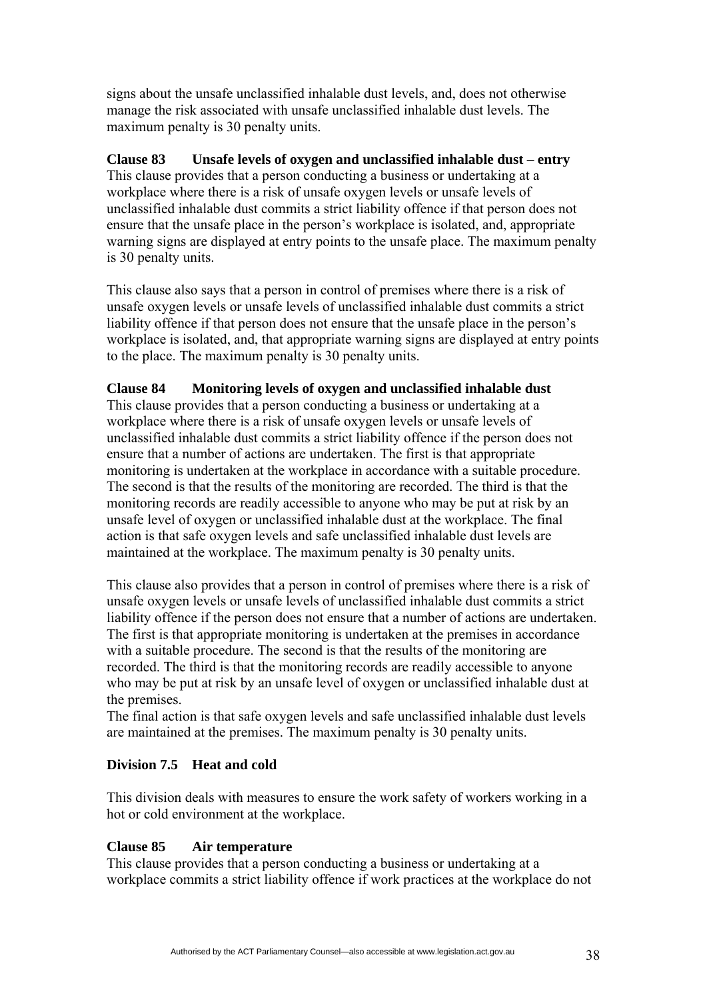signs about the unsafe unclassified inhalable dust levels, and, does not otherwise manage the risk associated with unsafe unclassified inhalable dust levels. The maximum penalty is 30 penalty units.

**Clause 83 Unsafe levels of oxygen and unclassified inhalable dust – entry**  This clause provides that a person conducting a business or undertaking at a workplace where there is a risk of unsafe oxygen levels or unsafe levels of unclassified inhalable dust commits a strict liability offence if that person does not ensure that the unsafe place in the person's workplace is isolated, and, appropriate warning signs are displayed at entry points to the unsafe place. The maximum penalty is 30 penalty units.

This clause also says that a person in control of premises where there is a risk of unsafe oxygen levels or unsafe levels of unclassified inhalable dust commits a strict liability offence if that person does not ensure that the unsafe place in the person's workplace is isolated, and, that appropriate warning signs are displayed at entry points to the place. The maximum penalty is 30 penalty units.

## **Clause 84 Monitoring levels of oxygen and unclassified inhalable dust**

This clause provides that a person conducting a business or undertaking at a workplace where there is a risk of unsafe oxygen levels or unsafe levels of unclassified inhalable dust commits a strict liability offence if the person does not ensure that a number of actions are undertaken. The first is that appropriate monitoring is undertaken at the workplace in accordance with a suitable procedure. The second is that the results of the monitoring are recorded. The third is that the monitoring records are readily accessible to anyone who may be put at risk by an unsafe level of oxygen or unclassified inhalable dust at the workplace. The final action is that safe oxygen levels and safe unclassified inhalable dust levels are maintained at the workplace. The maximum penalty is 30 penalty units.

This clause also provides that a person in control of premises where there is a risk of unsafe oxygen levels or unsafe levels of unclassified inhalable dust commits a strict liability offence if the person does not ensure that a number of actions are undertaken. The first is that appropriate monitoring is undertaken at the premises in accordance with a suitable procedure. The second is that the results of the monitoring are recorded. The third is that the monitoring records are readily accessible to anyone who may be put at risk by an unsafe level of oxygen or unclassified inhalable dust at the premises.

The final action is that safe oxygen levels and safe unclassified inhalable dust levels are maintained at the premises. The maximum penalty is 30 penalty units.

### **Division 7.5 Heat and cold**

This division deals with measures to ensure the work safety of workers working in a hot or cold environment at the workplace.

### **Clause 85 Air temperature**

This clause provides that a person conducting a business or undertaking at a workplace commits a strict liability offence if work practices at the workplace do not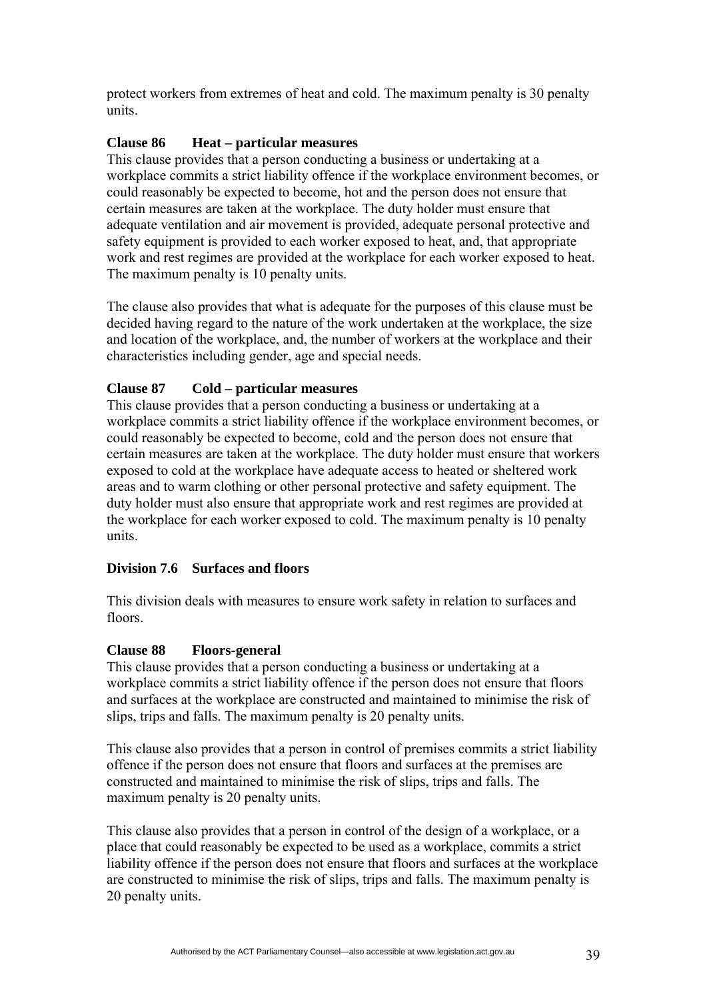protect workers from extremes of heat and cold. The maximum penalty is 30 penalty units.

### **Clause 86 Heat – particular measures**

This clause provides that a person conducting a business or undertaking at a workplace commits a strict liability offence if the workplace environment becomes, or could reasonably be expected to become, hot and the person does not ensure that certain measures are taken at the workplace. The duty holder must ensure that adequate ventilation and air movement is provided, adequate personal protective and safety equipment is provided to each worker exposed to heat, and, that appropriate work and rest regimes are provided at the workplace for each worker exposed to heat. The maximum penalty is 10 penalty units.

The clause also provides that what is adequate for the purposes of this clause must be decided having regard to the nature of the work undertaken at the workplace, the size and location of the workplace, and, the number of workers at the workplace and their characteristics including gender, age and special needs.

## **Clause 87 Cold – particular measures**

This clause provides that a person conducting a business or undertaking at a workplace commits a strict liability offence if the workplace environment becomes, or could reasonably be expected to become, cold and the person does not ensure that certain measures are taken at the workplace. The duty holder must ensure that workers exposed to cold at the workplace have adequate access to heated or sheltered work areas and to warm clothing or other personal protective and safety equipment. The duty holder must also ensure that appropriate work and rest regimes are provided at the workplace for each worker exposed to cold. The maximum penalty is 10 penalty units.

## **Division 7.6 Surfaces and floors**

This division deals with measures to ensure work safety in relation to surfaces and floors.

### **Clause 88 Floors-general**

This clause provides that a person conducting a business or undertaking at a workplace commits a strict liability offence if the person does not ensure that floors and surfaces at the workplace are constructed and maintained to minimise the risk of slips, trips and falls. The maximum penalty is 20 penalty units.

This clause also provides that a person in control of premises commits a strict liability offence if the person does not ensure that floors and surfaces at the premises are constructed and maintained to minimise the risk of slips, trips and falls. The maximum penalty is 20 penalty units.

This clause also provides that a person in control of the design of a workplace, or a place that could reasonably be expected to be used as a workplace, commits a strict liability offence if the person does not ensure that floors and surfaces at the workplace are constructed to minimise the risk of slips, trips and falls. The maximum penalty is 20 penalty units.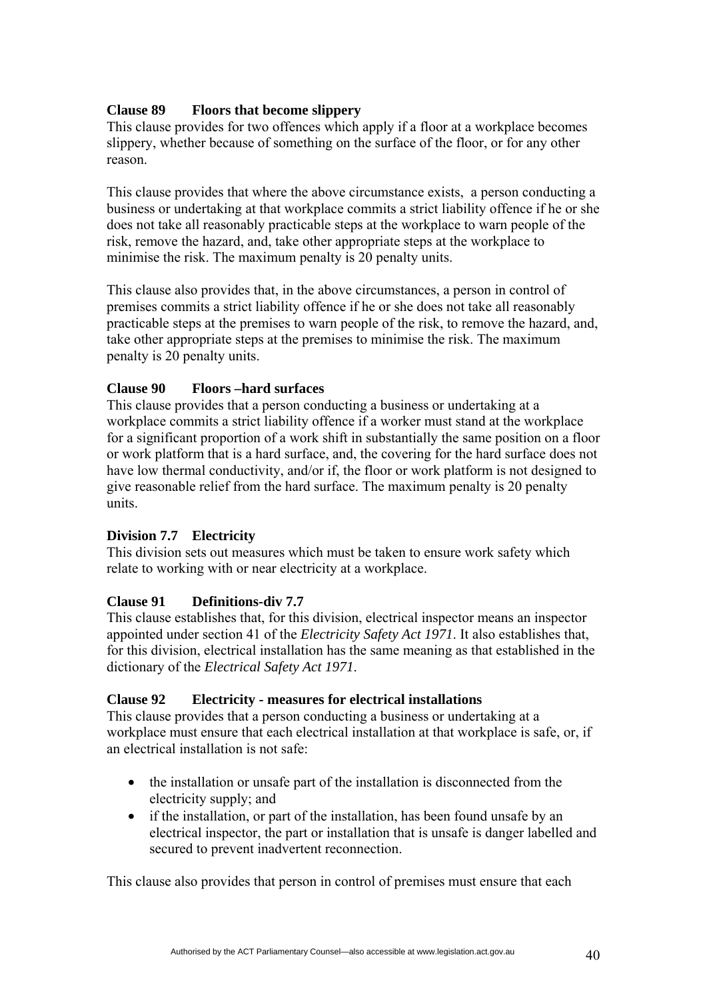## **Clause 89 Floors that become slippery**

This clause provides for two offences which apply if a floor at a workplace becomes slippery, whether because of something on the surface of the floor, or for any other reason.

This clause provides that where the above circumstance exists, a person conducting a business or undertaking at that workplace commits a strict liability offence if he or she does not take all reasonably practicable steps at the workplace to warn people of the risk, remove the hazard, and, take other appropriate steps at the workplace to minimise the risk. The maximum penalty is 20 penalty units.

This clause also provides that, in the above circumstances, a person in control of premises commits a strict liability offence if he or she does not take all reasonably practicable steps at the premises to warn people of the risk, to remove the hazard, and, take other appropriate steps at the premises to minimise the risk. The maximum penalty is 20 penalty units.

## **Clause 90 Floors –hard surfaces**

This clause provides that a person conducting a business or undertaking at a workplace commits a strict liability offence if a worker must stand at the workplace for a significant proportion of a work shift in substantially the same position on a floor or work platform that is a hard surface, and, the covering for the hard surface does not have low thermal conductivity, and/or if, the floor or work platform is not designed to give reasonable relief from the hard surface. The maximum penalty is 20 penalty units.

# **Division 7.7 Electricity**

This division sets out measures which must be taken to ensure work safety which relate to working with or near electricity at a workplace.

# **Clause 91 Definitions-div 7.7**

This clause establishes that, for this division, electrical inspector means an inspector appointed under section 41 of the *Electricity Safety Act 1971*. It also establishes that, for this division, electrical installation has the same meaning as that established in the dictionary of the *Electrical Safety Act 1971*.

## **Clause 92 Electricity - measures for electrical installations**

This clause provides that a person conducting a business or undertaking at a workplace must ensure that each electrical installation at that workplace is safe, or, if an electrical installation is not safe:

- the installation or unsafe part of the installation is disconnected from the electricity supply; and
- if the installation, or part of the installation, has been found unsafe by an electrical inspector, the part or installation that is unsafe is danger labelled and secured to prevent inadvertent reconnection.

This clause also provides that person in control of premises must ensure that each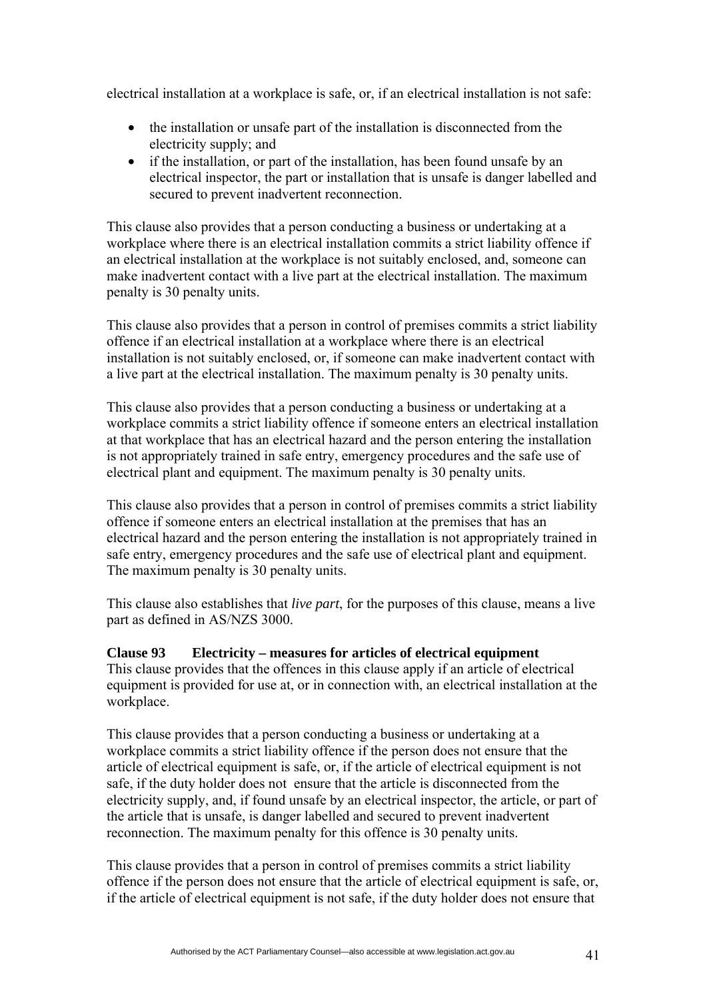electrical installation at a workplace is safe, or, if an electrical installation is not safe:

- the installation or unsafe part of the installation is disconnected from the electricity supply; and
- if the installation, or part of the installation, has been found unsafe by an electrical inspector, the part or installation that is unsafe is danger labelled and secured to prevent inadvertent reconnection.

This clause also provides that a person conducting a business or undertaking at a workplace where there is an electrical installation commits a strict liability offence if an electrical installation at the workplace is not suitably enclosed, and, someone can make inadvertent contact with a live part at the electrical installation. The maximum penalty is 30 penalty units.

This clause also provides that a person in control of premises commits a strict liability offence if an electrical installation at a workplace where there is an electrical installation is not suitably enclosed, or, if someone can make inadvertent contact with a live part at the electrical installation. The maximum penalty is 30 penalty units.

This clause also provides that a person conducting a business or undertaking at a workplace commits a strict liability offence if someone enters an electrical installation at that workplace that has an electrical hazard and the person entering the installation is not appropriately trained in safe entry, emergency procedures and the safe use of electrical plant and equipment. The maximum penalty is 30 penalty units.

This clause also provides that a person in control of premises commits a strict liability offence if someone enters an electrical installation at the premises that has an electrical hazard and the person entering the installation is not appropriately trained in safe entry, emergency procedures and the safe use of electrical plant and equipment. The maximum penalty is 30 penalty units.

This clause also establishes that *live part*, for the purposes of this clause, means a live part as defined in AS/NZS 3000.

**Clause 93 Electricity – measures for articles of electrical equipment**  This clause provides that the offences in this clause apply if an article of electrical equipment is provided for use at, or in connection with, an electrical installation at the workplace.

This clause provides that a person conducting a business or undertaking at a workplace commits a strict liability offence if the person does not ensure that the article of electrical equipment is safe, or, if the article of electrical equipment is not safe, if the duty holder does not ensure that the article is disconnected from the electricity supply, and, if found unsafe by an electrical inspector, the article, or part of the article that is unsafe, is danger labelled and secured to prevent inadvertent reconnection. The maximum penalty for this offence is 30 penalty units.

This clause provides that a person in control of premises commits a strict liability offence if the person does not ensure that the article of electrical equipment is safe, or, if the article of electrical equipment is not safe, if the duty holder does not ensure that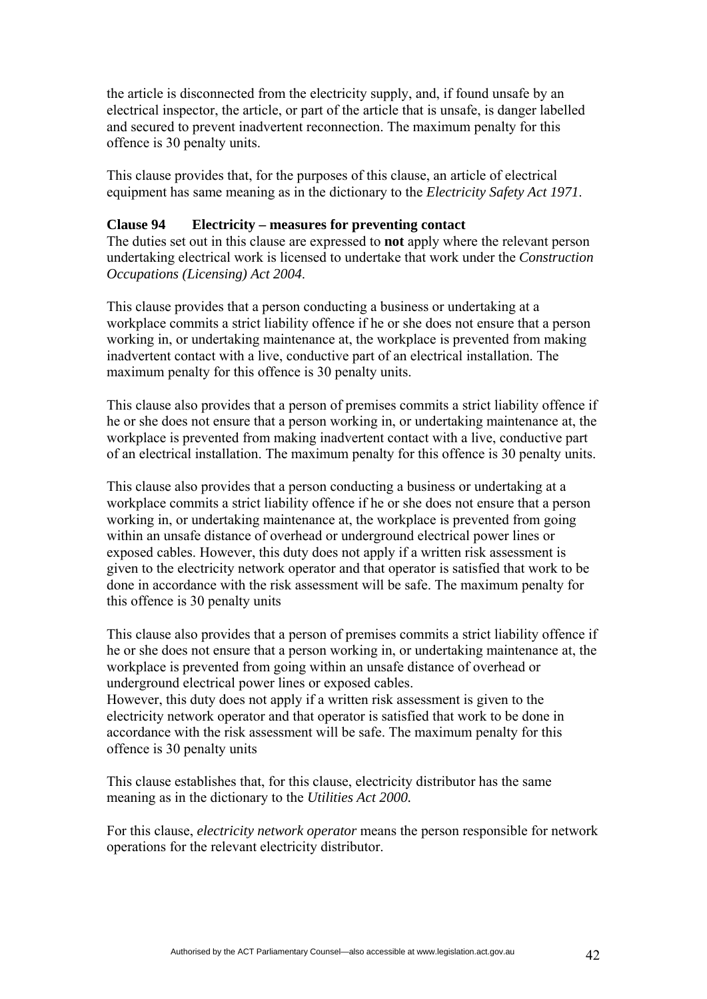the article is disconnected from the electricity supply, and, if found unsafe by an electrical inspector, the article, or part of the article that is unsafe, is danger labelled and secured to prevent inadvertent reconnection. The maximum penalty for this offence is 30 penalty units.

This clause provides that, for the purposes of this clause, an article of electrical equipment has same meaning as in the dictionary to the *Electricity Safety Act 1971*.

#### **Clause 94 Electricity – measures for preventing contact**

The duties set out in this clause are expressed to **not** apply where the relevant person undertaking electrical work is licensed to undertake that work under the *Construction Occupations (Licensing) Act 2004*.

This clause provides that a person conducting a business or undertaking at a workplace commits a strict liability offence if he or she does not ensure that a person working in, or undertaking maintenance at, the workplace is prevented from making inadvertent contact with a live, conductive part of an electrical installation. The maximum penalty for this offence is 30 penalty units.

This clause also provides that a person of premises commits a strict liability offence if he or she does not ensure that a person working in, or undertaking maintenance at, the workplace is prevented from making inadvertent contact with a live, conductive part of an electrical installation. The maximum penalty for this offence is 30 penalty units.

This clause also provides that a person conducting a business or undertaking at a workplace commits a strict liability offence if he or she does not ensure that a person working in, or undertaking maintenance at, the workplace is prevented from going within an unsafe distance of overhead or underground electrical power lines or exposed cables. However, this duty does not apply if a written risk assessment is given to the electricity network operator and that operator is satisfied that work to be done in accordance with the risk assessment will be safe. The maximum penalty for this offence is 30 penalty units

This clause also provides that a person of premises commits a strict liability offence if he or she does not ensure that a person working in, or undertaking maintenance at, the workplace is prevented from going within an unsafe distance of overhead or underground electrical power lines or exposed cables.

However, this duty does not apply if a written risk assessment is given to the electricity network operator and that operator is satisfied that work to be done in accordance with the risk assessment will be safe. The maximum penalty for this offence is 30 penalty units

This clause establishes that, for this clause, electricity distributor has the same meaning as in the dictionary to the *Utilities Act 2000.*

For this clause, *electricity network operator* means the person responsible for network operations for the relevant electricity distributor.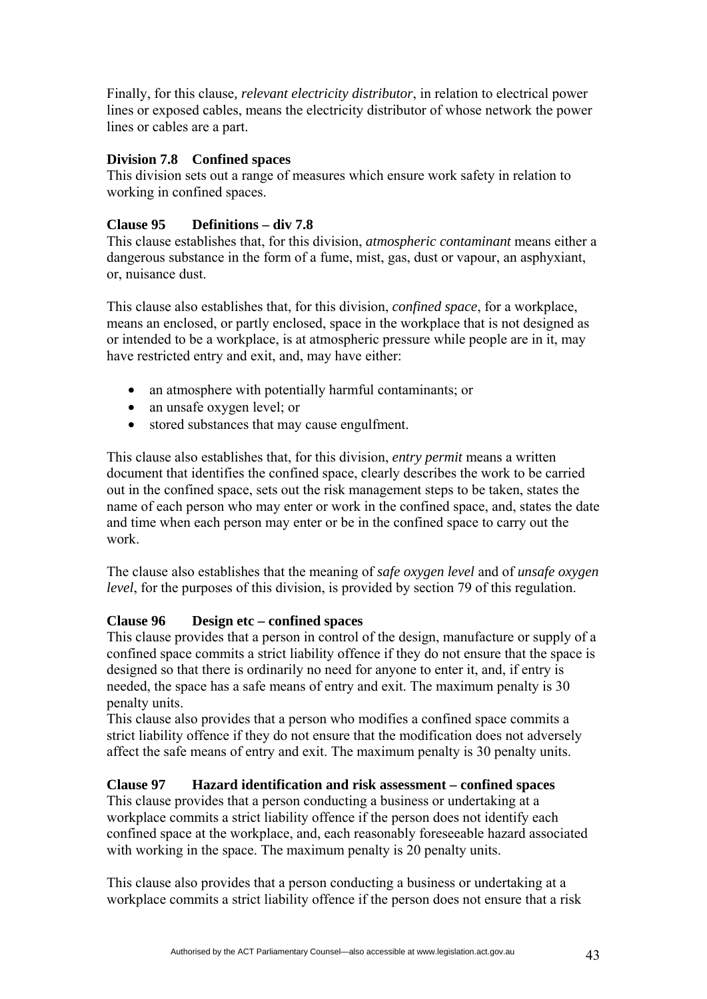Finally, for this clause*, relevant electricity distributor*, in relation to electrical power lines or exposed cables, means the electricity distributor of whose network the power lines or cables are a part.

### **Division 7.8 Confined spaces**

This division sets out a range of measures which ensure work safety in relation to working in confined spaces.

## **Clause 95 Definitions – div 7.8**

This clause establishes that, for this division, *atmospheric contaminant* means either a dangerous substance in the form of a fume, mist, gas, dust or vapour, an asphyxiant, or, nuisance dust.

This clause also establishes that, for this division, *confined space*, for a workplace, means an enclosed, or partly enclosed, space in the workplace that is not designed as or intended to be a workplace, is at atmospheric pressure while people are in it, may have restricted entry and exit, and, may have either:

- an atmosphere with potentially harmful contaminants; or
- an unsafe oxygen level; or
- stored substances that may cause engulfment.

This clause also establishes that, for this division, *entry permit* means a written document that identifies the confined space, clearly describes the work to be carried out in the confined space, sets out the risk management steps to be taken, states the name of each person who may enter or work in the confined space, and, states the date and time when each person may enter or be in the confined space to carry out the work.

The clause also establishes that the meaning of *safe oxygen level* and of *unsafe oxygen level*, for the purposes of this division, is provided by section 79 of this regulation.

## **Clause 96 Design etc – confined spaces**

This clause provides that a person in control of the design, manufacture or supply of a confined space commits a strict liability offence if they do not ensure that the space is designed so that there is ordinarily no need for anyone to enter it, and, if entry is needed, the space has a safe means of entry and exit. The maximum penalty is 30 penalty units.

This clause also provides that a person who modifies a confined space commits a strict liability offence if they do not ensure that the modification does not adversely affect the safe means of entry and exit. The maximum penalty is 30 penalty units.

## **Clause 97 Hazard identification and risk assessment – confined spaces**

This clause provides that a person conducting a business or undertaking at a workplace commits a strict liability offence if the person does not identify each confined space at the workplace, and, each reasonably foreseeable hazard associated with working in the space. The maximum penalty is 20 penalty units.

This clause also provides that a person conducting a business or undertaking at a workplace commits a strict liability offence if the person does not ensure that a risk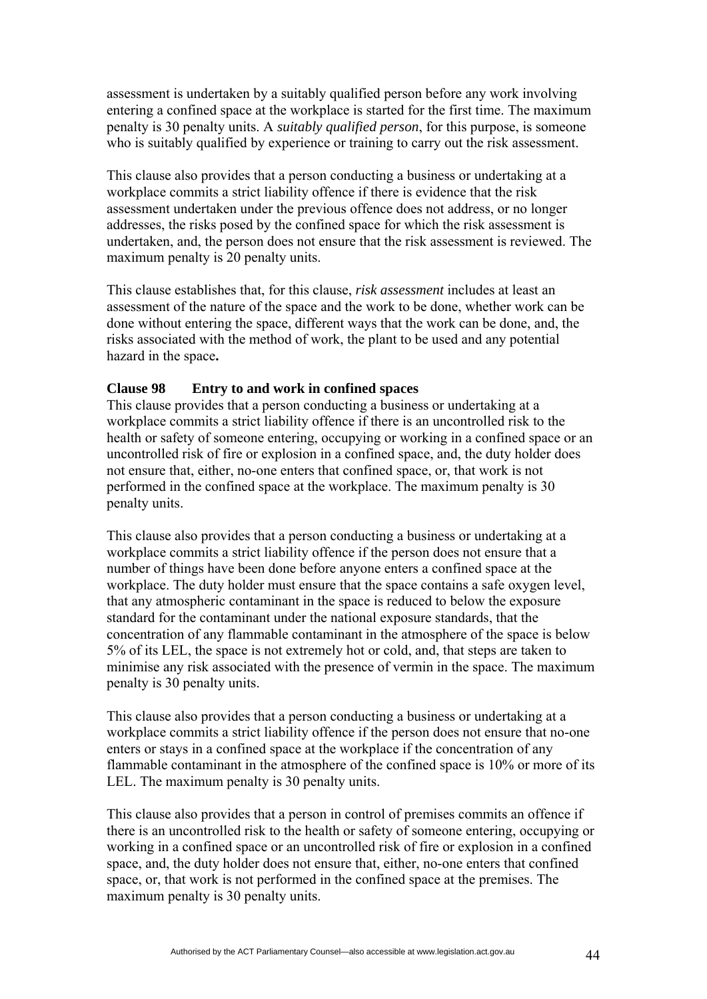assessment is undertaken by a suitably qualified person before any work involving entering a confined space at the workplace is started for the first time. The maximum penalty is 30 penalty units. A *suitably qualified person*, for this purpose, is someone who is suitably qualified by experience or training to carry out the risk assessment.

This clause also provides that a person conducting a business or undertaking at a workplace commits a strict liability offence if there is evidence that the risk assessment undertaken under the previous offence does not address, or no longer addresses, the risks posed by the confined space for which the risk assessment is undertaken, and, the person does not ensure that the risk assessment is reviewed. The maximum penalty is 20 penalty units.

This clause establishes that, for this clause, *risk assessment* includes at least an assessment of the nature of the space and the work to be done, whether work can be done without entering the space, different ways that the work can be done, and, the risks associated with the method of work, the plant to be used and any potential hazard in the space**.** 

### **Clause 98 Entry to and work in confined spaces**

This clause provides that a person conducting a business or undertaking at a workplace commits a strict liability offence if there is an uncontrolled risk to the health or safety of someone entering, occupying or working in a confined space or an uncontrolled risk of fire or explosion in a confined space, and, the duty holder does not ensure that, either, no-one enters that confined space, or, that work is not performed in the confined space at the workplace. The maximum penalty is 30 penalty units.

This clause also provides that a person conducting a business or undertaking at a workplace commits a strict liability offence if the person does not ensure that a number of things have been done before anyone enters a confined space at the workplace. The duty holder must ensure that the space contains a safe oxygen level, that any atmospheric contaminant in the space is reduced to below the exposure standard for the contaminant under the national exposure standards, that the concentration of any flammable contaminant in the atmosphere of the space is below 5% of its LEL, the space is not extremely hot or cold, and, that steps are taken to minimise any risk associated with the presence of vermin in the space. The maximum penalty is 30 penalty units.

This clause also provides that a person conducting a business or undertaking at a workplace commits a strict liability offence if the person does not ensure that no-one enters or stays in a confined space at the workplace if the concentration of any flammable contaminant in the atmosphere of the confined space is 10% or more of its LEL. The maximum penalty is 30 penalty units.

This clause also provides that a person in control of premises commits an offence if there is an uncontrolled risk to the health or safety of someone entering, occupying or working in a confined space or an uncontrolled risk of fire or explosion in a confined space, and, the duty holder does not ensure that, either, no-one enters that confined space, or, that work is not performed in the confined space at the premises. The maximum penalty is 30 penalty units.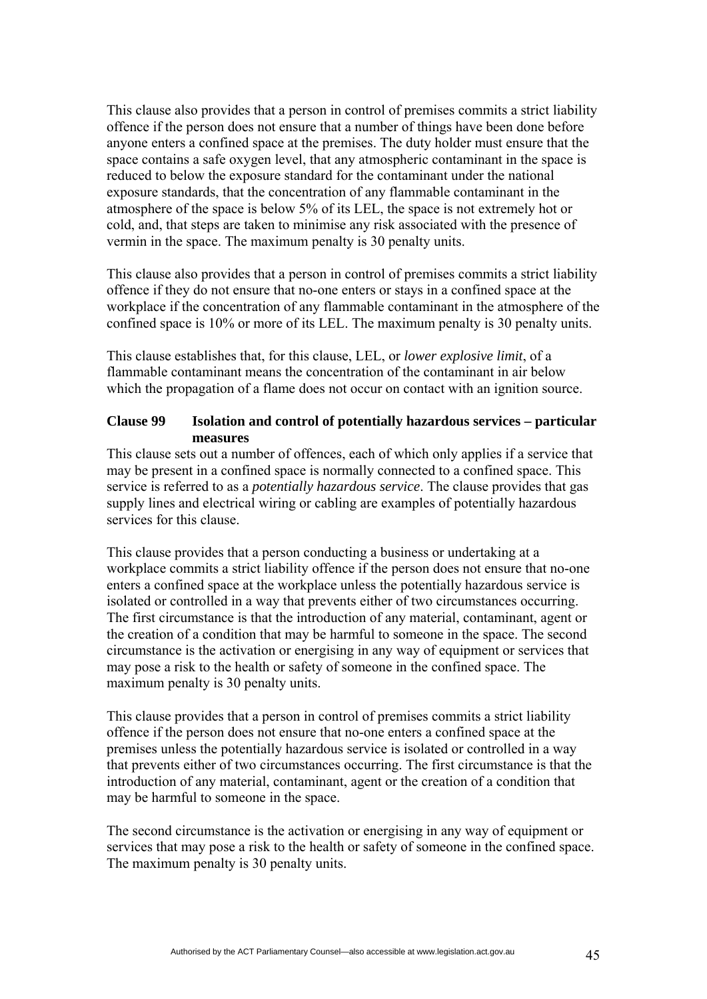This clause also provides that a person in control of premises commits a strict liability offence if the person does not ensure that a number of things have been done before anyone enters a confined space at the premises. The duty holder must ensure that the space contains a safe oxygen level, that any atmospheric contaminant in the space is reduced to below the exposure standard for the contaminant under the national exposure standards, that the concentration of any flammable contaminant in the atmosphere of the space is below 5% of its LEL, the space is not extremely hot or cold, and, that steps are taken to minimise any risk associated with the presence of vermin in the space. The maximum penalty is 30 penalty units.

This clause also provides that a person in control of premises commits a strict liability offence if they do not ensure that no-one enters or stays in a confined space at the workplace if the concentration of any flammable contaminant in the atmosphere of the confined space is 10% or more of its LEL. The maximum penalty is 30 penalty units.

This clause establishes that, for this clause, LEL, or *lower explosive limit*, of a flammable contaminant means the concentration of the contaminant in air below which the propagation of a flame does not occur on contact with an ignition source.

### **Clause 99 Isolation and control of potentially hazardous services – particular measures**

This clause sets out a number of offences, each of which only applies if a service that may be present in a confined space is normally connected to a confined space. This service is referred to as a *potentially hazardous service*. The clause provides that gas supply lines and electrical wiring or cabling are examples of potentially hazardous services for this clause.

This clause provides that a person conducting a business or undertaking at a workplace commits a strict liability offence if the person does not ensure that no-one enters a confined space at the workplace unless the potentially hazardous service is isolated or controlled in a way that prevents either of two circumstances occurring. The first circumstance is that the introduction of any material, contaminant, agent or the creation of a condition that may be harmful to someone in the space. The second circumstance is the activation or energising in any way of equipment or services that may pose a risk to the health or safety of someone in the confined space. The maximum penalty is 30 penalty units.

This clause provides that a person in control of premises commits a strict liability offence if the person does not ensure that no-one enters a confined space at the premises unless the potentially hazardous service is isolated or controlled in a way that prevents either of two circumstances occurring. The first circumstance is that the introduction of any material, contaminant, agent or the creation of a condition that may be harmful to someone in the space.

The second circumstance is the activation or energising in any way of equipment or services that may pose a risk to the health or safety of someone in the confined space. The maximum penalty is 30 penalty units.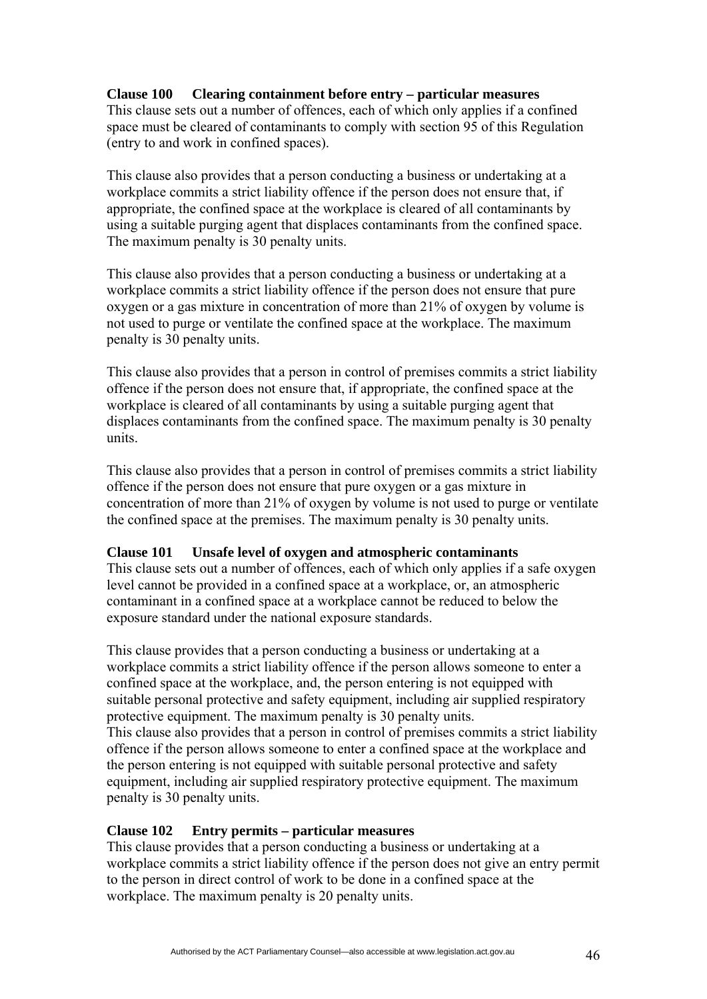## **Clause 100 Clearing containment before entry – particular measures**

This clause sets out a number of offences, each of which only applies if a confined space must be cleared of contaminants to comply with section 95 of this Regulation (entry to and work in confined spaces).

This clause also provides that a person conducting a business or undertaking at a workplace commits a strict liability offence if the person does not ensure that, if appropriate, the confined space at the workplace is cleared of all contaminants by using a suitable purging agent that displaces contaminants from the confined space. The maximum penalty is 30 penalty units.

This clause also provides that a person conducting a business or undertaking at a workplace commits a strict liability offence if the person does not ensure that pure oxygen or a gas mixture in concentration of more than 21% of oxygen by volume is not used to purge or ventilate the confined space at the workplace. The maximum penalty is 30 penalty units.

This clause also provides that a person in control of premises commits a strict liability offence if the person does not ensure that, if appropriate, the confined space at the workplace is cleared of all contaminants by using a suitable purging agent that displaces contaminants from the confined space. The maximum penalty is 30 penalty units.

This clause also provides that a person in control of premises commits a strict liability offence if the person does not ensure that pure oxygen or a gas mixture in concentration of more than 21% of oxygen by volume is not used to purge or ventilate the confined space at the premises. The maximum penalty is 30 penalty units.

### **Clause 101 Unsafe level of oxygen and atmospheric contaminants**

This clause sets out a number of offences, each of which only applies if a safe oxygen level cannot be provided in a confined space at a workplace, or, an atmospheric contaminant in a confined space at a workplace cannot be reduced to below the exposure standard under the national exposure standards.

This clause provides that a person conducting a business or undertaking at a workplace commits a strict liability offence if the person allows someone to enter a confined space at the workplace, and, the person entering is not equipped with suitable personal protective and safety equipment, including air supplied respiratory protective equipment. The maximum penalty is 30 penalty units. This clause also provides that a person in control of premises commits a strict liability offence if the person allows someone to enter a confined space at the workplace and the person entering is not equipped with suitable personal protective and safety equipment, including air supplied respiratory protective equipment. The maximum penalty is 30 penalty units.

### **Clause 102 Entry permits – particular measures**

This clause provides that a person conducting a business or undertaking at a workplace commits a strict liability offence if the person does not give an entry permit to the person in direct control of work to be done in a confined space at the workplace. The maximum penalty is 20 penalty units.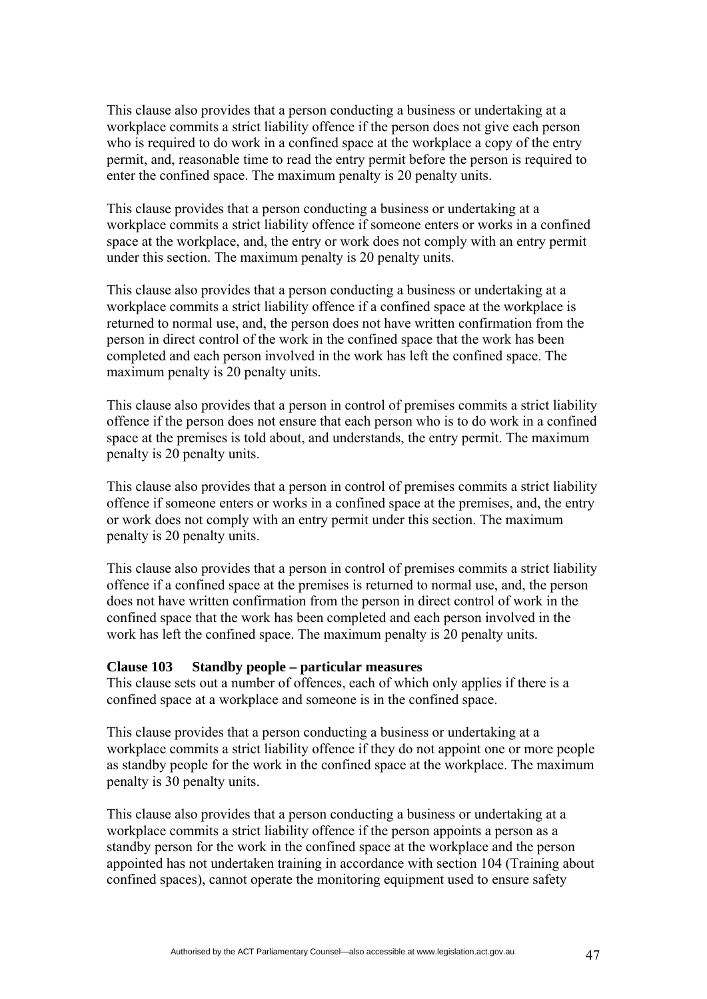This clause also provides that a person conducting a business or undertaking at a workplace commits a strict liability offence if the person does not give each person who is required to do work in a confined space at the workplace a copy of the entry permit, and, reasonable time to read the entry permit before the person is required to enter the confined space. The maximum penalty is 20 penalty units.

This clause provides that a person conducting a business or undertaking at a workplace commits a strict liability offence if someone enters or works in a confined space at the workplace, and, the entry or work does not comply with an entry permit under this section. The maximum penalty is 20 penalty units.

This clause also provides that a person conducting a business or undertaking at a workplace commits a strict liability offence if a confined space at the workplace is returned to normal use, and, the person does not have written confirmation from the person in direct control of the work in the confined space that the work has been completed and each person involved in the work has left the confined space. The maximum penalty is 20 penalty units.

This clause also provides that a person in control of premises commits a strict liability offence if the person does not ensure that each person who is to do work in a confined space at the premises is told about, and understands, the entry permit. The maximum penalty is 20 penalty units.

This clause also provides that a person in control of premises commits a strict liability offence if someone enters or works in a confined space at the premises, and, the entry or work does not comply with an entry permit under this section. The maximum penalty is 20 penalty units.

This clause also provides that a person in control of premises commits a strict liability offence if a confined space at the premises is returned to normal use, and, the person does not have written confirmation from the person in direct control of work in the confined space that the work has been completed and each person involved in the work has left the confined space. The maximum penalty is 20 penalty units.

#### **Clause 103 Standby people – particular measures**

This clause sets out a number of offences, each of which only applies if there is a confined space at a workplace and someone is in the confined space.

This clause provides that a person conducting a business or undertaking at a workplace commits a strict liability offence if they do not appoint one or more people as standby people for the work in the confined space at the workplace. The maximum penalty is 30 penalty units.

This clause also provides that a person conducting a business or undertaking at a workplace commits a strict liability offence if the person appoints a person as a standby person for the work in the confined space at the workplace and the person appointed has not undertaken training in accordance with section 104 (Training about confined spaces), cannot operate the monitoring equipment used to ensure safety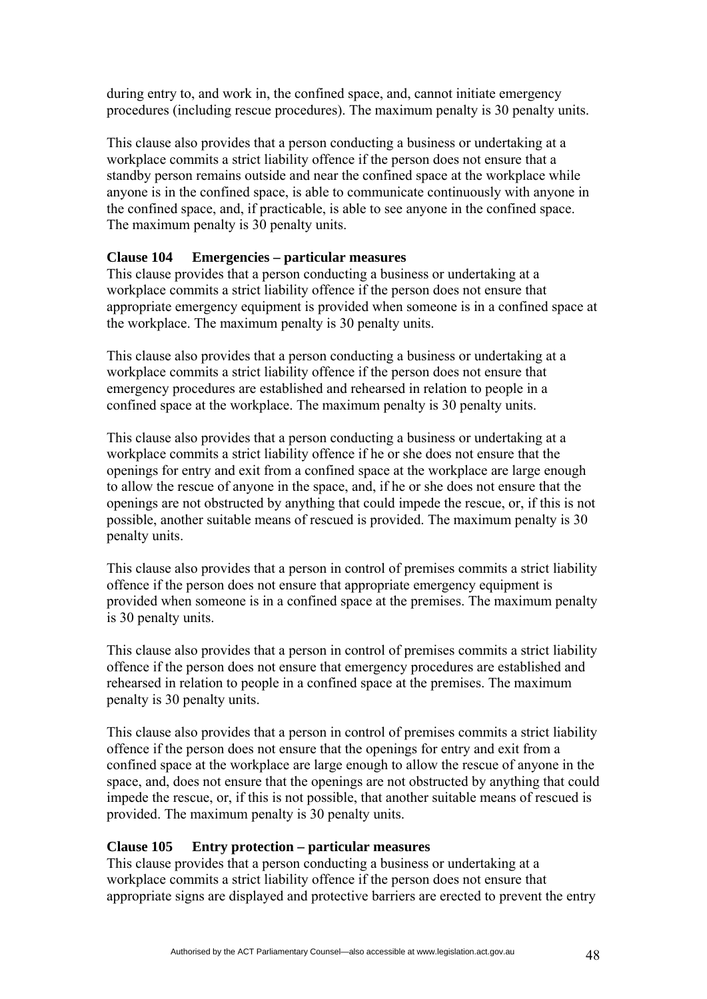during entry to, and work in, the confined space, and, cannot initiate emergency procedures (including rescue procedures). The maximum penalty is 30 penalty units.

This clause also provides that a person conducting a business or undertaking at a workplace commits a strict liability offence if the person does not ensure that a standby person remains outside and near the confined space at the workplace while anyone is in the confined space, is able to communicate continuously with anyone in the confined space, and, if practicable, is able to see anyone in the confined space. The maximum penalty is 30 penalty units.

## **Clause 104 Emergencies – particular measures**

This clause provides that a person conducting a business or undertaking at a workplace commits a strict liability offence if the person does not ensure that appropriate emergency equipment is provided when someone is in a confined space at the workplace. The maximum penalty is 30 penalty units.

This clause also provides that a person conducting a business or undertaking at a workplace commits a strict liability offence if the person does not ensure that emergency procedures are established and rehearsed in relation to people in a confined space at the workplace. The maximum penalty is 30 penalty units.

This clause also provides that a person conducting a business or undertaking at a workplace commits a strict liability offence if he or she does not ensure that the openings for entry and exit from a confined space at the workplace are large enough to allow the rescue of anyone in the space, and, if he or she does not ensure that the openings are not obstructed by anything that could impede the rescue, or, if this is not possible, another suitable means of rescued is provided. The maximum penalty is 30 penalty units.

This clause also provides that a person in control of premises commits a strict liability offence if the person does not ensure that appropriate emergency equipment is provided when someone is in a confined space at the premises. The maximum penalty is 30 penalty units.

This clause also provides that a person in control of premises commits a strict liability offence if the person does not ensure that emergency procedures are established and rehearsed in relation to people in a confined space at the premises. The maximum penalty is 30 penalty units.

This clause also provides that a person in control of premises commits a strict liability offence if the person does not ensure that the openings for entry and exit from a confined space at the workplace are large enough to allow the rescue of anyone in the space, and, does not ensure that the openings are not obstructed by anything that could impede the rescue, or, if this is not possible, that another suitable means of rescued is provided. The maximum penalty is 30 penalty units.

### **Clause 105 Entry protection – particular measures**

This clause provides that a person conducting a business or undertaking at a workplace commits a strict liability offence if the person does not ensure that appropriate signs are displayed and protective barriers are erected to prevent the entry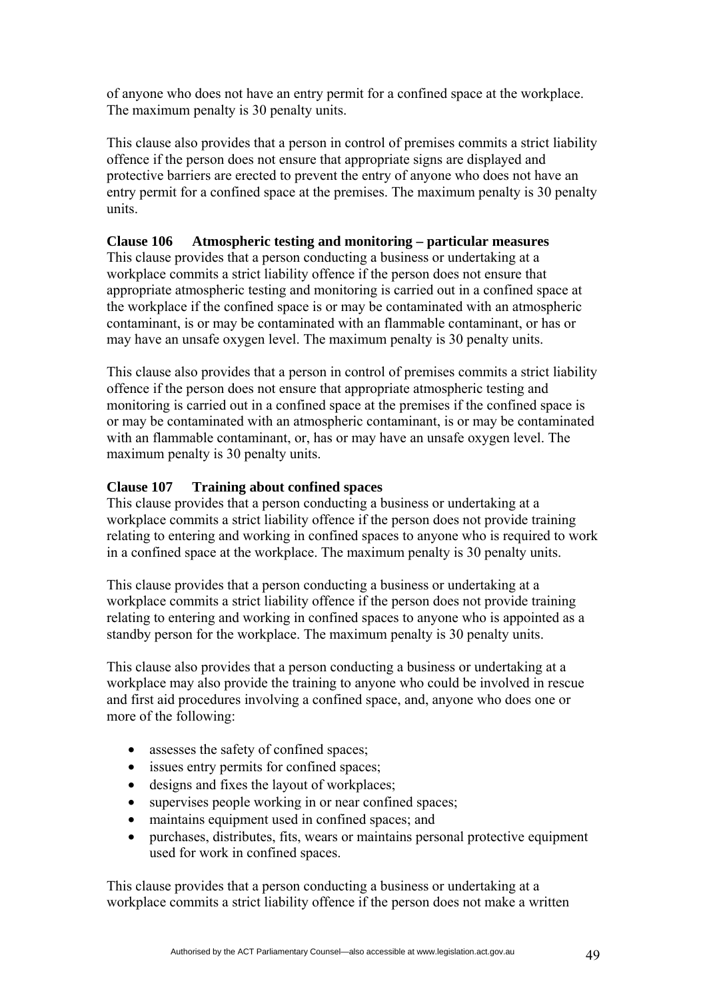of anyone who does not have an entry permit for a confined space at the workplace. The maximum penalty is 30 penalty units.

This clause also provides that a person in control of premises commits a strict liability offence if the person does not ensure that appropriate signs are displayed and protective barriers are erected to prevent the entry of anyone who does not have an entry permit for a confined space at the premises. The maximum penalty is 30 penalty units.

### **Clause 106 Atmospheric testing and monitoring – particular measures**

This clause provides that a person conducting a business or undertaking at a workplace commits a strict liability offence if the person does not ensure that appropriate atmospheric testing and monitoring is carried out in a confined space at the workplace if the confined space is or may be contaminated with an atmospheric contaminant, is or may be contaminated with an flammable contaminant, or has or may have an unsafe oxygen level. The maximum penalty is 30 penalty units.

This clause also provides that a person in control of premises commits a strict liability offence if the person does not ensure that appropriate atmospheric testing and monitoring is carried out in a confined space at the premises if the confined space is or may be contaminated with an atmospheric contaminant, is or may be contaminated with an flammable contaminant, or, has or may have an unsafe oxygen level. The maximum penalty is 30 penalty units.

### **Clause 107 Training about confined spaces**

This clause provides that a person conducting a business or undertaking at a workplace commits a strict liability offence if the person does not provide training relating to entering and working in confined spaces to anyone who is required to work in a confined space at the workplace. The maximum penalty is 30 penalty units.

This clause provides that a person conducting a business or undertaking at a workplace commits a strict liability offence if the person does not provide training relating to entering and working in confined spaces to anyone who is appointed as a standby person for the workplace. The maximum penalty is 30 penalty units.

This clause also provides that a person conducting a business or undertaking at a workplace may also provide the training to anyone who could be involved in rescue and first aid procedures involving a confined space, and, anyone who does one or more of the following:

- assesses the safety of confined spaces;
- issues entry permits for confined spaces;
- designs and fixes the layout of workplaces;
- supervises people working in or near confined spaces;
- maintains equipment used in confined spaces; and
- purchases, distributes, fits, wears or maintains personal protective equipment used for work in confined spaces.

This clause provides that a person conducting a business or undertaking at a workplace commits a strict liability offence if the person does not make a written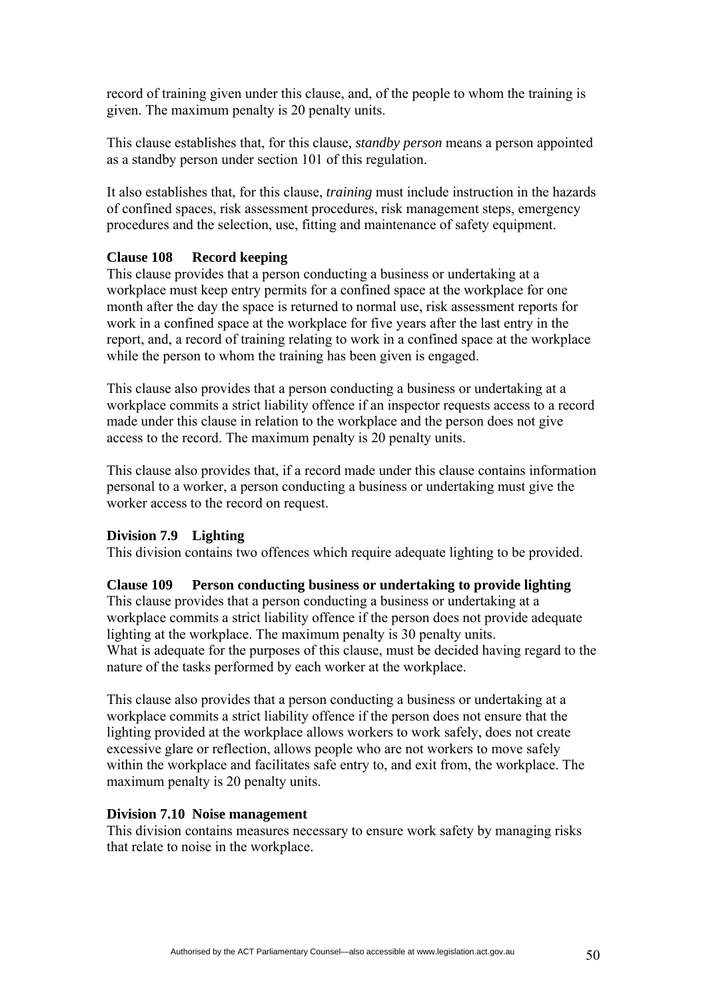record of training given under this clause, and, of the people to whom the training is given. The maximum penalty is 20 penalty units.

This clause establishes that, for this clause*, standby person* means a person appointed as a standby person under section 101 of this regulation.

It also establishes that, for this clause, *training* must include instruction in the hazards of confined spaces, risk assessment procedures, risk management steps, emergency procedures and the selection, use, fitting and maintenance of safety equipment.

### **Clause 108 Record keeping**

This clause provides that a person conducting a business or undertaking at a workplace must keep entry permits for a confined space at the workplace for one month after the day the space is returned to normal use, risk assessment reports for work in a confined space at the workplace for five years after the last entry in the report, and, a record of training relating to work in a confined space at the workplace while the person to whom the training has been given is engaged.

This clause also provides that a person conducting a business or undertaking at a workplace commits a strict liability offence if an inspector requests access to a record made under this clause in relation to the workplace and the person does not give access to the record. The maximum penalty is 20 penalty units.

This clause also provides that, if a record made under this clause contains information personal to a worker, a person conducting a business or undertaking must give the worker access to the record on request.

#### **Division 7.9 Lighting**

This division contains two offences which require adequate lighting to be provided.

#### **Clause 109 Person conducting business or undertaking to provide lighting**

This clause provides that a person conducting a business or undertaking at a workplace commits a strict liability offence if the person does not provide adequate lighting at the workplace. The maximum penalty is 30 penalty units. What is adequate for the purposes of this clause, must be decided having regard to the nature of the tasks performed by each worker at the workplace.

This clause also provides that a person conducting a business or undertaking at a workplace commits a strict liability offence if the person does not ensure that the lighting provided at the workplace allows workers to work safely, does not create excessive glare or reflection, allows people who are not workers to move safely within the workplace and facilitates safe entry to, and exit from, the workplace. The maximum penalty is 20 penalty units.

#### **Division 7.10 Noise management**

This division contains measures necessary to ensure work safety by managing risks that relate to noise in the workplace.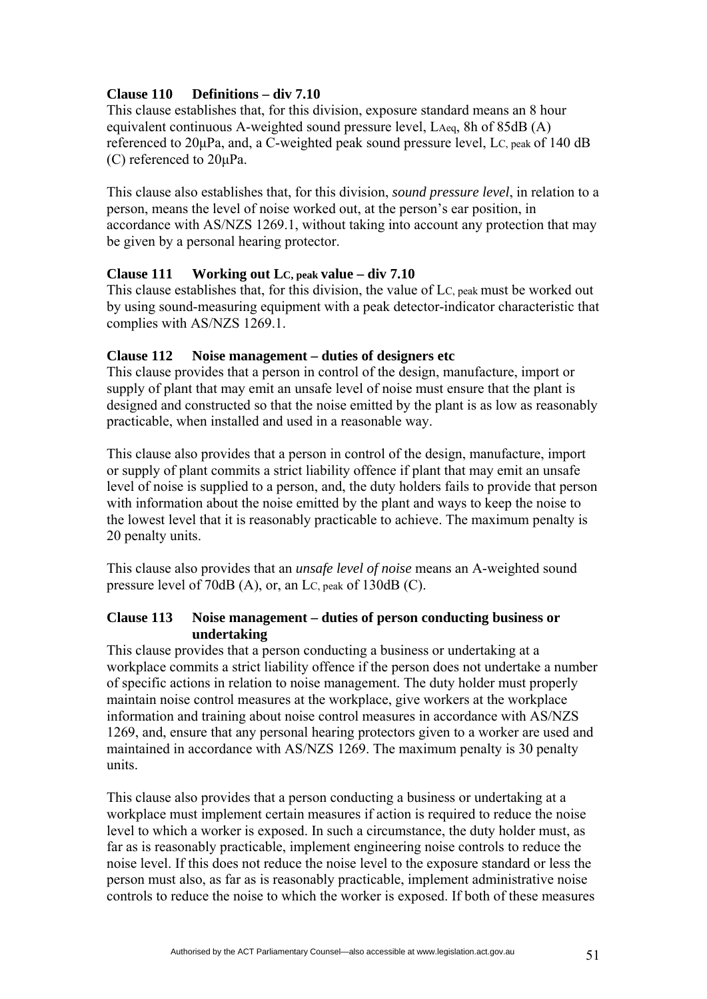## **Clause 110 Definitions – div 7.10**

This clause establishes that, for this division, exposure standard means an 8 hour equivalent continuous A-weighted sound pressure level, LAeq, 8h of 85dB (A) referenced to 20μPa, and, a C-weighted peak sound pressure level, LC, peak of 140 dB (C) referenced to 20μPa.

This clause also establishes that, for this division, *sound pressure level*, in relation to a person, means the level of noise worked out, at the person's ear position, in accordance with AS/NZS 1269.1, without taking into account any protection that may be given by a personal hearing protector.

### **Clause 111 Working out LC, peak value – div 7.10**

This clause establishes that, for this division, the value of LC, peak must be worked out by using sound-measuring equipment with a peak detector-indicator characteristic that complies with AS/NZS 1269.1.

### **Clause 112 Noise management – duties of designers etc**

This clause provides that a person in control of the design, manufacture, import or supply of plant that may emit an unsafe level of noise must ensure that the plant is designed and constructed so that the noise emitted by the plant is as low as reasonably practicable, when installed and used in a reasonable way.

This clause also provides that a person in control of the design, manufacture, import or supply of plant commits a strict liability offence if plant that may emit an unsafe level of noise is supplied to a person, and, the duty holders fails to provide that person with information about the noise emitted by the plant and ways to keep the noise to the lowest level that it is reasonably practicable to achieve. The maximum penalty is 20 penalty units.

This clause also provides that an *unsafe level of noise* means an A-weighted sound pressure level of 70dB (A), or, an LC, peak of 130dB (C).

### **Clause 113 Noise management – duties of person conducting business or undertaking**

This clause provides that a person conducting a business or undertaking at a workplace commits a strict liability offence if the person does not undertake a number of specific actions in relation to noise management. The duty holder must properly maintain noise control measures at the workplace, give workers at the workplace information and training about noise control measures in accordance with AS/NZS 1269, and, ensure that any personal hearing protectors given to a worker are used and maintained in accordance with AS/NZS 1269. The maximum penalty is 30 penalty units.

This clause also provides that a person conducting a business or undertaking at a workplace must implement certain measures if action is required to reduce the noise level to which a worker is exposed. In such a circumstance, the duty holder must, as far as is reasonably practicable, implement engineering noise controls to reduce the noise level. If this does not reduce the noise level to the exposure standard or less the person must also, as far as is reasonably practicable, implement administrative noise controls to reduce the noise to which the worker is exposed. If both of these measures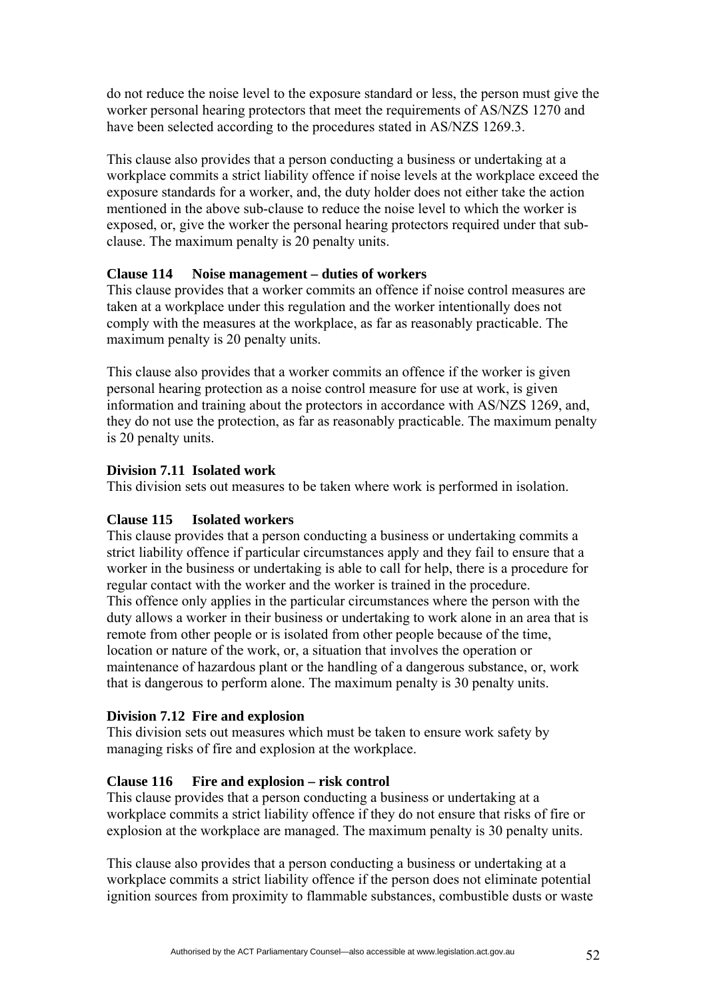do not reduce the noise level to the exposure standard or less, the person must give the worker personal hearing protectors that meet the requirements of AS/NZS 1270 and have been selected according to the procedures stated in AS/NZS 1269.3.

This clause also provides that a person conducting a business or undertaking at a workplace commits a strict liability offence if noise levels at the workplace exceed the exposure standards for a worker, and, the duty holder does not either take the action mentioned in the above sub-clause to reduce the noise level to which the worker is exposed, or, give the worker the personal hearing protectors required under that subclause. The maximum penalty is 20 penalty units.

## **Clause 114 Noise management – duties of workers**

This clause provides that a worker commits an offence if noise control measures are taken at a workplace under this regulation and the worker intentionally does not comply with the measures at the workplace, as far as reasonably practicable. The maximum penalty is 20 penalty units.

This clause also provides that a worker commits an offence if the worker is given personal hearing protection as a noise control measure for use at work, is given information and training about the protectors in accordance with AS/NZS 1269, and, they do not use the protection, as far as reasonably practicable. The maximum penalty is 20 penalty units.

## **Division 7.11 Isolated work**

This division sets out measures to be taken where work is performed in isolation.

## **Clause 115 Isolated workers**

This clause provides that a person conducting a business or undertaking commits a strict liability offence if particular circumstances apply and they fail to ensure that a worker in the business or undertaking is able to call for help, there is a procedure for regular contact with the worker and the worker is trained in the procedure. This offence only applies in the particular circumstances where the person with the duty allows a worker in their business or undertaking to work alone in an area that is remote from other people or is isolated from other people because of the time, location or nature of the work, or, a situation that involves the operation or maintenance of hazardous plant or the handling of a dangerous substance, or, work that is dangerous to perform alone. The maximum penalty is 30 penalty units.

## **Division 7.12 Fire and explosion**

This division sets out measures which must be taken to ensure work safety by managing risks of fire and explosion at the workplace.

## **Clause 116 Fire and explosion – risk control**

This clause provides that a person conducting a business or undertaking at a workplace commits a strict liability offence if they do not ensure that risks of fire or explosion at the workplace are managed. The maximum penalty is 30 penalty units.

This clause also provides that a person conducting a business or undertaking at a workplace commits a strict liability offence if the person does not eliminate potential ignition sources from proximity to flammable substances, combustible dusts or waste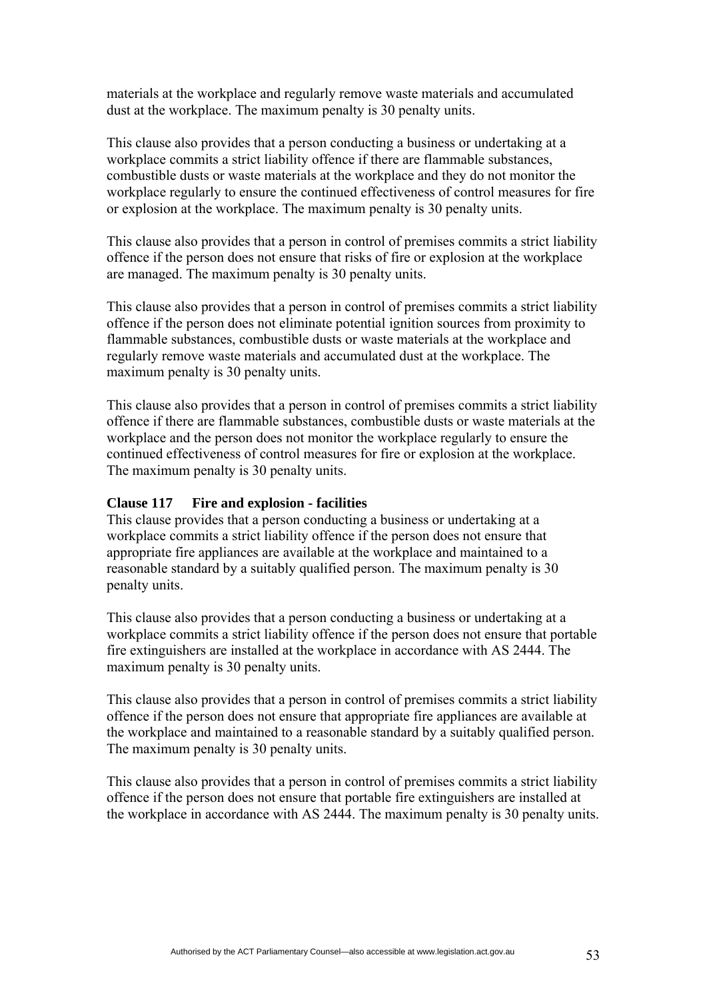materials at the workplace and regularly remove waste materials and accumulated dust at the workplace. The maximum penalty is 30 penalty units.

This clause also provides that a person conducting a business or undertaking at a workplace commits a strict liability offence if there are flammable substances, combustible dusts or waste materials at the workplace and they do not monitor the workplace regularly to ensure the continued effectiveness of control measures for fire or explosion at the workplace. The maximum penalty is 30 penalty units.

This clause also provides that a person in control of premises commits a strict liability offence if the person does not ensure that risks of fire or explosion at the workplace are managed. The maximum penalty is 30 penalty units.

This clause also provides that a person in control of premises commits a strict liability offence if the person does not eliminate potential ignition sources from proximity to flammable substances, combustible dusts or waste materials at the workplace and regularly remove waste materials and accumulated dust at the workplace. The maximum penalty is 30 penalty units.

This clause also provides that a person in control of premises commits a strict liability offence if there are flammable substances, combustible dusts or waste materials at the workplace and the person does not monitor the workplace regularly to ensure the continued effectiveness of control measures for fire or explosion at the workplace. The maximum penalty is 30 penalty units.

#### **Clause 117 Fire and explosion - facilities**

This clause provides that a person conducting a business or undertaking at a workplace commits a strict liability offence if the person does not ensure that appropriate fire appliances are available at the workplace and maintained to a reasonable standard by a suitably qualified person. The maximum penalty is 30 penalty units.

This clause also provides that a person conducting a business or undertaking at a workplace commits a strict liability offence if the person does not ensure that portable fire extinguishers are installed at the workplace in accordance with AS 2444. The maximum penalty is 30 penalty units.

This clause also provides that a person in control of premises commits a strict liability offence if the person does not ensure that appropriate fire appliances are available at the workplace and maintained to a reasonable standard by a suitably qualified person. The maximum penalty is 30 penalty units.

This clause also provides that a person in control of premises commits a strict liability offence if the person does not ensure that portable fire extinguishers are installed at the workplace in accordance with AS 2444. The maximum penalty is 30 penalty units.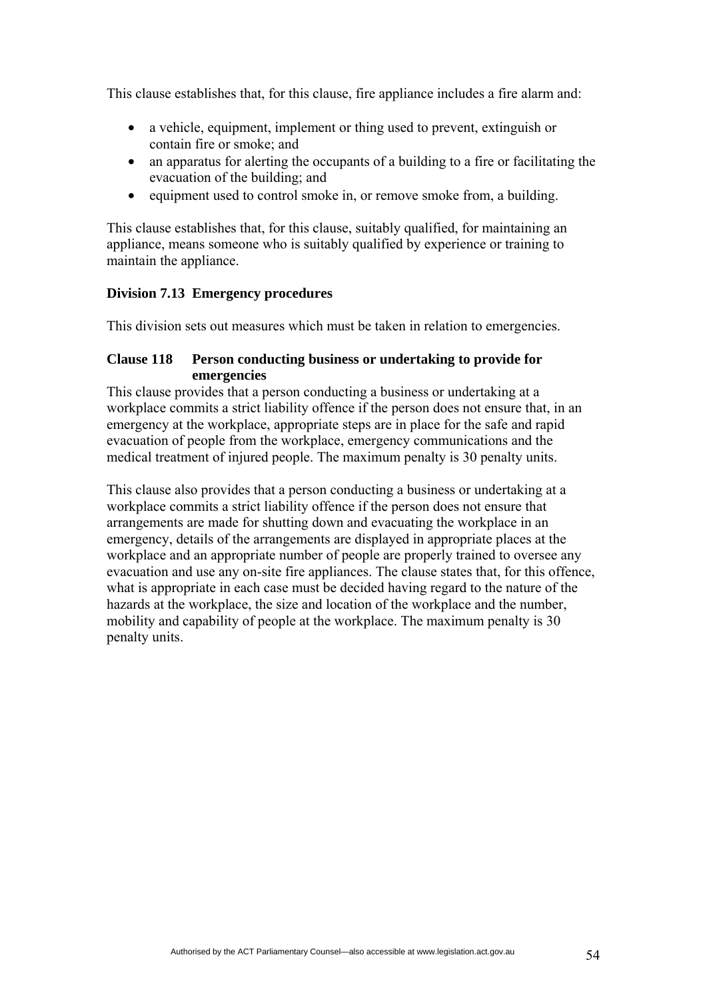This clause establishes that, for this clause, fire appliance includes a fire alarm and:

- a vehicle, equipment, implement or thing used to prevent, extinguish or contain fire or smoke; and
- an apparatus for alerting the occupants of a building to a fire or facilitating the evacuation of the building; and
- equipment used to control smoke in, or remove smoke from, a building.

This clause establishes that, for this clause, suitably qualified, for maintaining an appliance, means someone who is suitably qualified by experience or training to maintain the appliance.

## **Division 7.13 Emergency procedures**

This division sets out measures which must be taken in relation to emergencies.

### **Clause 118 Person conducting business or undertaking to provide for emergencies**

This clause provides that a person conducting a business or undertaking at a workplace commits a strict liability offence if the person does not ensure that, in an emergency at the workplace, appropriate steps are in place for the safe and rapid evacuation of people from the workplace, emergency communications and the medical treatment of injured people. The maximum penalty is 30 penalty units.

This clause also provides that a person conducting a business or undertaking at a workplace commits a strict liability offence if the person does not ensure that arrangements are made for shutting down and evacuating the workplace in an emergency, details of the arrangements are displayed in appropriate places at the workplace and an appropriate number of people are properly trained to oversee any evacuation and use any on-site fire appliances. The clause states that, for this offence, what is appropriate in each case must be decided having regard to the nature of the hazards at the workplace, the size and location of the workplace and the number, mobility and capability of people at the workplace. The maximum penalty is 30 penalty units.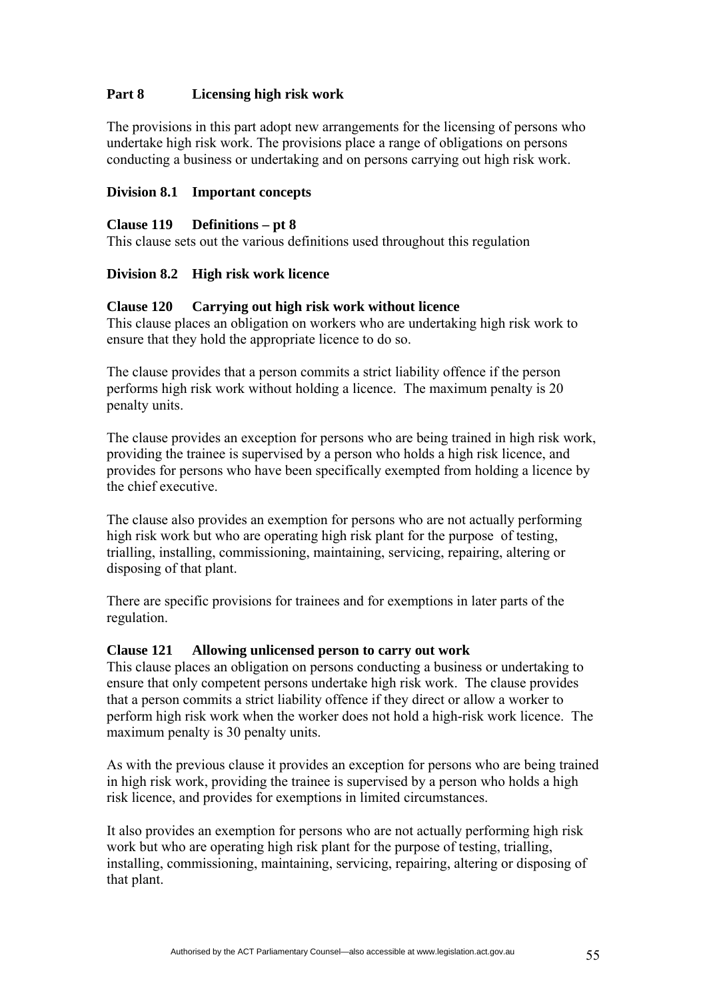## **Part 8 Licensing high risk work**

The provisions in this part adopt new arrangements for the licensing of persons who undertake high risk work. The provisions place a range of obligations on persons conducting a business or undertaking and on persons carrying out high risk work.

### **Division 8.1 Important concepts**

### **Clause 119 Definitions – pt 8**

This clause sets out the various definitions used throughout this regulation

### **Division 8.2 High risk work licence**

### **Clause 120 Carrying out high risk work without licence**

This clause places an obligation on workers who are undertaking high risk work to ensure that they hold the appropriate licence to do so.

The clause provides that a person commits a strict liability offence if the person performs high risk work without holding a licence. The maximum penalty is 20 penalty units.

The clause provides an exception for persons who are being trained in high risk work, providing the trainee is supervised by a person who holds a high risk licence, and provides for persons who have been specifically exempted from holding a licence by the chief executive.

The clause also provides an exemption for persons who are not actually performing high risk work but who are operating high risk plant for the purpose of testing, trialling, installing, commissioning, maintaining, servicing, repairing, altering or disposing of that plant.

There are specific provisions for trainees and for exemptions in later parts of the regulation.

### **Clause 121 Allowing unlicensed person to carry out work**

This clause places an obligation on persons conducting a business or undertaking to ensure that only competent persons undertake high risk work. The clause provides that a person commits a strict liability offence if they direct or allow a worker to perform high risk work when the worker does not hold a high-risk work licence. The maximum penalty is 30 penalty units.

As with the previous clause it provides an exception for persons who are being trained in high risk work, providing the trainee is supervised by a person who holds a high risk licence, and provides for exemptions in limited circumstances.

It also provides an exemption for persons who are not actually performing high risk work but who are operating high risk plant for the purpose of testing, trialling, installing, commissioning, maintaining, servicing, repairing, altering or disposing of that plant.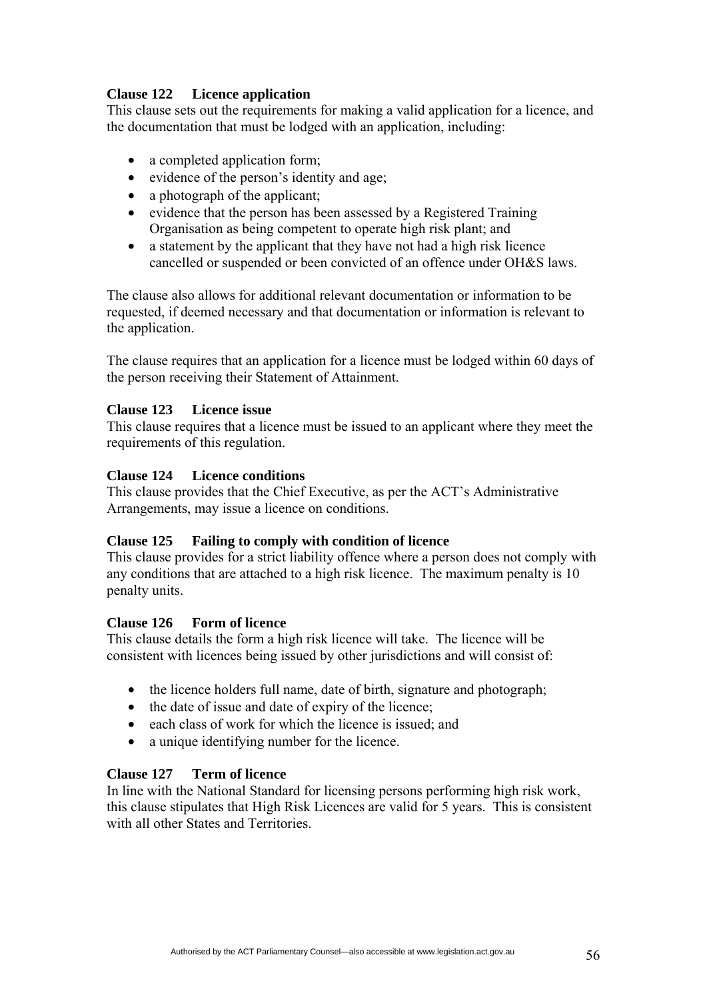## **Clause 122 Licence application**

This clause sets out the requirements for making a valid application for a licence, and the documentation that must be lodged with an application, including:

- a completed application form;
- evidence of the person's identity and age;
- a photograph of the applicant;
- evidence that the person has been assessed by a Registered Training Organisation as being competent to operate high risk plant; and
- a statement by the applicant that they have not had a high risk licence cancelled or suspended or been convicted of an offence under OH&S laws.

The clause also allows for additional relevant documentation or information to be requested, if deemed necessary and that documentation or information is relevant to the application.

The clause requires that an application for a licence must be lodged within 60 days of the person receiving their Statement of Attainment.

## **Clause 123 Licence issue**

This clause requires that a licence must be issued to an applicant where they meet the requirements of this regulation.

### **Clause 124 Licence conditions**

This clause provides that the Chief Executive, as per the ACT's Administrative Arrangements, may issue a licence on conditions.

## **Clause 125 Failing to comply with condition of licence**

This clause provides for a strict liability offence where a person does not comply with any conditions that are attached to a high risk licence. The maximum penalty is 10 penalty units.

## **Clause 126 Form of licence**

This clause details the form a high risk licence will take. The licence will be consistent with licences being issued by other jurisdictions and will consist of:

- the licence holders full name, date of birth, signature and photograph;
- the date of issue and date of expiry of the licence;
- each class of work for which the licence is issued; and
- a unique identifying number for the licence.

## **Clause 127 Term of licence**

In line with the National Standard for licensing persons performing high risk work, this clause stipulates that High Risk Licences are valid for 5 years. This is consistent with all other States and Territories.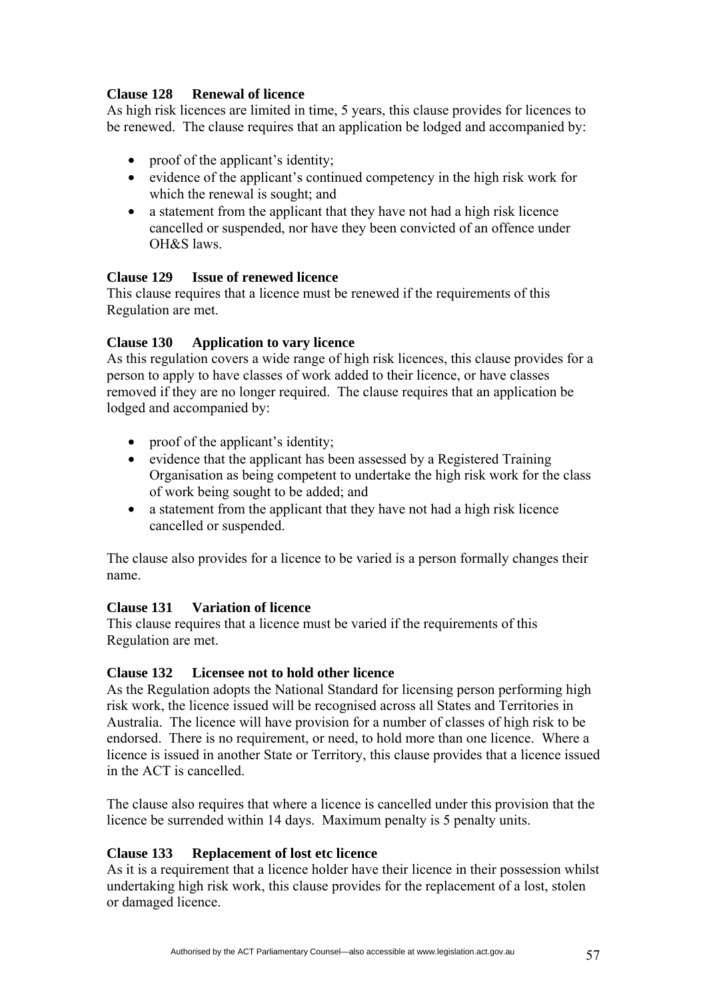## **Clause 128 Renewal of licence**

As high risk licences are limited in time, 5 years, this clause provides for licences to be renewed. The clause requires that an application be lodged and accompanied by:

- proof of the applicant's identity;
- evidence of the applicant's continued competency in the high risk work for which the renewal is sought; and
- a statement from the applicant that they have not had a high risk licence cancelled or suspended, nor have they been convicted of an offence under OH&S laws.

## **Clause 129 Issue of renewed licence**

This clause requires that a licence must be renewed if the requirements of this Regulation are met.

## **Clause 130 Application to vary licence**

As this regulation covers a wide range of high risk licences, this clause provides for a person to apply to have classes of work added to their licence, or have classes removed if they are no longer required. The clause requires that an application be lodged and accompanied by:

- proof of the applicant's identity;
- evidence that the applicant has been assessed by a Registered Training Organisation as being competent to undertake the high risk work for the class of work being sought to be added; and
- a statement from the applicant that they have not had a high risk licence cancelled or suspended.

The clause also provides for a licence to be varied is a person formally changes their name.

## **Clause 131 Variation of licence**

This clause requires that a licence must be varied if the requirements of this Regulation are met.

## **Clause 132 Licensee not to hold other licence**

As the Regulation adopts the National Standard for licensing person performing high risk work, the licence issued will be recognised across all States and Territories in Australia. The licence will have provision for a number of classes of high risk to be endorsed. There is no requirement, or need, to hold more than one licence. Where a licence is issued in another State or Territory, this clause provides that a licence issued in the ACT is cancelled.

The clause also requires that where a licence is cancelled under this provision that the licence be surrended within 14 days. Maximum penalty is 5 penalty units.

## **Clause 133 Replacement of lost etc licence**

As it is a requirement that a licence holder have their licence in their possession whilst undertaking high risk work, this clause provides for the replacement of a lost, stolen or damaged licence.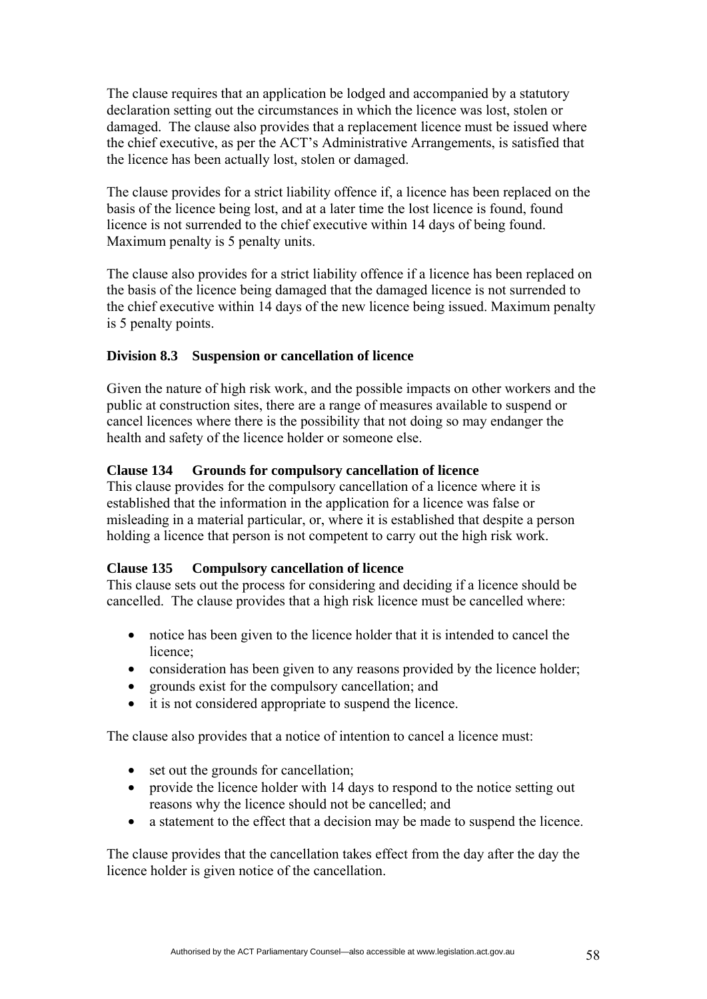The clause requires that an application be lodged and accompanied by a statutory declaration setting out the circumstances in which the licence was lost, stolen or damaged. The clause also provides that a replacement licence must be issued where the chief executive, as per the ACT's Administrative Arrangements, is satisfied that the licence has been actually lost, stolen or damaged.

The clause provides for a strict liability offence if, a licence has been replaced on the basis of the licence being lost, and at a later time the lost licence is found, found licence is not surrended to the chief executive within 14 days of being found. Maximum penalty is 5 penalty units.

The clause also provides for a strict liability offence if a licence has been replaced on the basis of the licence being damaged that the damaged licence is not surrended to the chief executive within 14 days of the new licence being issued. Maximum penalty is 5 penalty points.

## **Division 8.3 Suspension or cancellation of licence**

Given the nature of high risk work, and the possible impacts on other workers and the public at construction sites, there are a range of measures available to suspend or cancel licences where there is the possibility that not doing so may endanger the health and safety of the licence holder or someone else.

### **Clause 134 Grounds for compulsory cancellation of licence**

This clause provides for the compulsory cancellation of a licence where it is established that the information in the application for a licence was false or misleading in a material particular, or, where it is established that despite a person holding a licence that person is not competent to carry out the high risk work.

### **Clause 135 Compulsory cancellation of licence**

This clause sets out the process for considering and deciding if a licence should be cancelled. The clause provides that a high risk licence must be cancelled where:

- notice has been given to the licence holder that it is intended to cancel the licence;
- consideration has been given to any reasons provided by the licence holder;
- grounds exist for the compulsory cancellation; and
- it is not considered appropriate to suspend the licence.

The clause also provides that a notice of intention to cancel a licence must:

- set out the grounds for cancellation;
- provide the licence holder with 14 days to respond to the notice setting out reasons why the licence should not be cancelled; and
- a statement to the effect that a decision may be made to suspend the licence.

The clause provides that the cancellation takes effect from the day after the day the licence holder is given notice of the cancellation.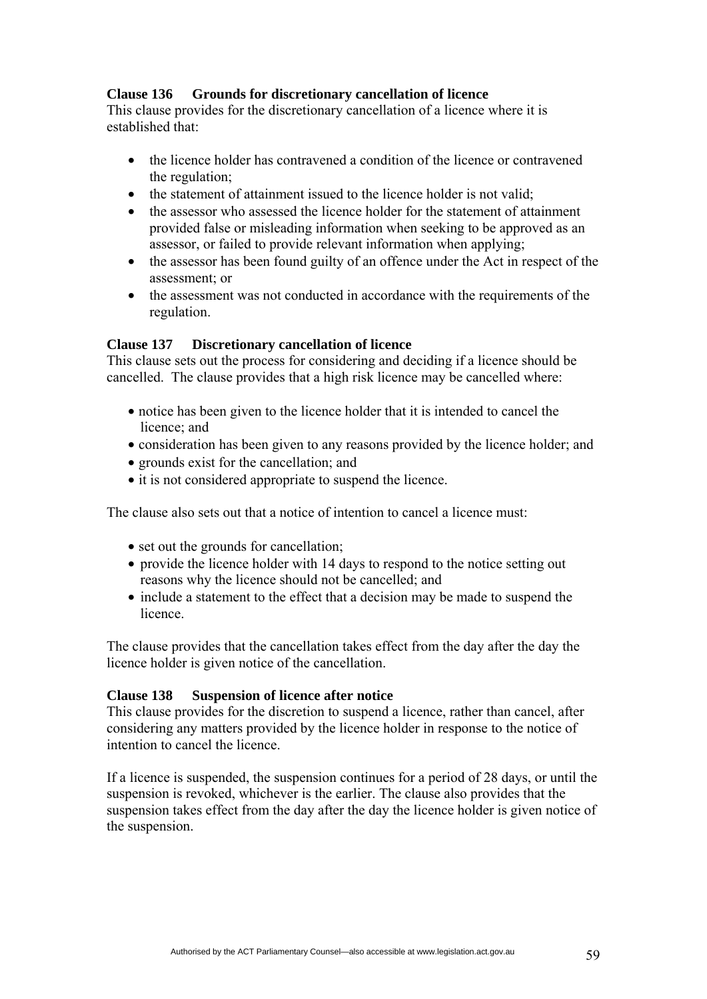## **Clause 136 Grounds for discretionary cancellation of licence**

This clause provides for the discretionary cancellation of a licence where it is established that:

- the licence holder has contravened a condition of the licence or contravened the regulation;
- the statement of attainment issued to the licence holder is not valid;
- the assessor who assessed the licence holder for the statement of attainment provided false or misleading information when seeking to be approved as an assessor, or failed to provide relevant information when applying;
- the assessor has been found guilty of an offence under the Act in respect of the assessment; or
- the assessment was not conducted in accordance with the requirements of the regulation.

### **Clause 137 Discretionary cancellation of licence**

This clause sets out the process for considering and deciding if a licence should be cancelled. The clause provides that a high risk licence may be cancelled where:

- notice has been given to the licence holder that it is intended to cancel the licence; and
- consideration has been given to any reasons provided by the licence holder; and
- grounds exist for the cancellation; and
- it is not considered appropriate to suspend the licence.

The clause also sets out that a notice of intention to cancel a licence must:

- set out the grounds for cancellation;
- provide the licence holder with 14 days to respond to the notice setting out reasons why the licence should not be cancelled; and
- include a statement to the effect that a decision may be made to suspend the licence.

The clause provides that the cancellation takes effect from the day after the day the licence holder is given notice of the cancellation.

### **Clause 138 Suspension of licence after notice**

This clause provides for the discretion to suspend a licence, rather than cancel, after considering any matters provided by the licence holder in response to the notice of intention to cancel the licence.

If a licence is suspended, the suspension continues for a period of 28 days, or until the suspension is revoked, whichever is the earlier. The clause also provides that the suspension takes effect from the day after the day the licence holder is given notice of the suspension.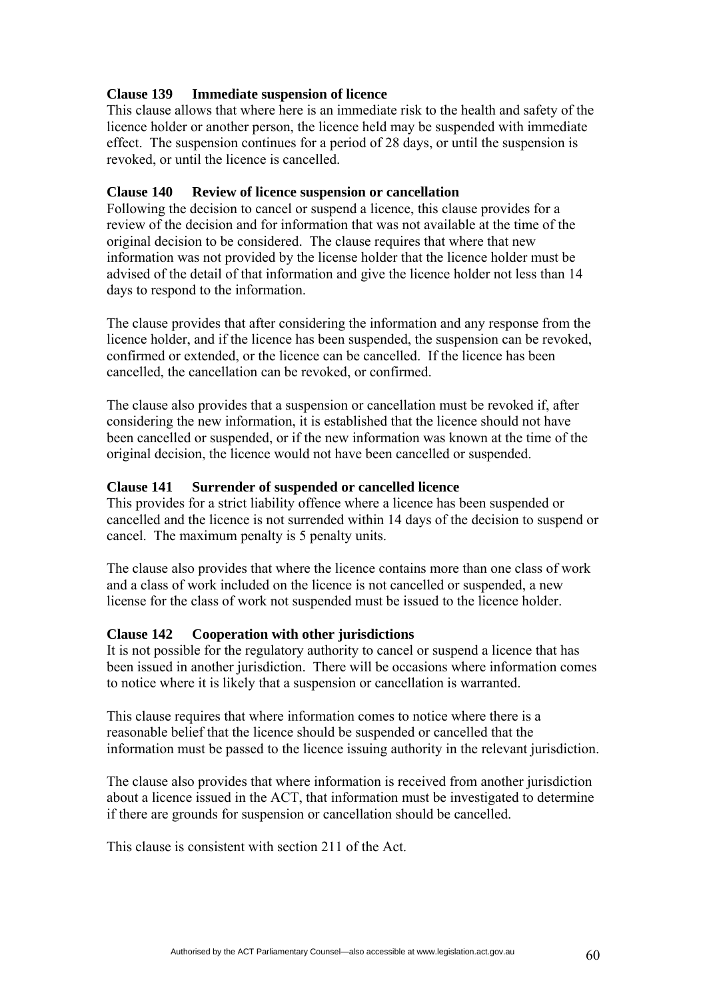### **Clause 139 Immediate suspension of licence**

This clause allows that where here is an immediate risk to the health and safety of the licence holder or another person, the licence held may be suspended with immediate effect. The suspension continues for a period of 28 days, or until the suspension is revoked, or until the licence is cancelled.

### **Clause 140 Review of licence suspension or cancellation**

Following the decision to cancel or suspend a licence, this clause provides for a review of the decision and for information that was not available at the time of the original decision to be considered. The clause requires that where that new information was not provided by the license holder that the licence holder must be advised of the detail of that information and give the licence holder not less than 14 days to respond to the information.

The clause provides that after considering the information and any response from the licence holder, and if the licence has been suspended, the suspension can be revoked, confirmed or extended, or the licence can be cancelled. If the licence has been cancelled, the cancellation can be revoked, or confirmed.

The clause also provides that a suspension or cancellation must be revoked if, after considering the new information, it is established that the licence should not have been cancelled or suspended, or if the new information was known at the time of the original decision, the licence would not have been cancelled or suspended.

### **Clause 141 Surrender of suspended or cancelled licence**

This provides for a strict liability offence where a licence has been suspended or cancelled and the licence is not surrended within 14 days of the decision to suspend or cancel. The maximum penalty is 5 penalty units.

The clause also provides that where the licence contains more than one class of work and a class of work included on the licence is not cancelled or suspended, a new license for the class of work not suspended must be issued to the licence holder.

### **Clause 142 Cooperation with other jurisdictions**

It is not possible for the regulatory authority to cancel or suspend a licence that has been issued in another jurisdiction. There will be occasions where information comes to notice where it is likely that a suspension or cancellation is warranted.

This clause requires that where information comes to notice where there is a reasonable belief that the licence should be suspended or cancelled that the information must be passed to the licence issuing authority in the relevant jurisdiction.

The clause also provides that where information is received from another jurisdiction about a licence issued in the ACT, that information must be investigated to determine if there are grounds for suspension or cancellation should be cancelled.

This clause is consistent with section 211 of the Act.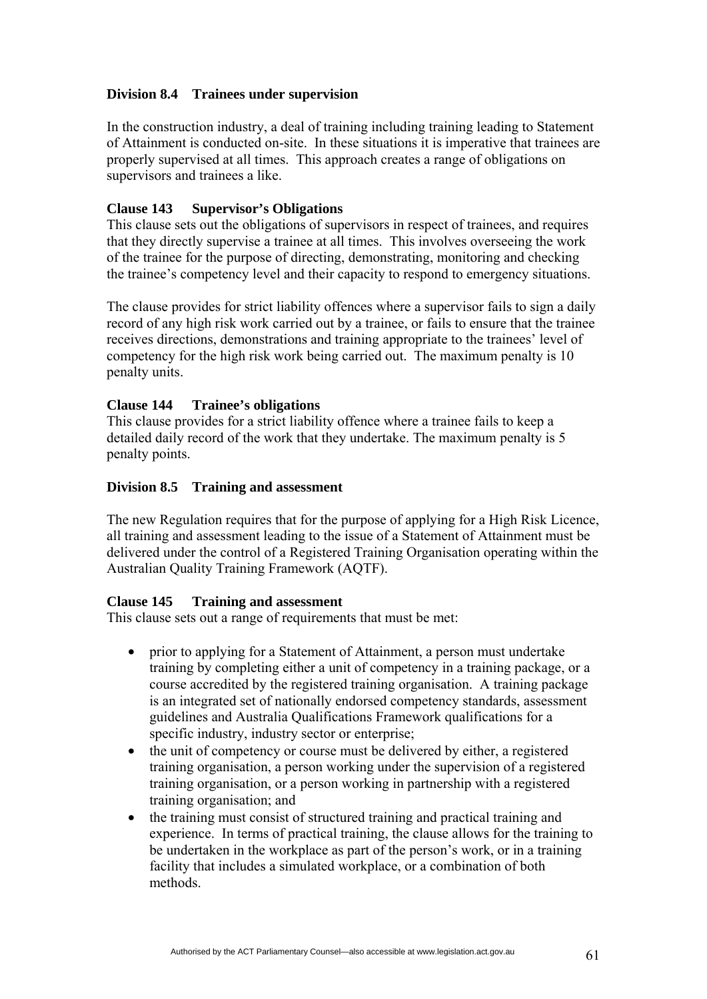## **Division 8.4 Trainees under supervision**

In the construction industry, a deal of training including training leading to Statement of Attainment is conducted on-site. In these situations it is imperative that trainees are properly supervised at all times. This approach creates a range of obligations on supervisors and trainees a like.

### **Clause 143 Supervisor's Obligations**

This clause sets out the obligations of supervisors in respect of trainees, and requires that they directly supervise a trainee at all times. This involves overseeing the work of the trainee for the purpose of directing, demonstrating, monitoring and checking the trainee's competency level and their capacity to respond to emergency situations.

The clause provides for strict liability offences where a supervisor fails to sign a daily record of any high risk work carried out by a trainee, or fails to ensure that the trainee receives directions, demonstrations and training appropriate to the trainees' level of competency for the high risk work being carried out. The maximum penalty is 10 penalty units.

### **Clause 144 Trainee's obligations**

This clause provides for a strict liability offence where a trainee fails to keep a detailed daily record of the work that they undertake. The maximum penalty is 5 penalty points.

#### **Division 8.5 Training and assessment**

The new Regulation requires that for the purpose of applying for a High Risk Licence, all training and assessment leading to the issue of a Statement of Attainment must be delivered under the control of a Registered Training Organisation operating within the Australian Quality Training Framework (AQTF).

### **Clause 145 Training and assessment**

This clause sets out a range of requirements that must be met:

- prior to applying for a Statement of Attainment, a person must undertake training by completing either a unit of competency in a training package, or a course accredited by the registered training organisation. A training package is an integrated set of nationally endorsed competency standards, assessment guidelines and Australia Qualifications Framework qualifications for a specific industry, industry sector or enterprise;
- the unit of competency or course must be delivered by either, a registered training organisation, a person working under the supervision of a registered training organisation, or a person working in partnership with a registered training organisation; and
- the training must consist of structured training and practical training and experience. In terms of practical training, the clause allows for the training to be undertaken in the workplace as part of the person's work, or in a training facility that includes a simulated workplace, or a combination of both methods.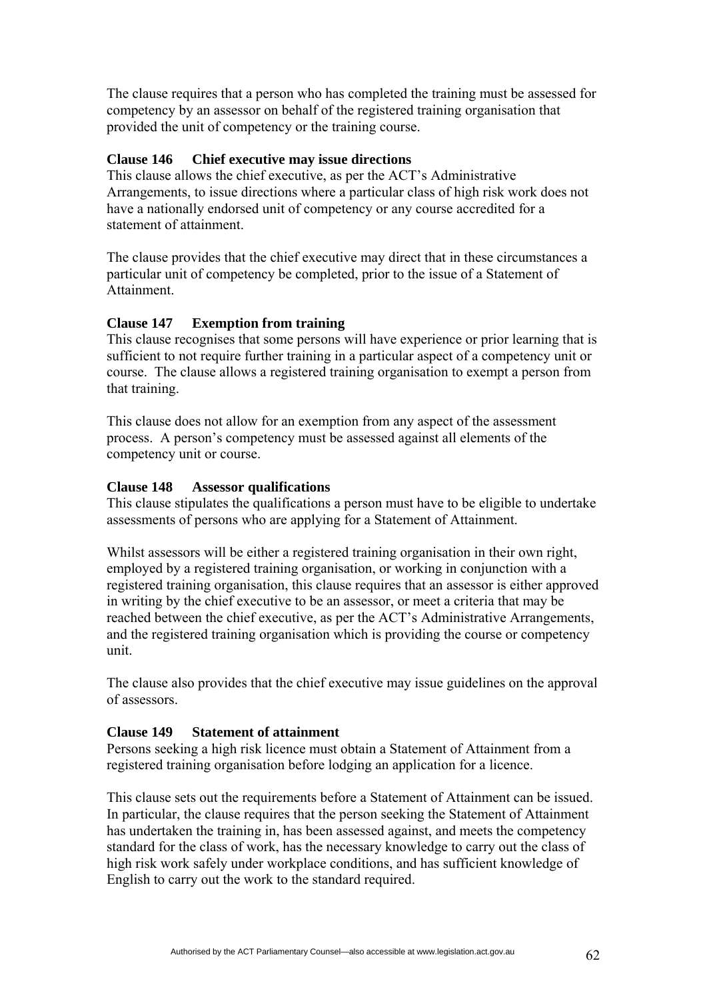The clause requires that a person who has completed the training must be assessed for competency by an assessor on behalf of the registered training organisation that provided the unit of competency or the training course.

### **Clause 146 Chief executive may issue directions**

This clause allows the chief executive, as per the ACT's Administrative Arrangements, to issue directions where a particular class of high risk work does not have a nationally endorsed unit of competency or any course accredited for a statement of attainment.

The clause provides that the chief executive may direct that in these circumstances a particular unit of competency be completed, prior to the issue of a Statement of Attainment.

## **Clause 147 Exemption from training**

This clause recognises that some persons will have experience or prior learning that is sufficient to not require further training in a particular aspect of a competency unit or course. The clause allows a registered training organisation to exempt a person from that training.

This clause does not allow for an exemption from any aspect of the assessment process. A person's competency must be assessed against all elements of the competency unit or course.

### **Clause 148 Assessor qualifications**

This clause stipulates the qualifications a person must have to be eligible to undertake assessments of persons who are applying for a Statement of Attainment.

Whilst assessors will be either a registered training organisation in their own right, employed by a registered training organisation, or working in conjunction with a registered training organisation, this clause requires that an assessor is either approved in writing by the chief executive to be an assessor, or meet a criteria that may be reached between the chief executive, as per the ACT's Administrative Arrangements, and the registered training organisation which is providing the course or competency unit.

The clause also provides that the chief executive may issue guidelines on the approval of assessors.

## **Clause 149 Statement of attainment**

Persons seeking a high risk licence must obtain a Statement of Attainment from a registered training organisation before lodging an application for a licence.

This clause sets out the requirements before a Statement of Attainment can be issued. In particular, the clause requires that the person seeking the Statement of Attainment has undertaken the training in, has been assessed against, and meets the competency standard for the class of work, has the necessary knowledge to carry out the class of high risk work safely under workplace conditions, and has sufficient knowledge of English to carry out the work to the standard required.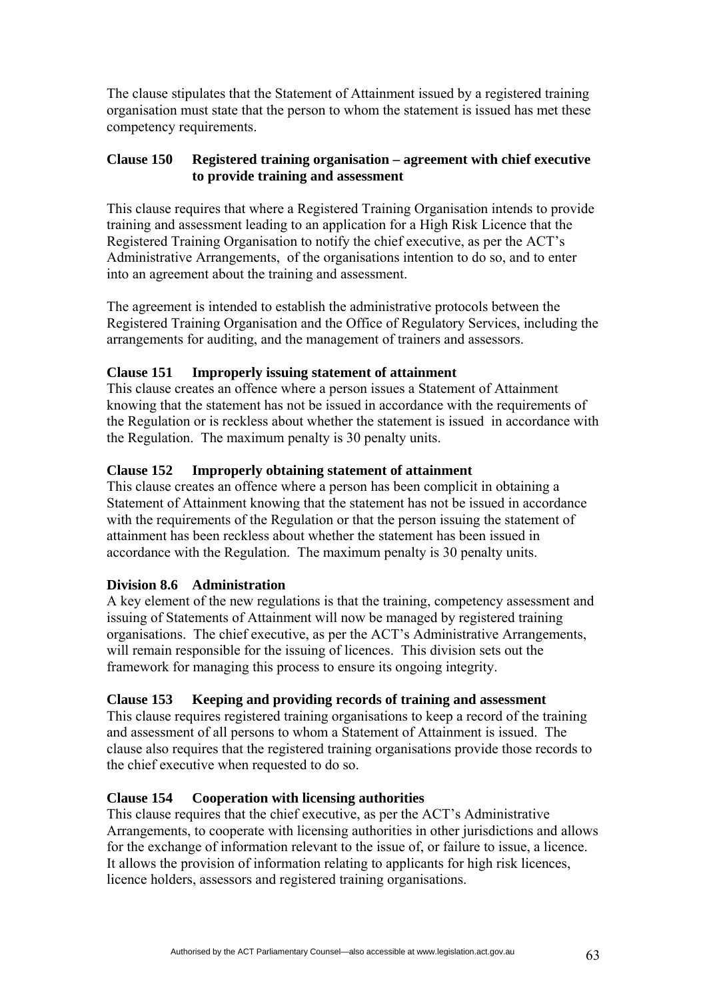The clause stipulates that the Statement of Attainment issued by a registered training organisation must state that the person to whom the statement is issued has met these competency requirements.

### **Clause 150 Registered training organisation – agreement with chief executive to provide training and assessment**

This clause requires that where a Registered Training Organisation intends to provide training and assessment leading to an application for a High Risk Licence that the Registered Training Organisation to notify the chief executive, as per the ACT's Administrative Arrangements, of the organisations intention to do so, and to enter into an agreement about the training and assessment.

The agreement is intended to establish the administrative protocols between the Registered Training Organisation and the Office of Regulatory Services, including the arrangements for auditing, and the management of trainers and assessors.

## **Clause 151 Improperly issuing statement of attainment**

This clause creates an offence where a person issues a Statement of Attainment knowing that the statement has not be issued in accordance with the requirements of the Regulation or is reckless about whether the statement is issued in accordance with the Regulation. The maximum penalty is 30 penalty units.

### **Clause 152 Improperly obtaining statement of attainment**

This clause creates an offence where a person has been complicit in obtaining a Statement of Attainment knowing that the statement has not be issued in accordance with the requirements of the Regulation or that the person issuing the statement of attainment has been reckless about whether the statement has been issued in accordance with the Regulation. The maximum penalty is 30 penalty units.

## **Division 8.6 Administration**

A key element of the new regulations is that the training, competency assessment and issuing of Statements of Attainment will now be managed by registered training organisations. The chief executive, as per the ACT's Administrative Arrangements, will remain responsible for the issuing of licences. This division sets out the framework for managing this process to ensure its ongoing integrity.

### **Clause 153 Keeping and providing records of training and assessment**

This clause requires registered training organisations to keep a record of the training and assessment of all persons to whom a Statement of Attainment is issued. The clause also requires that the registered training organisations provide those records to the chief executive when requested to do so.

## **Clause 154 Cooperation with licensing authorities**

This clause requires that the chief executive, as per the ACT's Administrative Arrangements, to cooperate with licensing authorities in other jurisdictions and allows for the exchange of information relevant to the issue of, or failure to issue, a licence. It allows the provision of information relating to applicants for high risk licences, licence holders, assessors and registered training organisations.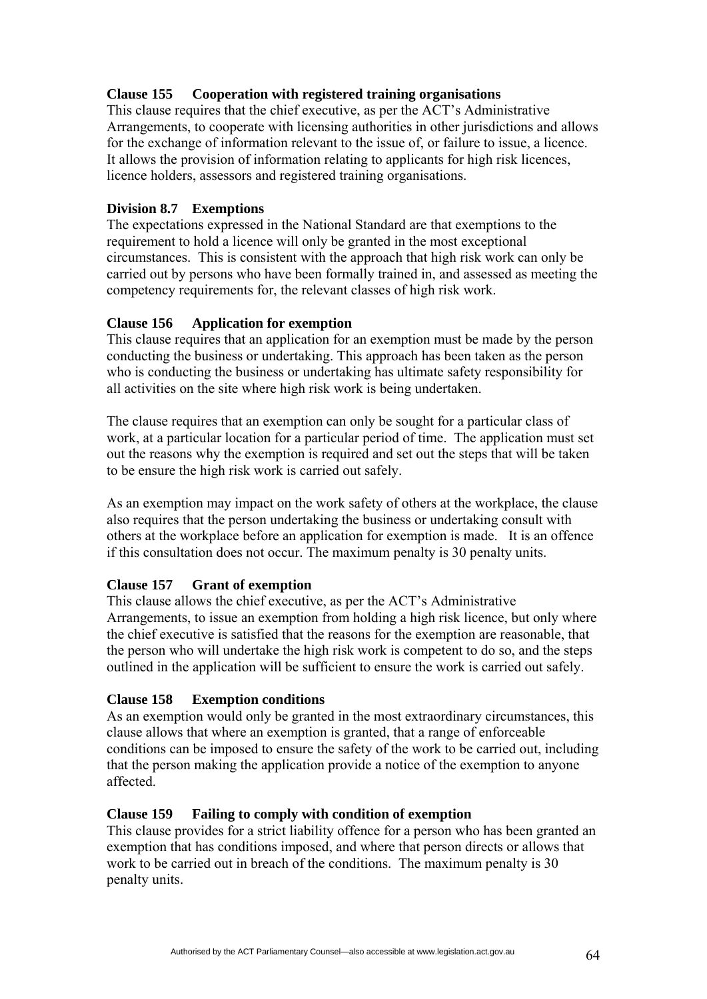# **Clause 155 Cooperation with registered training organisations**

This clause requires that the chief executive, as per the ACT's Administrative Arrangements, to cooperate with licensing authorities in other jurisdictions and allows for the exchange of information relevant to the issue of, or failure to issue, a licence. It allows the provision of information relating to applicants for high risk licences, licence holders, assessors and registered training organisations.

### **Division 8.7 Exemptions**

The expectations expressed in the National Standard are that exemptions to the requirement to hold a licence will only be granted in the most exceptional circumstances. This is consistent with the approach that high risk work can only be carried out by persons who have been formally trained in, and assessed as meeting the competency requirements for, the relevant classes of high risk work.

### **Clause 156 Application for exemption**

This clause requires that an application for an exemption must be made by the person conducting the business or undertaking. This approach has been taken as the person who is conducting the business or undertaking has ultimate safety responsibility for all activities on the site where high risk work is being undertaken.

The clause requires that an exemption can only be sought for a particular class of work, at a particular location for a particular period of time. The application must set out the reasons why the exemption is required and set out the steps that will be taken to be ensure the high risk work is carried out safely.

As an exemption may impact on the work safety of others at the workplace, the clause also requires that the person undertaking the business or undertaking consult with others at the workplace before an application for exemption is made. It is an offence if this consultation does not occur. The maximum penalty is 30 penalty units.

## **Clause 157 Grant of exemption**

This clause allows the chief executive, as per the ACT's Administrative Arrangements, to issue an exemption from holding a high risk licence, but only where the chief executive is satisfied that the reasons for the exemption are reasonable, that the person who will undertake the high risk work is competent to do so, and the steps outlined in the application will be sufficient to ensure the work is carried out safely.

### **Clause 158 Exemption conditions**

As an exemption would only be granted in the most extraordinary circumstances, this clause allows that where an exemption is granted, that a range of enforceable conditions can be imposed to ensure the safety of the work to be carried out, including that the person making the application provide a notice of the exemption to anyone affected.

### **Clause 159 Failing to comply with condition of exemption**

This clause provides for a strict liability offence for a person who has been granted an exemption that has conditions imposed, and where that person directs or allows that work to be carried out in breach of the conditions. The maximum penalty is 30 penalty units.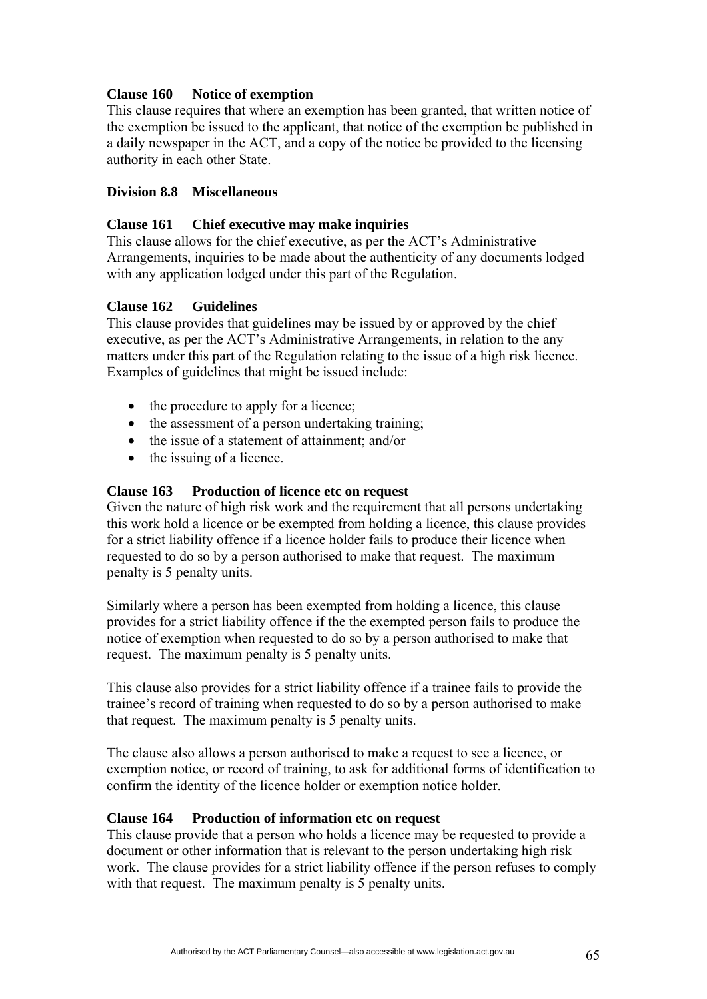### **Clause 160 Notice of exemption**

This clause requires that where an exemption has been granted, that written notice of the exemption be issued to the applicant, that notice of the exemption be published in a daily newspaper in the ACT, and a copy of the notice be provided to the licensing authority in each other State.

### **Division 8.8 Miscellaneous**

### **Clause 161 Chief executive may make inquiries**

This clause allows for the chief executive, as per the ACT's Administrative Arrangements, inquiries to be made about the authenticity of any documents lodged with any application lodged under this part of the Regulation.

### **Clause 162 Guidelines**

This clause provides that guidelines may be issued by or approved by the chief executive, as per the ACT's Administrative Arrangements, in relation to the any matters under this part of the Regulation relating to the issue of a high risk licence. Examples of guidelines that might be issued include:

- the procedure to apply for a licence;
- the assessment of a person undertaking training;
- the issue of a statement of attainment; and/or
- the issuing of a licence.

### **Clause 163 Production of licence etc on request**

Given the nature of high risk work and the requirement that all persons undertaking this work hold a licence or be exempted from holding a licence, this clause provides for a strict liability offence if a licence holder fails to produce their licence when requested to do so by a person authorised to make that request. The maximum penalty is 5 penalty units.

Similarly where a person has been exempted from holding a licence, this clause provides for a strict liability offence if the the exempted person fails to produce the notice of exemption when requested to do so by a person authorised to make that request. The maximum penalty is 5 penalty units.

This clause also provides for a strict liability offence if a trainee fails to provide the trainee's record of training when requested to do so by a person authorised to make that request. The maximum penalty is 5 penalty units.

The clause also allows a person authorised to make a request to see a licence, or exemption notice, or record of training, to ask for additional forms of identification to confirm the identity of the licence holder or exemption notice holder.

### **Clause 164 Production of information etc on request**

This clause provide that a person who holds a licence may be requested to provide a document or other information that is relevant to the person undertaking high risk work. The clause provides for a strict liability offence if the person refuses to comply with that request. The maximum penalty is 5 penalty units.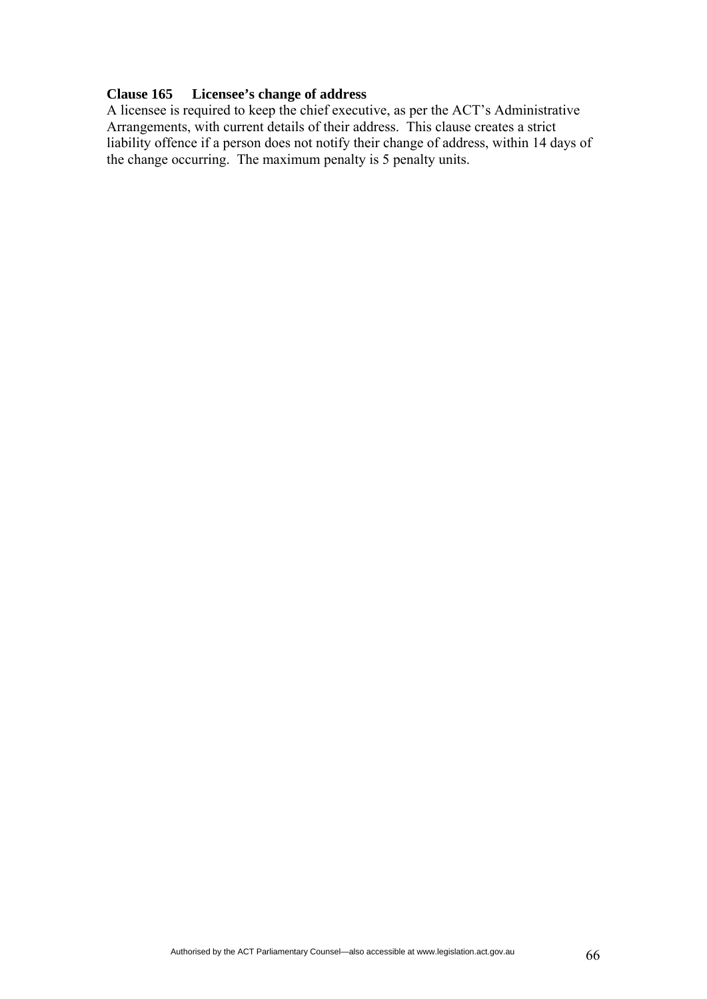### **Clause 165 Licensee's change of address**

A licensee is required to keep the chief executive, as per the ACT's Administrative Arrangements, with current details of their address. This clause creates a strict liability offence if a person does not notify their change of address, within 14 days of the change occurring. The maximum penalty is 5 penalty units.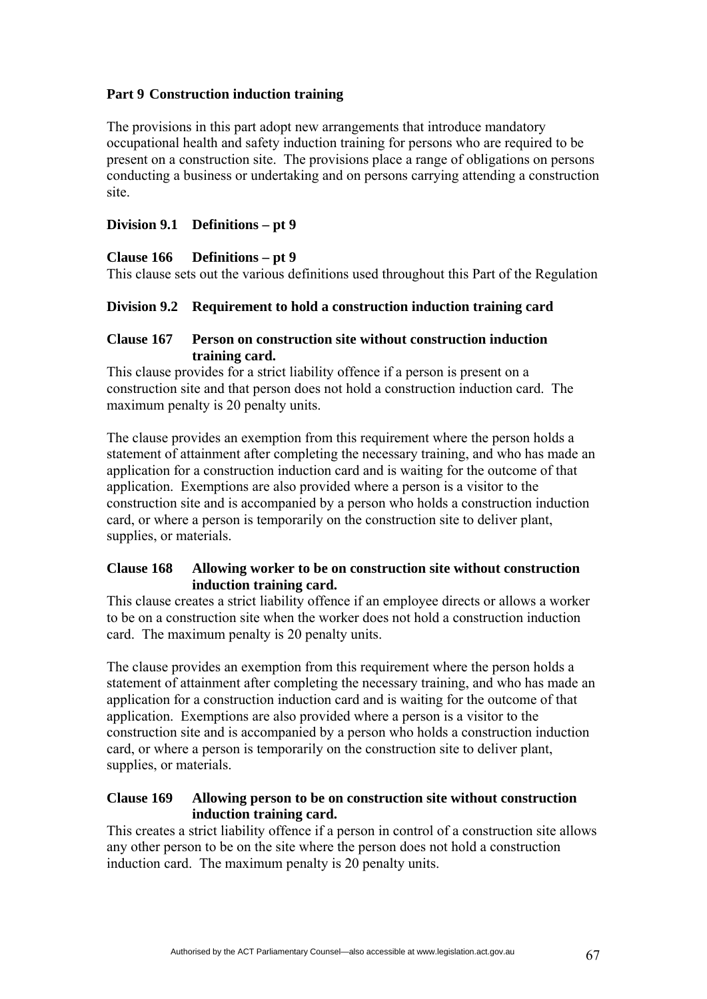## **Part 9 Construction induction training**

The provisions in this part adopt new arrangements that introduce mandatory occupational health and safety induction training for persons who are required to be present on a construction site. The provisions place a range of obligations on persons conducting a business or undertaking and on persons carrying attending a construction site.

## **Division 9.1 Definitions – pt 9**

## **Clause 166 Definitions – pt 9**

This clause sets out the various definitions used throughout this Part of the Regulation

## **Division 9.2 Requirement to hold a construction induction training card**

## **Clause 167 Person on construction site without construction induction training card.**

This clause provides for a strict liability offence if a person is present on a construction site and that person does not hold a construction induction card. The maximum penalty is 20 penalty units.

The clause provides an exemption from this requirement where the person holds a statement of attainment after completing the necessary training, and who has made an application for a construction induction card and is waiting for the outcome of that application. Exemptions are also provided where a person is a visitor to the construction site and is accompanied by a person who holds a construction induction card, or where a person is temporarily on the construction site to deliver plant, supplies, or materials.

## **Clause 168 Allowing worker to be on construction site without construction induction training card.**

This clause creates a strict liability offence if an employee directs or allows a worker to be on a construction site when the worker does not hold a construction induction card. The maximum penalty is 20 penalty units.

The clause provides an exemption from this requirement where the person holds a statement of attainment after completing the necessary training, and who has made an application for a construction induction card and is waiting for the outcome of that application. Exemptions are also provided where a person is a visitor to the construction site and is accompanied by a person who holds a construction induction card, or where a person is temporarily on the construction site to deliver plant, supplies, or materials.

## **Clause 169 Allowing person to be on construction site without construction induction training card.**

This creates a strict liability offence if a person in control of a construction site allows any other person to be on the site where the person does not hold a construction induction card. The maximum penalty is 20 penalty units.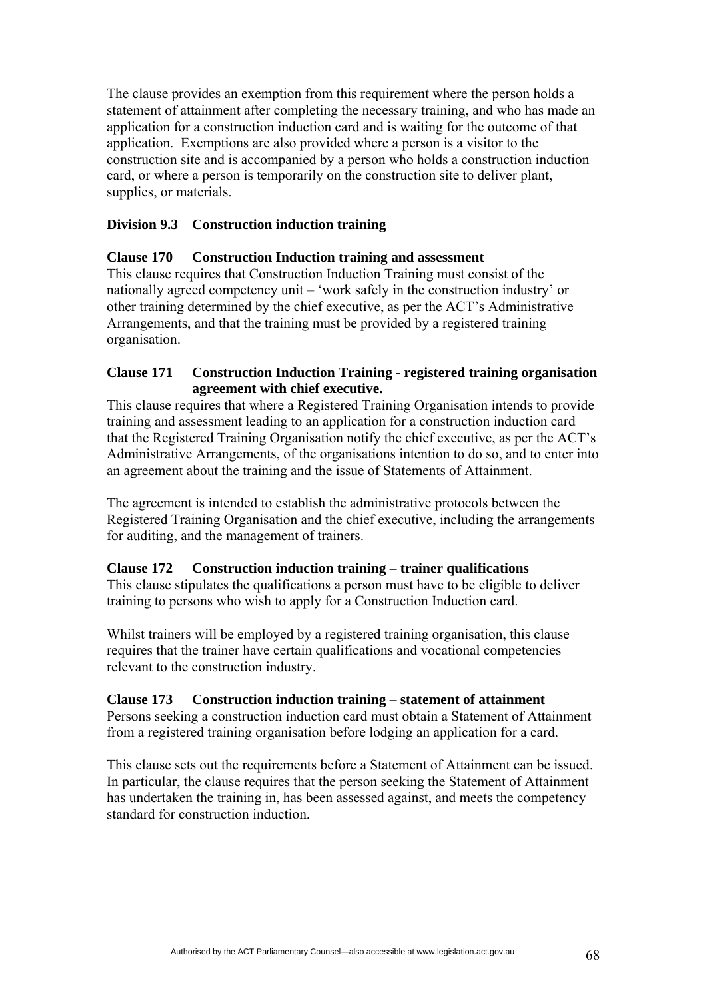The clause provides an exemption from this requirement where the person holds a statement of attainment after completing the necessary training, and who has made an application for a construction induction card and is waiting for the outcome of that application. Exemptions are also provided where a person is a visitor to the construction site and is accompanied by a person who holds a construction induction card, or where a person is temporarily on the construction site to deliver plant, supplies, or materials.

### **Division 9.3 Construction induction training**

### **Clause 170 Construction Induction training and assessment**

This clause requires that Construction Induction Training must consist of the nationally agreed competency unit – 'work safely in the construction industry' or other training determined by the chief executive, as per the ACT's Administrative Arrangements, and that the training must be provided by a registered training organisation.

### **Clause 171 Construction Induction Training - registered training organisation agreement with chief executive.**

This clause requires that where a Registered Training Organisation intends to provide training and assessment leading to an application for a construction induction card that the Registered Training Organisation notify the chief executive, as per the ACT's Administrative Arrangements, of the organisations intention to do so, and to enter into an agreement about the training and the issue of Statements of Attainment.

The agreement is intended to establish the administrative protocols between the Registered Training Organisation and the chief executive, including the arrangements for auditing, and the management of trainers.

### **Clause 172 Construction induction training – trainer qualifications**

This clause stipulates the qualifications a person must have to be eligible to deliver training to persons who wish to apply for a Construction Induction card.

Whilst trainers will be employed by a registered training organisation, this clause requires that the trainer have certain qualifications and vocational competencies relevant to the construction industry.

### **Clause 173 Construction induction training – statement of attainment**

Persons seeking a construction induction card must obtain a Statement of Attainment from a registered training organisation before lodging an application for a card.

This clause sets out the requirements before a Statement of Attainment can be issued. In particular, the clause requires that the person seeking the Statement of Attainment has undertaken the training in, has been assessed against, and meets the competency standard for construction induction.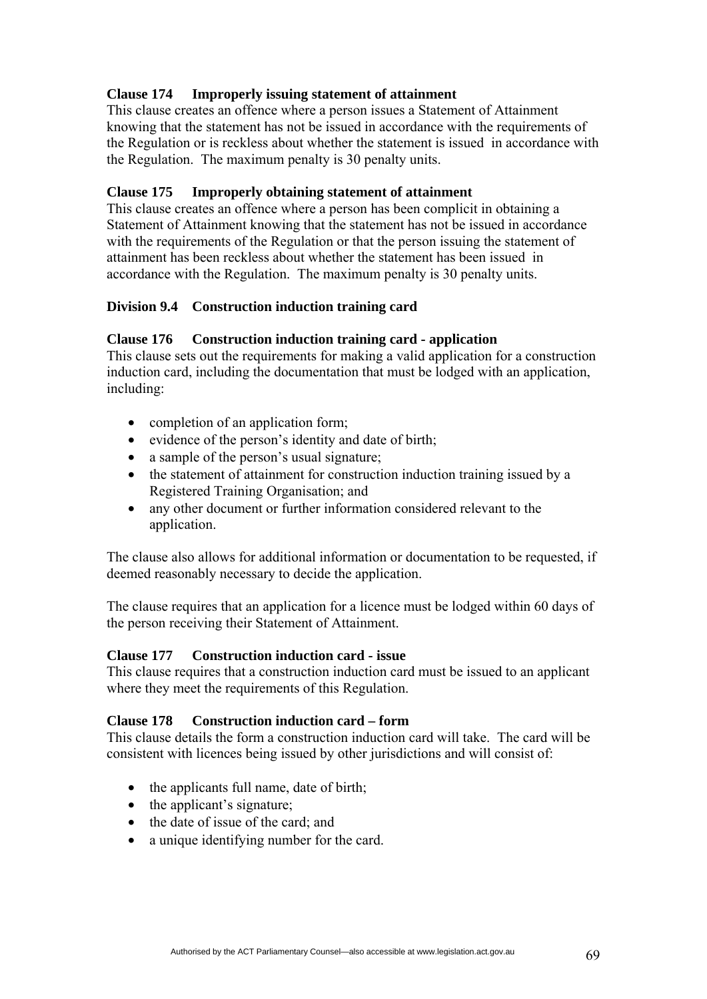# **Clause 174 Improperly issuing statement of attainment**

This clause creates an offence where a person issues a Statement of Attainment knowing that the statement has not be issued in accordance with the requirements of the Regulation or is reckless about whether the statement is issued in accordance with the Regulation. The maximum penalty is 30 penalty units.

### **Clause 175 Improperly obtaining statement of attainment**

This clause creates an offence where a person has been complicit in obtaining a Statement of Attainment knowing that the statement has not be issued in accordance with the requirements of the Regulation or that the person issuing the statement of attainment has been reckless about whether the statement has been issued in accordance with the Regulation. The maximum penalty is 30 penalty units.

### **Division 9.4 Construction induction training card**

### **Clause 176 Construction induction training card - application**

This clause sets out the requirements for making a valid application for a construction induction card, including the documentation that must be lodged with an application, including:

- completion of an application form;
- evidence of the person's identity and date of birth;
- a sample of the person's usual signature;
- the statement of attainment for construction induction training issued by a Registered Training Organisation; and
- any other document or further information considered relevant to the application.

The clause also allows for additional information or documentation to be requested, if deemed reasonably necessary to decide the application.

The clause requires that an application for a licence must be lodged within 60 days of the person receiving their Statement of Attainment.

### **Clause 177 Construction induction card - issue**

This clause requires that a construction induction card must be issued to an applicant where they meet the requirements of this Regulation.

### **Clause 178 Construction induction card – form**

This clause details the form a construction induction card will take. The card will be consistent with licences being issued by other jurisdictions and will consist of:

- the applicants full name, date of birth;
- the applicant's signature;
- the date of issue of the card; and
- a unique identifying number for the card.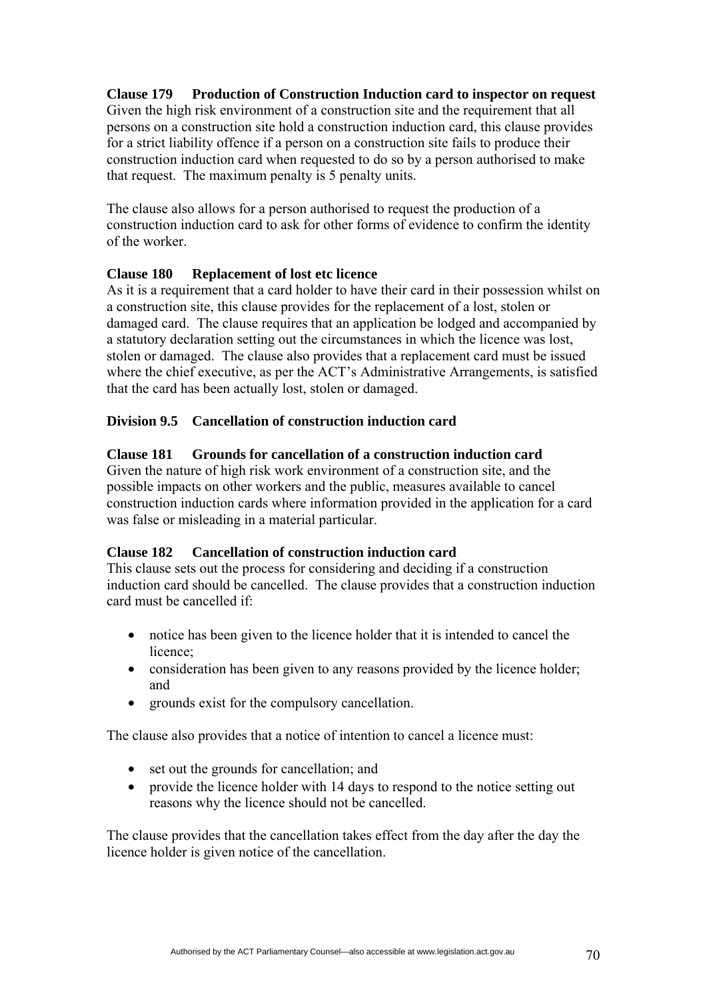## **Clause 179 Production of Construction Induction card to inspector on request**

Given the high risk environment of a construction site and the requirement that all persons on a construction site hold a construction induction card, this clause provides for a strict liability offence if a person on a construction site fails to produce their construction induction card when requested to do so by a person authorised to make that request. The maximum penalty is 5 penalty units.

The clause also allows for a person authorised to request the production of a construction induction card to ask for other forms of evidence to confirm the identity of the worker.

### **Clause 180 Replacement of lost etc licence**

As it is a requirement that a card holder to have their card in their possession whilst on a construction site, this clause provides for the replacement of a lost, stolen or damaged card. The clause requires that an application be lodged and accompanied by a statutory declaration setting out the circumstances in which the licence was lost, stolen or damaged. The clause also provides that a replacement card must be issued where the chief executive, as per the ACT's Administrative Arrangements, is satisfied that the card has been actually lost, stolen or damaged.

### **Division 9.5 Cancellation of construction induction card**

### **Clause 181 Grounds for cancellation of a construction induction card**

Given the nature of high risk work environment of a construction site, and the possible impacts on other workers and the public, measures available to cancel construction induction cards where information provided in the application for a card was false or misleading in a material particular.

### **Clause 182 Cancellation of construction induction card**

This clause sets out the process for considering and deciding if a construction induction card should be cancelled. The clause provides that a construction induction card must be cancelled if:

- notice has been given to the licence holder that it is intended to cancel the licence;
- consideration has been given to any reasons provided by the licence holder; and
- grounds exist for the compulsory cancellation.

The clause also provides that a notice of intention to cancel a licence must:

- set out the grounds for cancellation; and
- provide the licence holder with 14 days to respond to the notice setting out reasons why the licence should not be cancelled.

The clause provides that the cancellation takes effect from the day after the day the licence holder is given notice of the cancellation.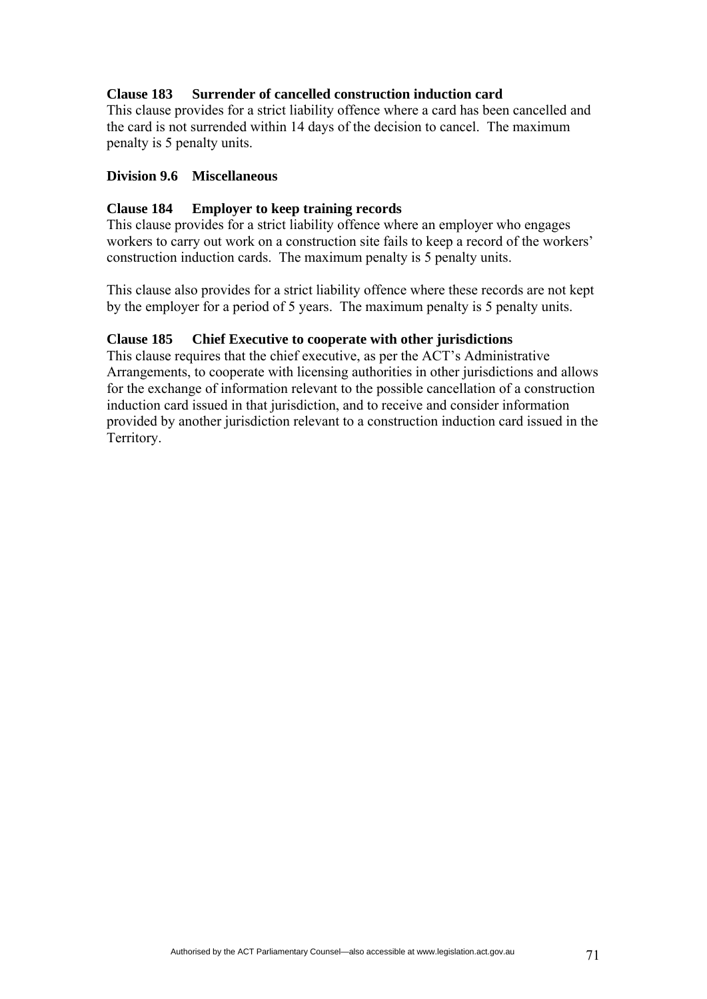## **Clause 183 Surrender of cancelled construction induction card**

This clause provides for a strict liability offence where a card has been cancelled and the card is not surrended within 14 days of the decision to cancel. The maximum penalty is 5 penalty units.

### **Division 9.6 Miscellaneous**

### **Clause 184 Employer to keep training records**

This clause provides for a strict liability offence where an employer who engages workers to carry out work on a construction site fails to keep a record of the workers' construction induction cards. The maximum penalty is 5 penalty units.

This clause also provides for a strict liability offence where these records are not kept by the employer for a period of 5 years. The maximum penalty is 5 penalty units.

## **Clause 185 Chief Executive to cooperate with other jurisdictions**

This clause requires that the chief executive, as per the ACT's Administrative Arrangements, to cooperate with licensing authorities in other jurisdictions and allows for the exchange of information relevant to the possible cancellation of a construction induction card issued in that jurisdiction, and to receive and consider information provided by another jurisdiction relevant to a construction induction card issued in the Territory.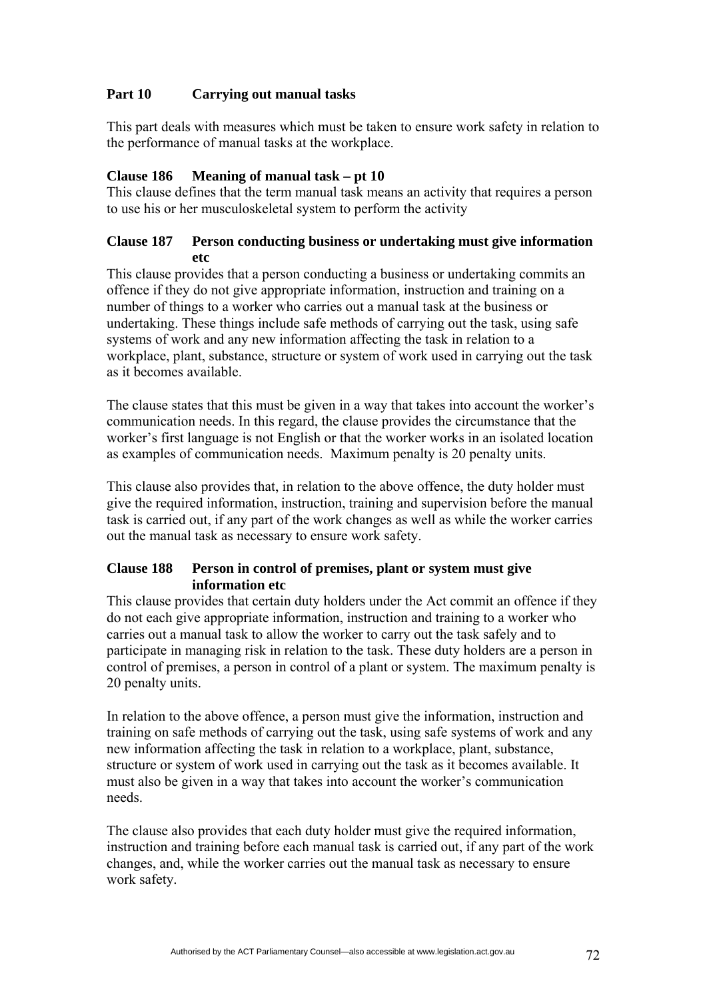# **Part 10 Carrying out manual tasks**

This part deals with measures which must be taken to ensure work safety in relation to the performance of manual tasks at the workplace.

## **Clause 186 Meaning of manual task – pt 10**

This clause defines that the term manual task means an activity that requires a person to use his or her musculoskeletal system to perform the activity

### **Clause 187 Person conducting business or undertaking must give information etc**

This clause provides that a person conducting a business or undertaking commits an offence if they do not give appropriate information, instruction and training on a number of things to a worker who carries out a manual task at the business or undertaking. These things include safe methods of carrying out the task, using safe systems of work and any new information affecting the task in relation to a workplace, plant, substance, structure or system of work used in carrying out the task as it becomes available.

The clause states that this must be given in a way that takes into account the worker's communication needs. In this regard, the clause provides the circumstance that the worker's first language is not English or that the worker works in an isolated location as examples of communication needs. Maximum penalty is 20 penalty units.

This clause also provides that, in relation to the above offence, the duty holder must give the required information, instruction, training and supervision before the manual task is carried out, if any part of the work changes as well as while the worker carries out the manual task as necessary to ensure work safety.

## **Clause 188 Person in control of premises, plant or system must give information etc**

This clause provides that certain duty holders under the Act commit an offence if they do not each give appropriate information, instruction and training to a worker who carries out a manual task to allow the worker to carry out the task safely and to participate in managing risk in relation to the task. These duty holders are a person in control of premises, a person in control of a plant or system. The maximum penalty is 20 penalty units.

In relation to the above offence, a person must give the information, instruction and training on safe methods of carrying out the task, using safe systems of work and any new information affecting the task in relation to a workplace, plant, substance, structure or system of work used in carrying out the task as it becomes available. It must also be given in a way that takes into account the worker's communication needs.

The clause also provides that each duty holder must give the required information, instruction and training before each manual task is carried out, if any part of the work changes, and, while the worker carries out the manual task as necessary to ensure work safety.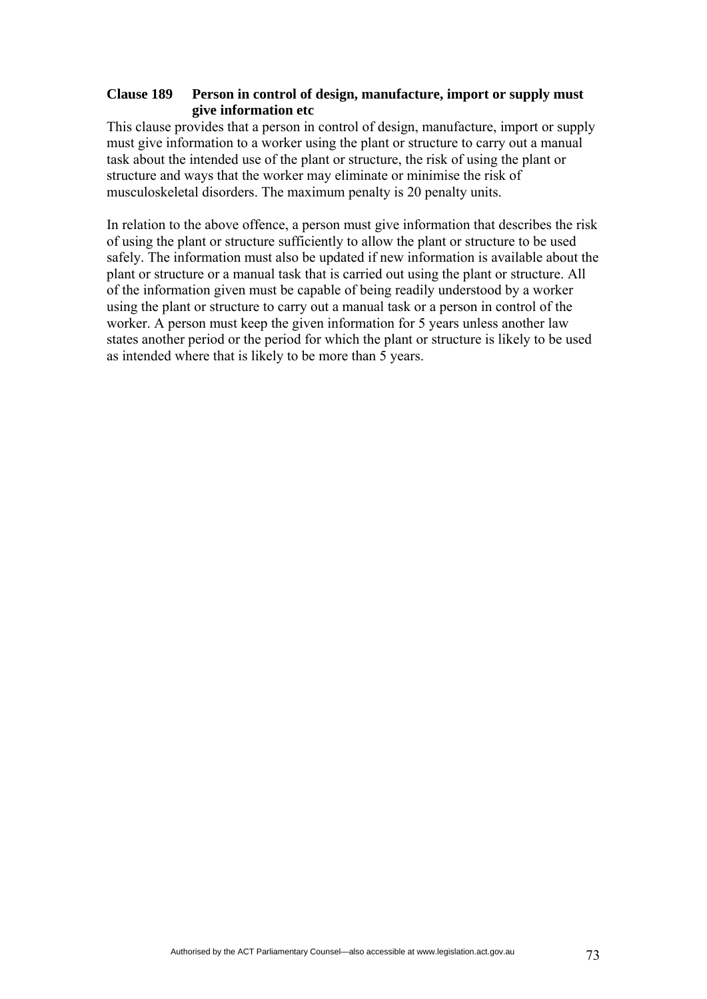### **Clause 189 Person in control of design, manufacture, import or supply must give information etc**

This clause provides that a person in control of design, manufacture, import or supply must give information to a worker using the plant or structure to carry out a manual task about the intended use of the plant or structure, the risk of using the plant or structure and ways that the worker may eliminate or minimise the risk of musculoskeletal disorders. The maximum penalty is 20 penalty units.

In relation to the above offence, a person must give information that describes the risk of using the plant or structure sufficiently to allow the plant or structure to be used safely. The information must also be updated if new information is available about the plant or structure or a manual task that is carried out using the plant or structure. All of the information given must be capable of being readily understood by a worker using the plant or structure to carry out a manual task or a person in control of the worker. A person must keep the given information for 5 years unless another law states another period or the period for which the plant or structure is likely to be used as intended where that is likely to be more than 5 years.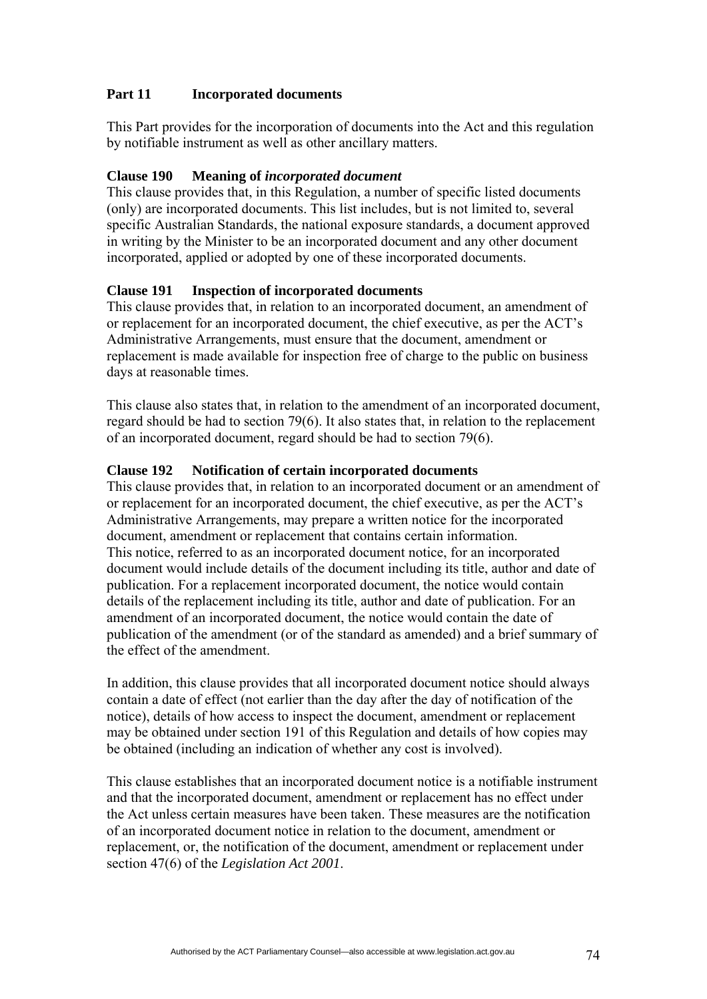# **Part 11 Incorporated documents**

This Part provides for the incorporation of documents into the Act and this regulation by notifiable instrument as well as other ancillary matters.

# **Clause 190 Meaning of** *incorporated document*

This clause provides that, in this Regulation, a number of specific listed documents (only) are incorporated documents. This list includes, but is not limited to, several specific Australian Standards, the national exposure standards, a document approved in writing by the Minister to be an incorporated document and any other document incorporated, applied or adopted by one of these incorporated documents.

### **Clause 191 Inspection of incorporated documents**

This clause provides that, in relation to an incorporated document, an amendment of or replacement for an incorporated document, the chief executive, as per the ACT's Administrative Arrangements, must ensure that the document, amendment or replacement is made available for inspection free of charge to the public on business days at reasonable times.

This clause also states that, in relation to the amendment of an incorporated document, regard should be had to section 79(6). It also states that, in relation to the replacement of an incorporated document, regard should be had to section 79(6).

### **Clause 192 Notification of certain incorporated documents**

This clause provides that, in relation to an incorporated document or an amendment of or replacement for an incorporated document, the chief executive, as per the ACT's Administrative Arrangements, may prepare a written notice for the incorporated document, amendment or replacement that contains certain information. This notice, referred to as an incorporated document notice, for an incorporated document would include details of the document including its title, author and date of publication. For a replacement incorporated document, the notice would contain details of the replacement including its title, author and date of publication. For an amendment of an incorporated document, the notice would contain the date of publication of the amendment (or of the standard as amended) and a brief summary of the effect of the amendment.

In addition, this clause provides that all incorporated document notice should always contain a date of effect (not earlier than the day after the day of notification of the notice), details of how access to inspect the document, amendment or replacement may be obtained under section 191 of this Regulation and details of how copies may be obtained (including an indication of whether any cost is involved).

This clause establishes that an incorporated document notice is a notifiable instrument and that the incorporated document, amendment or replacement has no effect under the Act unless certain measures have been taken. These measures are the notification of an incorporated document notice in relation to the document, amendment or replacement, or, the notification of the document, amendment or replacement under section 47(6) of the *Legislation Act 2001*.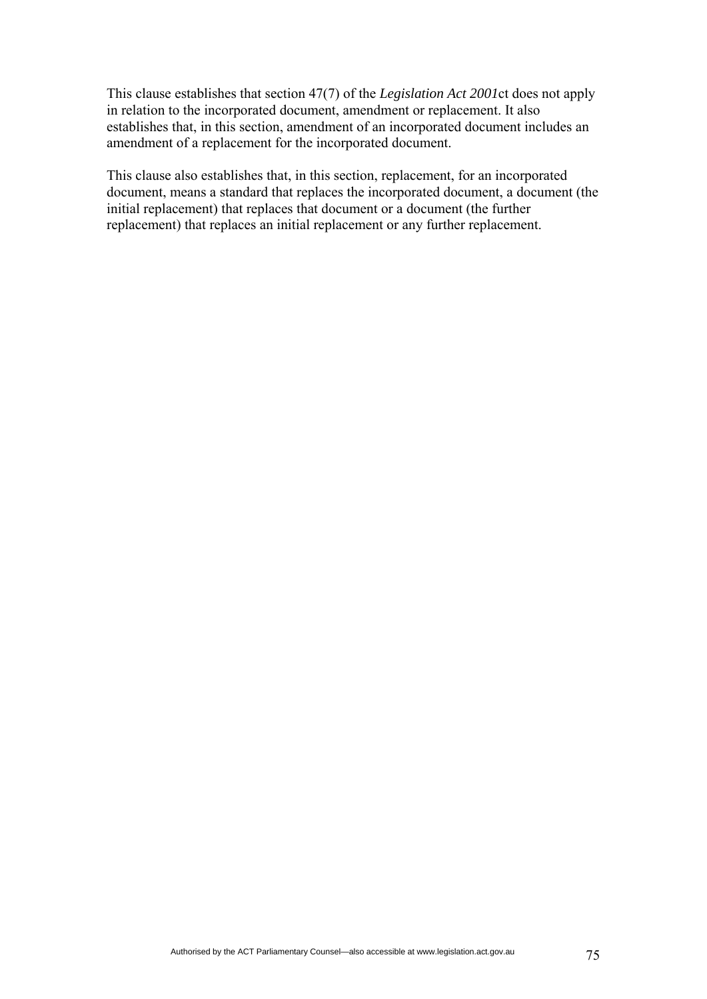This clause establishes that section 47(7) of the *Legislation Act 2001*ct does not apply in relation to the incorporated document, amendment or replacement. It also establishes that, in this section, amendment of an incorporated document includes an amendment of a replacement for the incorporated document.

This clause also establishes that, in this section, replacement, for an incorporated document, means a standard that replaces the incorporated document, a document (the initial replacement) that replaces that document or a document (the further replacement) that replaces an initial replacement or any further replacement.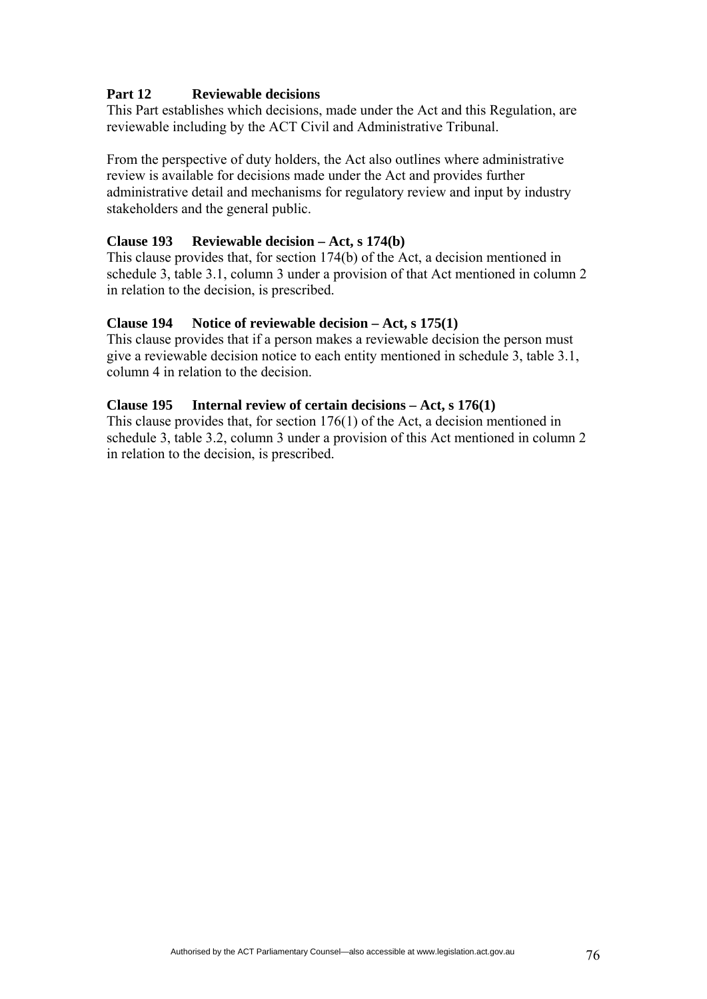# **Part 12 Reviewable decisions**

This Part establishes which decisions, made under the Act and this Regulation, are reviewable including by the ACT Civil and Administrative Tribunal.

From the perspective of duty holders, the Act also outlines where administrative review is available for decisions made under the Act and provides further administrative detail and mechanisms for regulatory review and input by industry stakeholders and the general public.

#### **Clause 193 Reviewable decision – Act, s 174(b)**

This clause provides that, for section 174(b) of the Act, a decision mentioned in schedule 3, table 3.1, column 3 under a provision of that Act mentioned in column 2 in relation to the decision, is prescribed.

#### **Clause 194 Notice of reviewable decision – Act, s 175(1)**

This clause provides that if a person makes a reviewable decision the person must give a reviewable decision notice to each entity mentioned in schedule 3, table 3.1, column 4 in relation to the decision.

#### **Clause 195 Internal review of certain decisions – Act, s 176(1)**

This clause provides that, for section 176(1) of the Act, a decision mentioned in schedule 3, table 3.2, column 3 under a provision of this Act mentioned in column 2 in relation to the decision, is prescribed.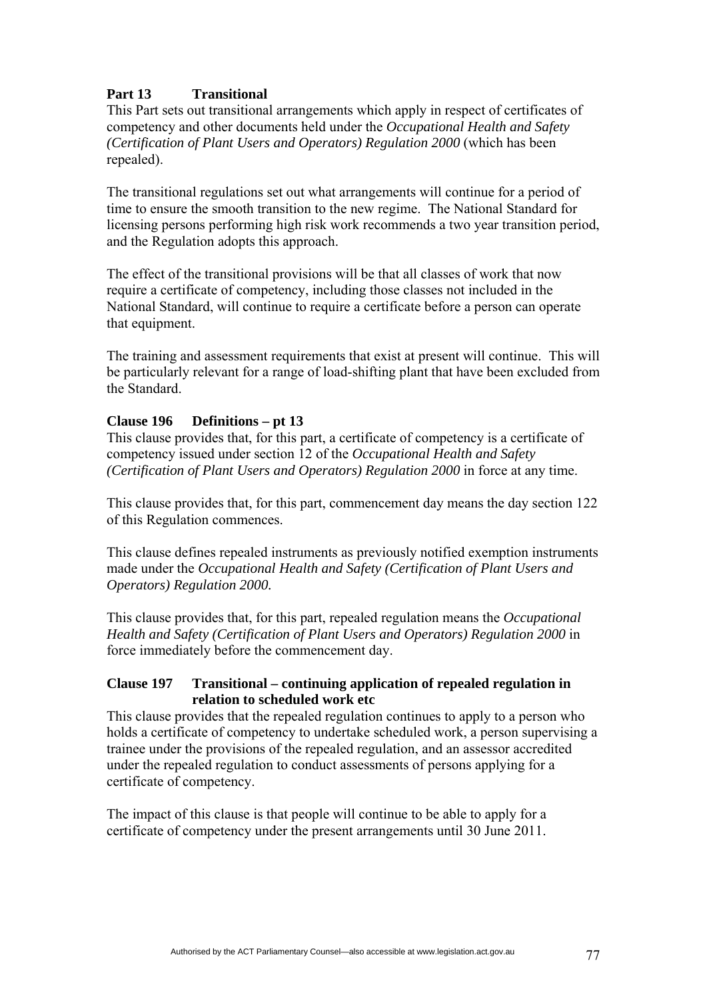# **Part 13 Transitional**

This Part sets out transitional arrangements which apply in respect of certificates of competency and other documents held under the *Occupational Health and Safety (Certification of Plant Users and Operators) Regulation 2000* (which has been repealed).

The transitional regulations set out what arrangements will continue for a period of time to ensure the smooth transition to the new regime. The National Standard for licensing persons performing high risk work recommends a two year transition period, and the Regulation adopts this approach.

The effect of the transitional provisions will be that all classes of work that now require a certificate of competency, including those classes not included in the National Standard, will continue to require a certificate before a person can operate that equipment.

The training and assessment requirements that exist at present will continue. This will be particularly relevant for a range of load-shifting plant that have been excluded from the Standard.

### **Clause 196 Definitions – pt 13**

This clause provides that, for this part, a certificate of competency is a certificate of competency issued under section 12 of the *Occupational Health and Safety (Certification of Plant Users and Operators) Regulation 2000* in force at any time.

This clause provides that, for this part, commencement day means the day section 122 of this Regulation commences.

This clause defines repealed instruments as previously notified exemption instruments made under the *Occupational Health and Safety (Certification of Plant Users and Operators) Regulation 2000.*

This clause provides that, for this part, repealed regulation means the *Occupational Health and Safety (Certification of Plant Users and Operators) Regulation 2000* in force immediately before the commencement day.

### **Clause 197 Transitional – continuing application of repealed regulation in relation to scheduled work etc**

This clause provides that the repealed regulation continues to apply to a person who holds a certificate of competency to undertake scheduled work, a person supervising a trainee under the provisions of the repealed regulation, and an assessor accredited under the repealed regulation to conduct assessments of persons applying for a certificate of competency.

The impact of this clause is that people will continue to be able to apply for a certificate of competency under the present arrangements until 30 June 2011.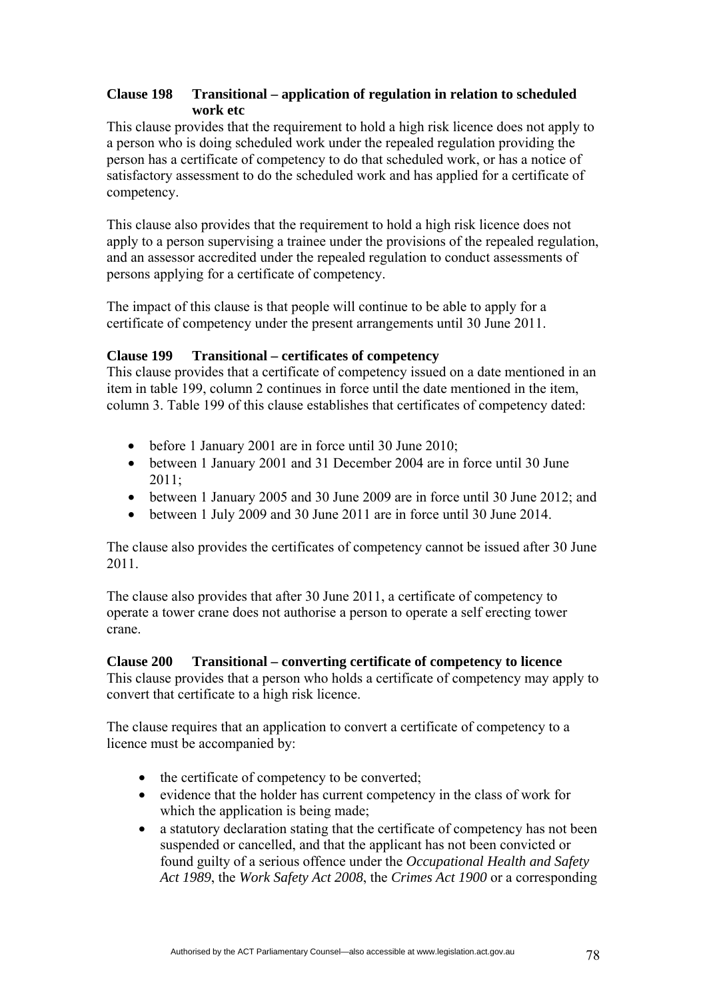# **Clause 198 Transitional – application of regulation in relation to scheduled work etc**

This clause provides that the requirement to hold a high risk licence does not apply to a person who is doing scheduled work under the repealed regulation providing the person has a certificate of competency to do that scheduled work, or has a notice of satisfactory assessment to do the scheduled work and has applied for a certificate of competency.

This clause also provides that the requirement to hold a high risk licence does not apply to a person supervising a trainee under the provisions of the repealed regulation, and an assessor accredited under the repealed regulation to conduct assessments of persons applying for a certificate of competency.

The impact of this clause is that people will continue to be able to apply for a certificate of competency under the present arrangements until 30 June 2011.

# **Clause 199 Transitional – certificates of competency**

This clause provides that a certificate of competency issued on a date mentioned in an item in table 199, column 2 continues in force until the date mentioned in the item, column 3. Table 199 of this clause establishes that certificates of competency dated:

- before 1 January 2001 are in force until 30 June 2010;
- between 1 January 2001 and 31 December 2004 are in force until 30 June  $2011$
- between 1 January 2005 and 30 June 2009 are in force until 30 June 2012; and
- between 1 July 2009 and 30 June 2011 are in force until 30 June 2014.

The clause also provides the certificates of competency cannot be issued after 30 June 2011.

The clause also provides that after 30 June 2011, a certificate of competency to operate a tower crane does not authorise a person to operate a self erecting tower crane.

# **Clause 200 Transitional – converting certificate of competency to licence**

This clause provides that a person who holds a certificate of competency may apply to convert that certificate to a high risk licence.

The clause requires that an application to convert a certificate of competency to a licence must be accompanied by:

- the certificate of competency to be converted;
- evidence that the holder has current competency in the class of work for which the application is being made;
- a statutory declaration stating that the certificate of competency has not been suspended or cancelled, and that the applicant has not been convicted or found guilty of a serious offence under the *Occupational Health and Safety Act 1989*, the *Work Safety Act 2008*, the *Crimes Act 1900* or a corresponding